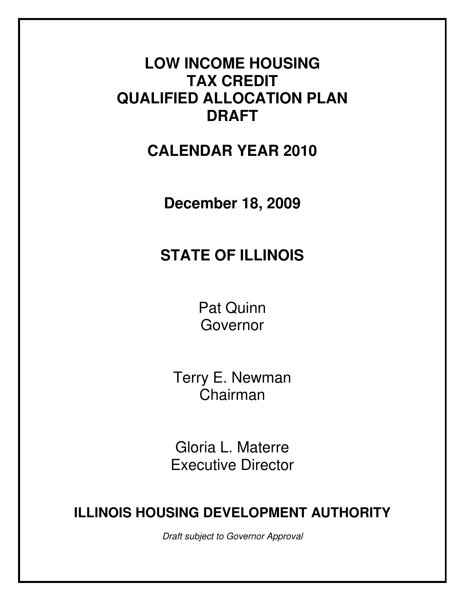# **LOW INCOME HOUSING TAX CREDIT QUALIFIED ALLOCATION PLAN DRAFT**

**CALENDAR YEAR 2010** 

**December 18, 2009** 

# **STATE OF ILLINOIS**

Pat Quinn Governor

Terry E. Newman Chairman

Gloria L. Materre Executive Director

# **ILLINOIS HOUSING DEVELOPMENT AUTHORITY**

Draft subject to Governor Approval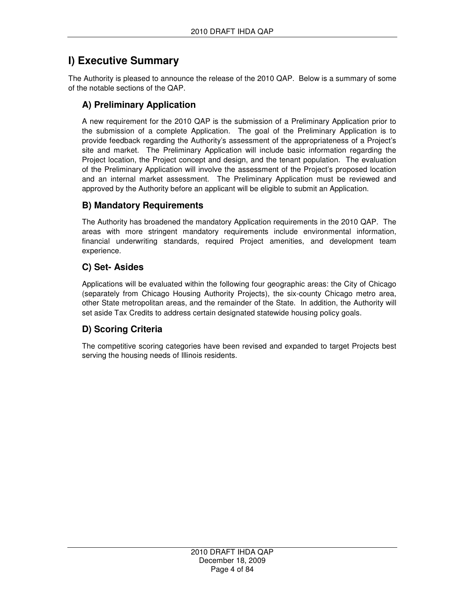# **I) Executive Summary**

The Authority is pleased to announce the release of the 2010 QAP. Below is a summary of some of the notable sections of the QAP.

## **A) Preliminary Application**

A new requirement for the 2010 QAP is the submission of a Preliminary Application prior to the submission of a complete Application. The goal of the Preliminary Application is to provide feedback regarding the Authority's assessment of the appropriateness of a Project's site and market. The Preliminary Application will include basic information regarding the Project location, the Project concept and design, and the tenant population. The evaluation of the Preliminary Application will involve the assessment of the Project's proposed location and an internal market assessment. The Preliminary Application must be reviewed and approved by the Authority before an applicant will be eligible to submit an Application.

## **B) Mandatory Requirements**

The Authority has broadened the mandatory Application requirements in the 2010 QAP. The areas with more stringent mandatory requirements include environmental information, financial underwriting standards, required Project amenities, and development team experience.

# **C) Set- Asides**

Applications will be evaluated within the following four geographic areas: the City of Chicago (separately from Chicago Housing Authority Projects), the six-county Chicago metro area, other State metropolitan areas, and the remainder of the State. In addition, the Authority will set aside Tax Credits to address certain designated statewide housing policy goals.

# **D) Scoring Criteria**

The competitive scoring categories have been revised and expanded to target Projects best serving the housing needs of Illinois residents.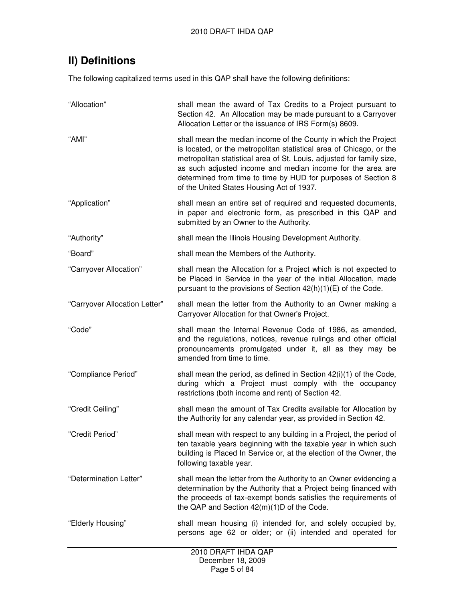# **II) Definitions**

The following capitalized terms used in this QAP shall have the following definitions:

| "Allocation"                  | shall mean the award of Tax Credits to a Project pursuant to<br>Section 42. An Allocation may be made pursuant to a Carryover<br>Allocation Letter or the issuance of IRS Form(s) 8609.                                                                                                                                                                                                     |
|-------------------------------|---------------------------------------------------------------------------------------------------------------------------------------------------------------------------------------------------------------------------------------------------------------------------------------------------------------------------------------------------------------------------------------------|
| "AMI"                         | shall mean the median income of the County in which the Project<br>is located, or the metropolitan statistical area of Chicago, or the<br>metropolitan statistical area of St. Louis, adjusted for family size,<br>as such adjusted income and median income for the area are<br>determined from time to time by HUD for purposes of Section 8<br>of the United States Housing Act of 1937. |
| "Application"                 | shall mean an entire set of required and requested documents,<br>in paper and electronic form, as prescribed in this QAP and<br>submitted by an Owner to the Authority.                                                                                                                                                                                                                     |
| "Authority"                   | shall mean the Illinois Housing Development Authority.                                                                                                                                                                                                                                                                                                                                      |
| "Board"                       | shall mean the Members of the Authority.                                                                                                                                                                                                                                                                                                                                                    |
| "Carryover Allocation"        | shall mean the Allocation for a Project which is not expected to<br>be Placed in Service in the year of the initial Allocation, made<br>pursuant to the provisions of Section 42(h)(1)(E) of the Code.                                                                                                                                                                                      |
| "Carryover Allocation Letter" | shall mean the letter from the Authority to an Owner making a<br>Carryover Allocation for that Owner's Project.                                                                                                                                                                                                                                                                             |
| "Code"                        | shall mean the Internal Revenue Code of 1986, as amended,<br>and the regulations, notices, revenue rulings and other official<br>pronouncements promulgated under it, all as they may be<br>amended from time to time.                                                                                                                                                                      |
| "Compliance Period"           | shall mean the period, as defined in Section 42(i)(1) of the Code,<br>during which a Project must comply with the occupancy<br>restrictions (both income and rent) of Section 42.                                                                                                                                                                                                           |
| "Credit Ceiling"              | shall mean the amount of Tax Credits available for Allocation by<br>the Authority for any calendar year, as provided in Section 42.                                                                                                                                                                                                                                                         |
| "Credit Period"               | shall mean with respect to any building in a Project, the period of<br>ten taxable years beginning with the taxable year in which such<br>building is Placed In Service or, at the election of the Owner, the<br>following taxable year.                                                                                                                                                    |
| "Determination Letter"        | shall mean the letter from the Authority to an Owner evidencing a<br>determination by the Authority that a Project being financed with<br>the proceeds of tax-exempt bonds satisfies the requirements of<br>the QAP and Section 42(m)(1)D of the Code.                                                                                                                                      |
| "Elderly Housing"             | shall mean housing (i) intended for, and solely occupied by,<br>persons age 62 or older; or (ii) intended and operated for                                                                                                                                                                                                                                                                  |
|                               | 2010 DRAFT IHDA QAP                                                                                                                                                                                                                                                                                                                                                                         |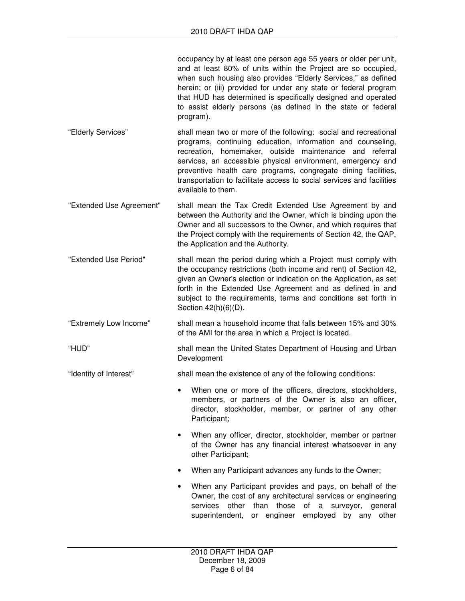occupancy by at least one person age 55 years or older per unit, and at least 80% of units within the Project are so occupied, when such housing also provides "Elderly Services," as defined herein; or (iii) provided for under any state or federal program that HUD has determined is specifically designed and operated to assist elderly persons (as defined in the state or federal program).

- "Elderly Services" shall mean two or more of the following: social and recreational programs, continuing education, information and counseling, recreation, homemaker, outside maintenance and referral services, an accessible physical environment, emergency and preventive health care programs, congregate dining facilities, transportation to facilitate access to social services and facilities available to them.
- "Extended Use Agreement" shall mean the Tax Credit Extended Use Agreement by and between the Authority and the Owner, which is binding upon the Owner and all successors to the Owner, and which requires that the Project comply with the requirements of Section 42, the QAP, the Application and the Authority.
- "Extended Use Period" shall mean the period during which a Project must comply with the occupancy restrictions (both income and rent) of Section 42, given an Owner's election or indication on the Application, as set forth in the Extended Use Agreement and as defined in and subject to the requirements, terms and conditions set forth in Section 42(h)(6)(D).
- "Extremely Low Income" shall mean a household income that falls between 15% and 30% of the AMI for the area in which a Project is located.

"HUD" shall mean the United States Department of Housing and Urban Development

- "Identity of Interest" shall mean the existence of any of the following conditions:
	- When one or more of the officers, directors, stockholders, members, or partners of the Owner is also an officer, director, stockholder, member, or partner of any other Participant:
	- When any officer, director, stockholder, member or partner of the Owner has any financial interest whatsoever in any other Participant;
	- When any Participant advances any funds to the Owner;
	- When any Participant provides and pays, on behalf of the Owner, the cost of any architectural services or engineering services other than those of a surveyor, general superintendent, or engineer employed by any other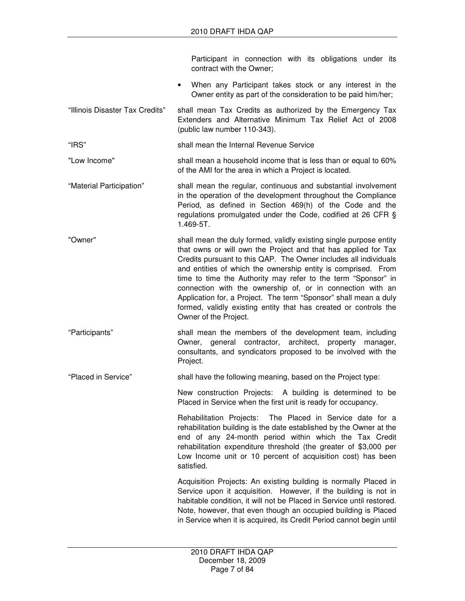|                          |  | Participant in connection with its obligations under its |  |  |  |
|--------------------------|--|----------------------------------------------------------|--|--|--|
| contract with the Owner; |  |                                                          |  |  |  |

- When any Participant takes stock or any interest in the Owner entity as part of the consideration to be paid him/her;
- "Illinois Disaster Tax Credits" shall mean Tax Credits as authorized by the Emergency Tax Extenders and Alternative Minimum Tax Relief Act of 2008 (public law number 110-343).

"IRS" shall mean the Internal Revenue Service

"Low Income" shall mean a household income that is less than or equal to 60% of the AMI for the area in which a Project is located.

"Material Participation" shall mean the regular, continuous and substantial involvement in the operation of the development throughout the Compliance Period, as defined in Section 469(h) of the Code and the regulations promulgated under the Code, codified at 26 CFR § 1.469-5T.

"Owner" shall mean the duly formed, validly existing single purpose entity that owns or will own the Project and that has applied for Tax Credits pursuant to this QAP. The Owner includes all individuals and entities of which the ownership entity is comprised. From time to time the Authority may refer to the term "Sponsor" in connection with the ownership of, or in connection with an Application for, a Project. The term "Sponsor" shall mean a duly formed, validly existing entity that has created or controls the Owner of the Project.

"Participants" shall mean the members of the development team, including Owner, general contractor, architect, property manager, consultants, and syndicators proposed to be involved with the Project.

"Placed in Service" shall have the following meaning, based on the Project type:

New construction Projects: A building is determined to be Placed in Service when the first unit is ready for occupancy.

Rehabilitation Projects: The Placed in Service date for a rehabilitation building is the date established by the Owner at the end of any 24-month period within which the Tax Credit rehabilitation expenditure threshold (the greater of \$3,000 per Low Income unit or 10 percent of acquisition cost) has been satisfied.

Acquisition Projects: An existing building is normally Placed in Service upon it acquisition. However, if the building is not in habitable condition, it will not be Placed in Service until restored. Note, however, that even though an occupied building is Placed in Service when it is acquired, its Credit Period cannot begin until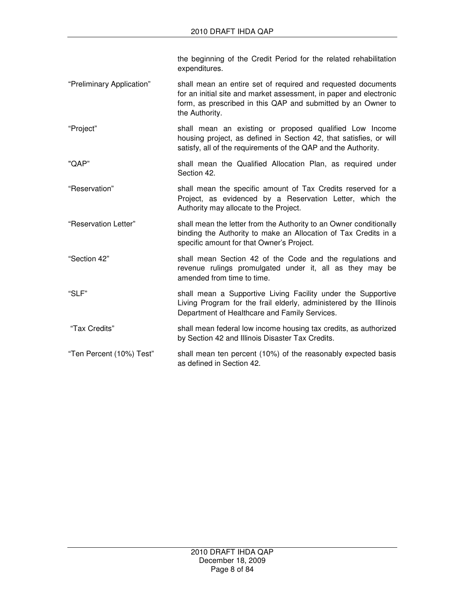the beginning of the Credit Period for the related rehabilitation expenditures.

- "Preliminary Application" shall mean an entire set of required and requested documents for an initial site and market assessment, in paper and electronic form, as prescribed in this QAP and submitted by an Owner to the Authority.
- "Project" shall mean an existing or proposed qualified Low Income housing project, as defined in Section 42, that satisfies, or will satisfy, all of the requirements of the QAP and the Authority.
- "QAP" shall mean the Qualified Allocation Plan, as required under Section 42.
- "Reservation" shall mean the specific amount of Tax Credits reserved for a Project, as evidenced by a Reservation Letter, which the Authority may allocate to the Project.
- "Reservation Letter" shall mean the letter from the Authority to an Owner conditionally binding the Authority to make an Allocation of Tax Credits in a specific amount for that Owner's Project.
- "Section 42" shall mean Section 42 of the Code and the regulations and revenue rulings promulgated under it, all as they may be amended from time to time.
- "SLF" shall mean a Supportive Living Facility under the Supportive Living Program for the frail elderly, administered by the Illinois Department of Healthcare and Family Services.
- "Tax Credits" shall mean federal low income housing tax credits, as authorized by Section 42 and Illinois Disaster Tax Credits.
- "Ten Percent (10%) Test" shall mean ten percent (10%) of the reasonably expected basis as defined in Section 42.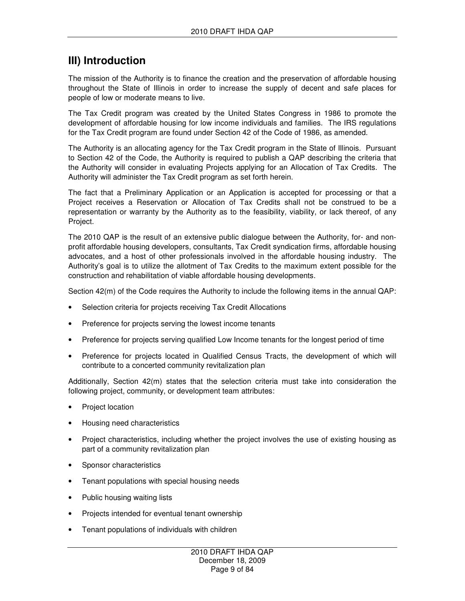# **III) Introduction**

The mission of the Authority is to finance the creation and the preservation of affordable housing throughout the State of Illinois in order to increase the supply of decent and safe places for people of low or moderate means to live.

The Tax Credit program was created by the United States Congress in 1986 to promote the development of affordable housing for low income individuals and families. The IRS regulations for the Tax Credit program are found under Section 42 of the Code of 1986, as amended.

The Authority is an allocating agency for the Tax Credit program in the State of Illinois. Pursuant to Section 42 of the Code, the Authority is required to publish a QAP describing the criteria that the Authority will consider in evaluating Projects applying for an Allocation of Tax Credits. The Authority will administer the Tax Credit program as set forth herein.

The fact that a Preliminary Application or an Application is accepted for processing or that a Project receives a Reservation or Allocation of Tax Credits shall not be construed to be a representation or warranty by the Authority as to the feasibility, viability, or lack thereof, of any Project.

The 2010 QAP is the result of an extensive public dialogue between the Authority, for- and nonprofit affordable housing developers, consultants, Tax Credit syndication firms, affordable housing advocates, and a host of other professionals involved in the affordable housing industry. The Authority's goal is to utilize the allotment of Tax Credits to the maximum extent possible for the construction and rehabilitation of viable affordable housing developments.

Section 42(m) of the Code requires the Authority to include the following items in the annual QAP:

- Selection criteria for projects receiving Tax Credit Allocations
- Preference for projects serving the lowest income tenants
- Preference for projects serving qualified Low Income tenants for the longest period of time
- Preference for projects located in Qualified Census Tracts, the development of which will contribute to a concerted community revitalization plan

Additionally, Section 42(m) states that the selection criteria must take into consideration the following project, community, or development team attributes:

- Project location
- Housing need characteristics
- Project characteristics, including whether the project involves the use of existing housing as part of a community revitalization plan
- Sponsor characteristics
- Tenant populations with special housing needs
- Public housing waiting lists
- Projects intended for eventual tenant ownership
- Tenant populations of individuals with children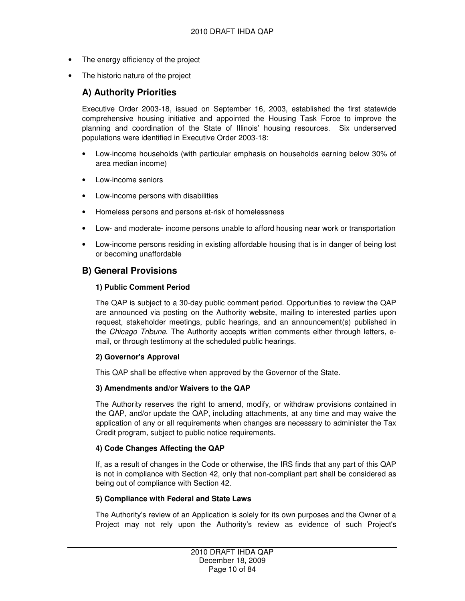- The energy efficiency of the project
- The historic nature of the project

## **A) Authority Priorities**

Executive Order 2003-18, issued on September 16, 2003, established the first statewide comprehensive housing initiative and appointed the Housing Task Force to improve the planning and coordination of the State of Illinois' housing resources. Six underserved populations were identified in Executive Order 2003-18:

- Low-income households (with particular emphasis on households earning below 30% of area median income)
- Low-income seniors
- Low-income persons with disabilities
- Homeless persons and persons at-risk of homelessness
- Low- and moderate- income persons unable to afford housing near work or transportation
- Low-income persons residing in existing affordable housing that is in danger of being lost or becoming unaffordable

## **B) General Provisions**

#### **1) Public Comment Period**

The QAP is subject to a 30-day public comment period. Opportunities to review the QAP are announced via posting on the Authority website, mailing to interested parties upon request, stakeholder meetings, public hearings, and an announcement(s) published in the Chicago Tribune. The Authority accepts written comments either through letters, email, or through testimony at the scheduled public hearings.

#### **2) Governor's Approval**

This QAP shall be effective when approved by the Governor of the State.

#### **3) Amendments and/or Waivers to the QAP**

The Authority reserves the right to amend, modify, or withdraw provisions contained in the QAP, and/or update the QAP, including attachments, at any time and may waive the application of any or all requirements when changes are necessary to administer the Tax Credit program, subject to public notice requirements.

#### **4) Code Changes Affecting the QAP**

If, as a result of changes in the Code or otherwise, the IRS finds that any part of this QAP is not in compliance with Section 42, only that non-compliant part shall be considered as being out of compliance with Section 42.

#### **5) Compliance with Federal and State Laws**

The Authority's review of an Application is solely for its own purposes and the Owner of a Project may not rely upon the Authority's review as evidence of such Project's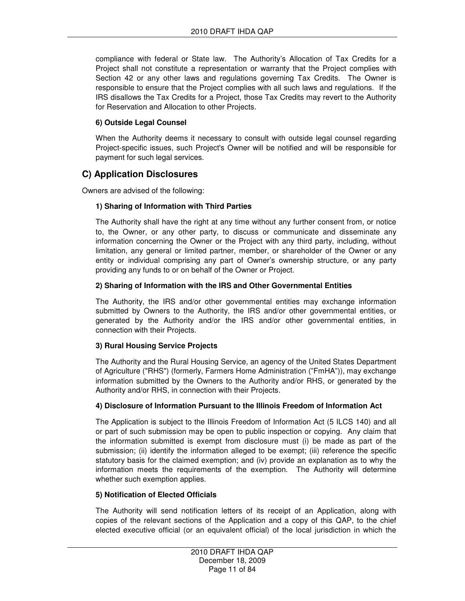compliance with federal or State law. The Authority's Allocation of Tax Credits for a Project shall not constitute a representation or warranty that the Project complies with Section 42 or any other laws and regulations governing Tax Credits. The Owner is responsible to ensure that the Project complies with all such laws and regulations. If the IRS disallows the Tax Credits for a Project, those Tax Credits may revert to the Authority for Reservation and Allocation to other Projects.

## **6) Outside Legal Counsel**

When the Authority deems it necessary to consult with outside legal counsel regarding Project-specific issues, such Project's Owner will be notified and will be responsible for payment for such legal services.

## **C) Application Disclosures**

Owners are advised of the following:

## **1) Sharing of Information with Third Parties**

The Authority shall have the right at any time without any further consent from, or notice to, the Owner, or any other party, to discuss or communicate and disseminate any information concerning the Owner or the Project with any third party, including, without limitation, any general or limited partner, member, or shareholder of the Owner or any entity or individual comprising any part of Owner's ownership structure, or any party providing any funds to or on behalf of the Owner or Project.

## **2) Sharing of Information with the IRS and Other Governmental Entities**

The Authority, the IRS and/or other governmental entities may exchange information submitted by Owners to the Authority, the IRS and/or other governmental entities, or generated by the Authority and/or the IRS and/or other governmental entities, in connection with their Projects.

## **3) Rural Housing Service Projects**

The Authority and the Rural Housing Service, an agency of the United States Department of Agriculture ("RHS") (formerly, Farmers Home Administration ("FmHA")), may exchange information submitted by the Owners to the Authority and/or RHS, or generated by the Authority and/or RHS, in connection with their Projects.

## **4) Disclosure of Information Pursuant to the Illinois Freedom of Information Act**

The Application is subject to the Illinois Freedom of Information Act (5 ILCS 140) and all or part of such submission may be open to public inspection or copying. Any claim that the information submitted is exempt from disclosure must (i) be made as part of the submission; (ii) identify the information alleged to be exempt; (iii) reference the specific statutory basis for the claimed exemption; and (iv) provide an explanation as to why the information meets the requirements of the exemption. The Authority will determine whether such exemption applies.

## **5) Notification of Elected Officials**

The Authority will send notification letters of its receipt of an Application, along with copies of the relevant sections of the Application and a copy of this QAP, to the chief elected executive official (or an equivalent official) of the local jurisdiction in which the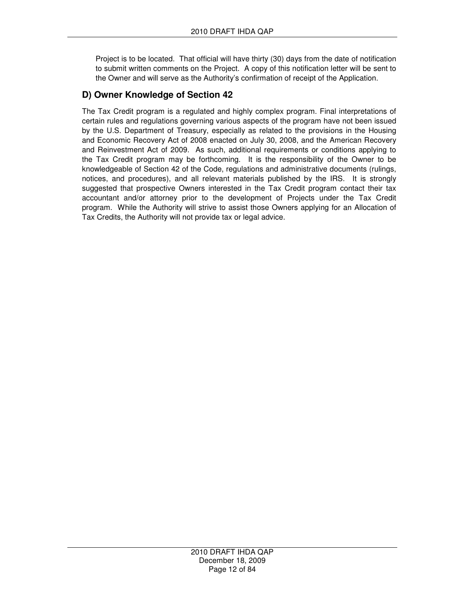Project is to be located. That official will have thirty (30) days from the date of notification to submit written comments on the Project. A copy of this notification letter will be sent to the Owner and will serve as the Authority's confirmation of receipt of the Application.

## **D) Owner Knowledge of Section 42**

The Tax Credit program is a regulated and highly complex program. Final interpretations of certain rules and regulations governing various aspects of the program have not been issued by the U.S. Department of Treasury, especially as related to the provisions in the Housing and Economic Recovery Act of 2008 enacted on July 30, 2008, and the American Recovery and Reinvestment Act of 2009. As such, additional requirements or conditions applying to the Tax Credit program may be forthcoming. It is the responsibility of the Owner to be knowledgeable of Section 42 of the Code, regulations and administrative documents (rulings, notices, and procedures), and all relevant materials published by the IRS. It is strongly suggested that prospective Owners interested in the Tax Credit program contact their tax accountant and/or attorney prior to the development of Projects under the Tax Credit program. While the Authority will strive to assist those Owners applying for an Allocation of Tax Credits, the Authority will not provide tax or legal advice.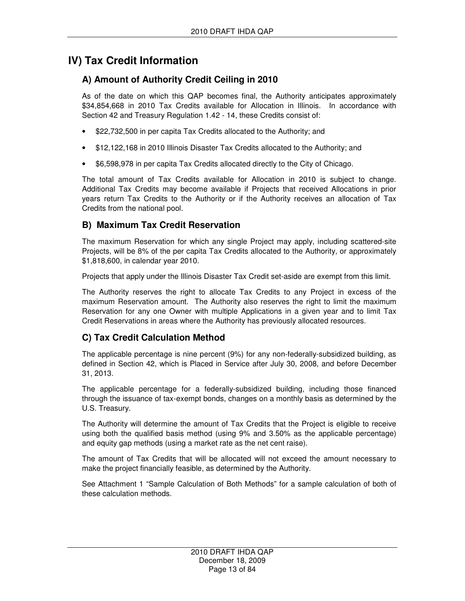# **IV) Tax Credit Information**

# **A) Amount of Authority Credit Ceiling in 2010**

As of the date on which this QAP becomes final, the Authority anticipates approximately \$34,854,668 in 2010 Tax Credits available for Allocation in Illinois. In accordance with Section 42 and Treasury Regulation 1.42 - 14, these Credits consist of:

- \$22,732,500 in per capita Tax Credits allocated to the Authority; and
- \$12,122,168 in 2010 Illinois Disaster Tax Credits allocated to the Authority; and
- \$6,598,978 in per capita Tax Credits allocated directly to the City of Chicago.

The total amount of Tax Credits available for Allocation in 2010 is subject to change. Additional Tax Credits may become available if Projects that received Allocations in prior years return Tax Credits to the Authority or if the Authority receives an allocation of Tax Credits from the national pool.

## **B) Maximum Tax Credit Reservation**

The maximum Reservation for which any single Project may apply, including scattered-site Projects, will be 8% of the per capita Tax Credits allocated to the Authority, or approximately \$1,818,600, in calendar year 2010.

Projects that apply under the Illinois Disaster Tax Credit set-aside are exempt from this limit.

The Authority reserves the right to allocate Tax Credits to any Project in excess of the maximum Reservation amount. The Authority also reserves the right to limit the maximum Reservation for any one Owner with multiple Applications in a given year and to limit Tax Credit Reservations in areas where the Authority has previously allocated resources.

# **C) Tax Credit Calculation Method**

The applicable percentage is nine percent (9%) for any non-federally-subsidized building, as defined in Section 42, which is Placed in Service after July 30, 2008, and before December 31, 2013.

The applicable percentage for a federally-subsidized building, including those financed through the issuance of tax-exempt bonds, changes on a monthly basis as determined by the U.S. Treasury.

The Authority will determine the amount of Tax Credits that the Project is eligible to receive using both the qualified basis method (using 9% and 3.50% as the applicable percentage) and equity gap methods (using a market rate as the net cent raise).

The amount of Tax Credits that will be allocated will not exceed the amount necessary to make the project financially feasible, as determined by the Authority.

See Attachment 1 "Sample Calculation of Both Methods" for a sample calculation of both of these calculation methods.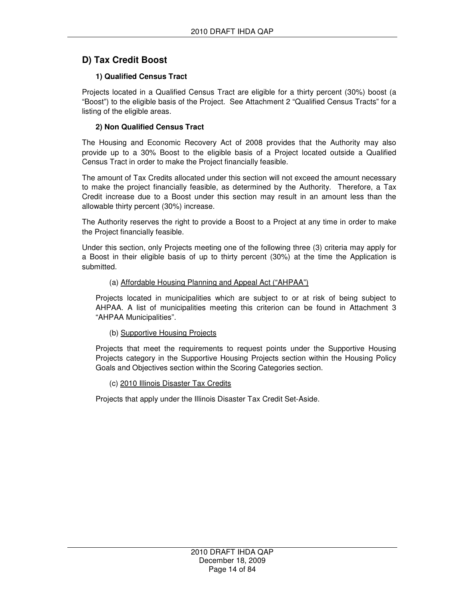## **D) Tax Credit Boost**

## **1) Qualified Census Tract**

Projects located in a Qualified Census Tract are eligible for a thirty percent (30%) boost (a "Boost") to the eligible basis of the Project. See Attachment 2 "Qualified Census Tracts" for a listing of the eligible areas.

## **2) Non Qualified Census Tract**

The Housing and Economic Recovery Act of 2008 provides that the Authority may also provide up to a 30% Boost to the eligible basis of a Project located outside a Qualified Census Tract in order to make the Project financially feasible.

The amount of Tax Credits allocated under this section will not exceed the amount necessary to make the project financially feasible, as determined by the Authority. Therefore, a Tax Credit increase due to a Boost under this section may result in an amount less than the allowable thirty percent (30%) increase.

The Authority reserves the right to provide a Boost to a Project at any time in order to make the Project financially feasible.

Under this section, only Projects meeting one of the following three (3) criteria may apply for a Boost in their eligible basis of up to thirty percent (30%) at the time the Application is submitted.

## (a) Affordable Housing Planning and Appeal Act ("AHPAA")

Projects located in municipalities which are subject to or at risk of being subject to AHPAA. A list of municipalities meeting this criterion can be found in Attachment 3 "AHPAA Municipalities".

## (b) Supportive Housing Projects

Projects that meet the requirements to request points under the Supportive Housing Projects category in the Supportive Housing Projects section within the Housing Policy Goals and Objectives section within the Scoring Categories section.

#### (c) 2010 Illinois Disaster Tax Credits

Projects that apply under the Illinois Disaster Tax Credit Set-Aside.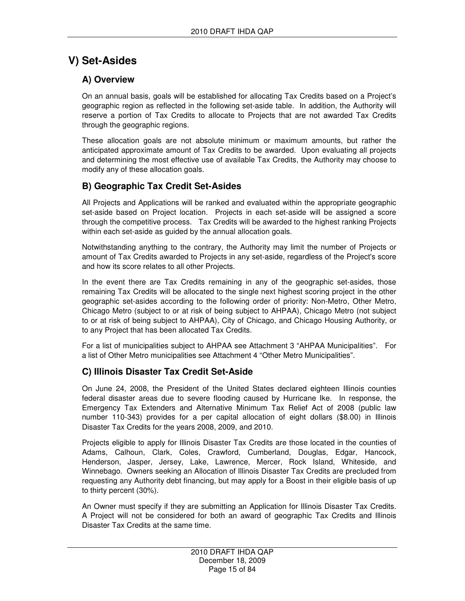# **V) Set-Asides**

## **A) Overview**

On an annual basis, goals will be established for allocating Tax Credits based on a Project's geographic region as reflected in the following set-aside table. In addition, the Authority will reserve a portion of Tax Credits to allocate to Projects that are not awarded Tax Credits through the geographic regions.

These allocation goals are not absolute minimum or maximum amounts, but rather the anticipated approximate amount of Tax Credits to be awarded. Upon evaluating all projects and determining the most effective use of available Tax Credits, the Authority may choose to modify any of these allocation goals.

## **B) Geographic Tax Credit Set-Asides**

All Projects and Applications will be ranked and evaluated within the appropriate geographic set-aside based on Project location. Projects in each set-aside will be assigned a score through the competitive process. Tax Credits will be awarded to the highest ranking Projects within each set-aside as guided by the annual allocation goals.

Notwithstanding anything to the contrary, the Authority may limit the number of Projects or amount of Tax Credits awarded to Projects in any set-aside, regardless of the Project's score and how its score relates to all other Projects.

In the event there are Tax Credits remaining in any of the geographic set-asides, those remaining Tax Credits will be allocated to the single next highest scoring project in the other geographic set-asides according to the following order of priority: Non-Metro, Other Metro, Chicago Metro (subject to or at risk of being subject to AHPAA), Chicago Metro (not subject to or at risk of being subject to AHPAA), City of Chicago, and Chicago Housing Authority, or to any Project that has been allocated Tax Credits.

For a list of municipalities subject to AHPAA see Attachment 3 "AHPAA Municipalities". For a list of Other Metro municipalities see Attachment 4 "Other Metro Municipalities".

# **C) Illinois Disaster Tax Credit Set-Aside**

On June 24, 2008, the President of the United States declared eighteen Illinois counties federal disaster areas due to severe flooding caused by Hurricane Ike. In response, the Emergency Tax Extenders and Alternative Minimum Tax Relief Act of 2008 (public law number 110-343) provides for a per capital allocation of eight dollars (\$8.00) in Illinois Disaster Tax Credits for the years 2008, 2009, and 2010.

Projects eligible to apply for Illinois Disaster Tax Credits are those located in the counties of Adams, Calhoun, Clark, Coles, Crawford, Cumberland, Douglas, Edgar, Hancock, Henderson, Jasper, Jersey, Lake, Lawrence, Mercer, Rock Island, Whiteside, and Winnebago. Owners seeking an Allocation of Illinois Disaster Tax Credits are precluded from requesting any Authority debt financing, but may apply for a Boost in their eligible basis of up to thirty percent (30%).

An Owner must specify if they are submitting an Application for Illinois Disaster Tax Credits. A Project will not be considered for both an award of geographic Tax Credits and Illinois Disaster Tax Credits at the same time.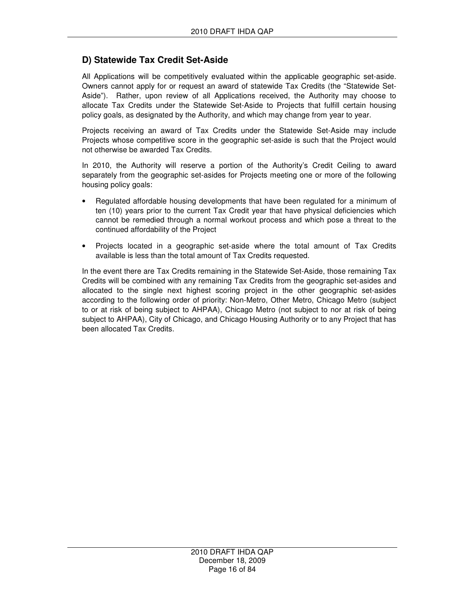## **D) Statewide Tax Credit Set-Aside**

All Applications will be competitively evaluated within the applicable geographic set-aside. Owners cannot apply for or request an award of statewide Tax Credits (the "Statewide Set-Aside"). Rather, upon review of all Applications received, the Authority may choose to allocate Tax Credits under the Statewide Set-Aside to Projects that fulfill certain housing policy goals, as designated by the Authority, and which may change from year to year.

Projects receiving an award of Tax Credits under the Statewide Set-Aside may include Projects whose competitive score in the geographic set-aside is such that the Project would not otherwise be awarded Tax Credits.

In 2010, the Authority will reserve a portion of the Authority's Credit Ceiling to award separately from the geographic set-asides for Projects meeting one or more of the following housing policy goals:

- Regulated affordable housing developments that have been regulated for a minimum of ten (10) years prior to the current Tax Credit year that have physical deficiencies which cannot be remedied through a normal workout process and which pose a threat to the continued affordability of the Project
- Projects located in a geographic set-aside where the total amount of Tax Credits available is less than the total amount of Tax Credits requested.

In the event there are Tax Credits remaining in the Statewide Set-Aside, those remaining Tax Credits will be combined with any remaining Tax Credits from the geographic set-asides and allocated to the single next highest scoring project in the other geographic set-asides according to the following order of priority: Non-Metro, Other Metro, Chicago Metro (subject to or at risk of being subject to AHPAA), Chicago Metro (not subject to nor at risk of being subject to AHPAA), City of Chicago, and Chicago Housing Authority or to any Project that has been allocated Tax Credits.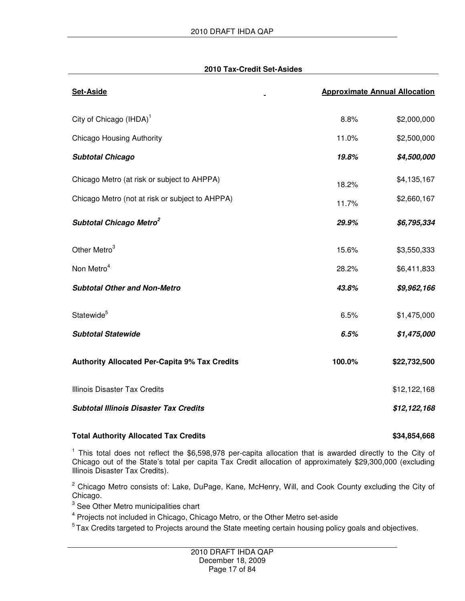#### **2010 Tax-Credit Set-Asides**

| <b>Set-Aside</b>                                     |        | <b>Approximate Annual Allocation</b> |
|------------------------------------------------------|--------|--------------------------------------|
| City of Chicago (IHDA) <sup>1</sup>                  | 8.8%   | \$2,000,000                          |
| <b>Chicago Housing Authority</b>                     | 11.0%  | \$2,500,000                          |
| <b>Subtotal Chicago</b>                              | 19.8%  | \$4,500,000                          |
| Chicago Metro (at risk or subject to AHPPA)          | 18.2%  | \$4,135,167                          |
| Chicago Metro (not at risk or subject to AHPPA)      | 11.7%  | \$2,660,167                          |
| Subtotal Chicago Metro <sup>2</sup>                  | 29.9%  | \$6,795,334                          |
| Other Metro <sup>3</sup>                             | 15.6%  | \$3,550,333                          |
| Non Metro <sup>4</sup>                               | 28.2%  | \$6,411,833                          |
| <b>Subtotal Other and Non-Metro</b>                  | 43.8%  | \$9,962,166                          |
| Statewide <sup>5</sup>                               | 6.5%   | \$1,475,000                          |
| <b>Subtotal Statewide</b>                            | 6.5%   | \$1,475,000                          |
| <b>Authority Allocated Per-Capita 9% Tax Credits</b> | 100.0% | \$22,732,500                         |
| <b>Illinois Disaster Tax Credits</b>                 |        | \$12,122,168                         |
| <b>Subtotal Illinois Disaster Tax Credits</b>        |        | \$12,122,168                         |

## Total Authority Allocated Tax Credits **\$34,854,668** \$34,854,668

<sup>1</sup> This total does not reflect the \$6,598,978 per-capita allocation that is awarded directly to the City of Chicago out of the State's total per capita Tax Credit allocation of approximately \$29,300,000 (excluding Illinois Disaster Tax Credits).

<sup>2</sup> Chicago Metro consists of: Lake, DuPage, Kane, McHenry, Will, and Cook County excluding the City of Chicago.

 $3$  See Other Metro municipalities chart

<sup>4</sup> Projects not included in Chicago, Chicago Metro, or the Other Metro set-aside

<sup>5</sup> Tax Credits targeted to Projects around the State meeting certain housing policy goals and objectives.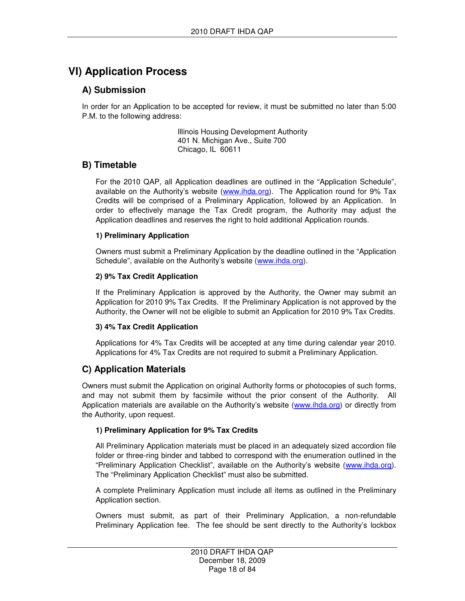# **VI) Application Process**

## **A) Submission**

In order for an Application to be accepted for review, it must be submitted no later than 5:00 P.M. to the following address:

> Illinois Housing Development Authority 401 N. Michigan Ave., Suite 700 Chicago, IL 60611

## **B) Timetable**

For the 2010 QAP, all Application deadlines are outlined in the "Application Schedule", available on the Authority's website (www.ihda.org). The Application round for 9% Tax Credits will be comprised of a Preliminary Application, followed by an Application. In order to effectively manage the Tax Credit program, the Authority may adjust the Application deadlines and reserves the right to hold additional Application rounds.

## **1) Preliminary Application**

Owners must submit a Preliminary Application by the deadline outlined in the "Application Schedule", available on the Authority's website (www.ihda.org).

## **2) 9% Tax Credit Application**

If the Preliminary Application is approved by the Authority, the Owner may submit an Application for 2010 9% Tax Credits. If the Preliminary Application is not approved by the Authority, the Owner will not be eligible to submit an Application for 2010 9% Tax Credits.

## **3) 4% Tax Credit Application**

Applications for 4% Tax Credits will be accepted at any time during calendar year 2010. Applications for 4% Tax Credits are not required to submit a Preliminary Application.

## **C) Application Materials**

Owners must submit the Application on original Authority forms or photocopies of such forms, and may not submit them by facsimile without the prior consent of the Authority. All Application materials are available on the Authority's website (www.ihda.org) or directly from the Authority, upon request.

## **1) Preliminary Application for 9% Tax Credits**

All Preliminary Application materials must be placed in an adequately sized accordion file folder or three-ring binder and tabbed to correspond with the enumeration outlined in the "Preliminary Application Checklist", available on the Authority's website (www.ihda.org). The "Preliminary Application Checklist" must also be submitted.

A complete Preliminary Application must include all items as outlined in the Preliminary Application section.

Owners must submit, as part of their Preliminary Application, a non-refundable Preliminary Application fee. The fee should be sent directly to the Authority's lockbox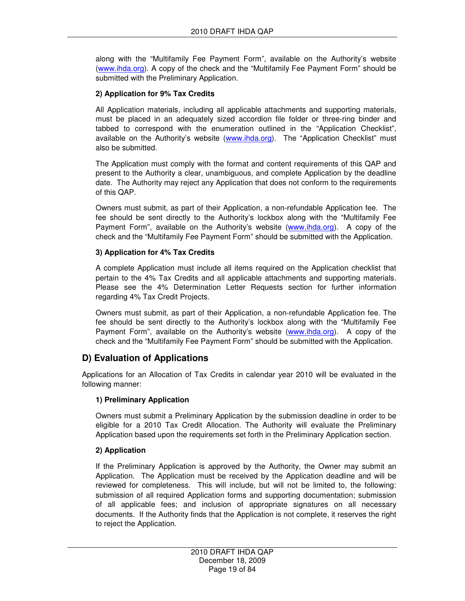along with the "Multifamily Fee Payment Form", available on the Authority's website (www.ihda.org). A copy of the check and the "Multifamily Fee Payment Form" should be submitted with the Preliminary Application.

## **2) Application for 9% Tax Credits**

All Application materials, including all applicable attachments and supporting materials, must be placed in an adequately sized accordion file folder or three-ring binder and tabbed to correspond with the enumeration outlined in the "Application Checklist", available on the Authority's website (www.ihda.org). The "Application Checklist" must also be submitted.

The Application must comply with the format and content requirements of this QAP and present to the Authority a clear, unambiguous, and complete Application by the deadline date. The Authority may reject any Application that does not conform to the requirements of this QAP.

Owners must submit, as part of their Application, a non-refundable Application fee. The fee should be sent directly to the Authority's lockbox along with the "Multifamily Fee Payment Form", available on the Authority's website (www.ihda.org). A copy of the check and the "Multifamily Fee Payment Form" should be submitted with the Application.

## **3) Application for 4% Tax Credits**

A complete Application must include all items required on the Application checklist that pertain to the 4% Tax Credits and all applicable attachments and supporting materials. Please see the 4% Determination Letter Requests section for further information regarding 4% Tax Credit Projects.

Owners must submit, as part of their Application, a non-refundable Application fee. The fee should be sent directly to the Authority's lockbox along with the "Multifamily Fee Payment Form", available on the Authority's website (www.ihda.org). A copy of the check and the "Multifamily Fee Payment Form" should be submitted with the Application.

# **D) Evaluation of Applications**

Applications for an Allocation of Tax Credits in calendar year 2010 will be evaluated in the following manner:

## **1) Preliminary Application**

Owners must submit a Preliminary Application by the submission deadline in order to be eligible for a 2010 Tax Credit Allocation. The Authority will evaluate the Preliminary Application based upon the requirements set forth in the Preliminary Application section.

## **2) Application**

If the Preliminary Application is approved by the Authority, the Owner may submit an Application. The Application must be received by the Application deadline and will be reviewed for completeness. This will include, but will not be limited to, the following: submission of all required Application forms and supporting documentation; submission of all applicable fees; and inclusion of appropriate signatures on all necessary documents. If the Authority finds that the Application is not complete, it reserves the right to reject the Application.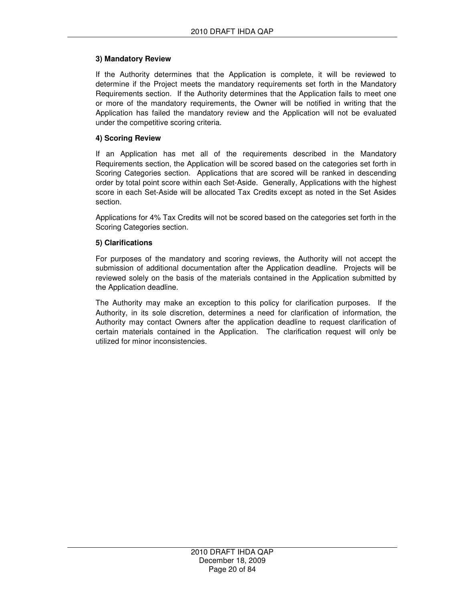## **3) Mandatory Review**

If the Authority determines that the Application is complete, it will be reviewed to determine if the Project meets the mandatory requirements set forth in the Mandatory Requirements section. If the Authority determines that the Application fails to meet one or more of the mandatory requirements, the Owner will be notified in writing that the Application has failed the mandatory review and the Application will not be evaluated under the competitive scoring criteria.

#### **4) Scoring Review**

If an Application has met all of the requirements described in the Mandatory Requirements section, the Application will be scored based on the categories set forth in Scoring Categories section. Applications that are scored will be ranked in descending order by total point score within each Set-Aside. Generally, Applications with the highest score in each Set-Aside will be allocated Tax Credits except as noted in the Set Asides section.

Applications for 4% Tax Credits will not be scored based on the categories set forth in the Scoring Categories section.

#### **5) Clarifications**

For purposes of the mandatory and scoring reviews, the Authority will not accept the submission of additional documentation after the Application deadline. Projects will be reviewed solely on the basis of the materials contained in the Application submitted by the Application deadline.

The Authority may make an exception to this policy for clarification purposes. If the Authority, in its sole discretion, determines a need for clarification of information, the Authority may contact Owners after the application deadline to request clarification of certain materials contained in the Application. The clarification request will only be utilized for minor inconsistencies.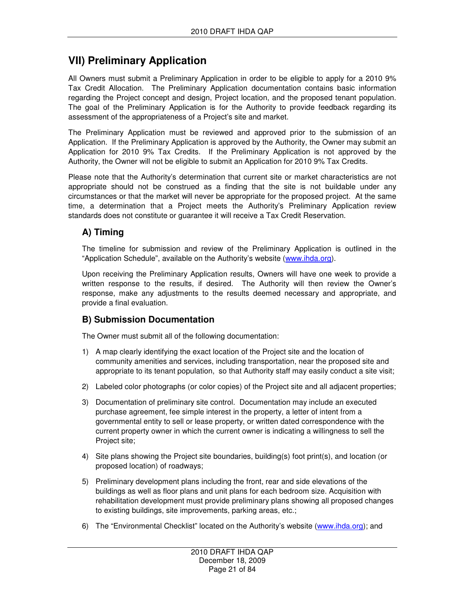# **VII) Preliminary Application**

All Owners must submit a Preliminary Application in order to be eligible to apply for a 2010 9% Tax Credit Allocation. The Preliminary Application documentation contains basic information regarding the Project concept and design, Project location, and the proposed tenant population. The goal of the Preliminary Application is for the Authority to provide feedback regarding its assessment of the appropriateness of a Project's site and market.

The Preliminary Application must be reviewed and approved prior to the submission of an Application. If the Preliminary Application is approved by the Authority, the Owner may submit an Application for 2010 9% Tax Credits. If the Preliminary Application is not approved by the Authority, the Owner will not be eligible to submit an Application for 2010 9% Tax Credits.

Please note that the Authority's determination that current site or market characteristics are not appropriate should not be construed as a finding that the site is not buildable under any circumstances or that the market will never be appropriate for the proposed project. At the same time, a determination that a Project meets the Authority's Preliminary Application review standards does not constitute or guarantee it will receive a Tax Credit Reservation.

# **A) Timing**

The timeline for submission and review of the Preliminary Application is outlined in the "Application Schedule", available on the Authority's website (www.ihda.org).

Upon receiving the Preliminary Application results, Owners will have one week to provide a written response to the results, if desired. The Authority will then review the Owner's response, make any adjustments to the results deemed necessary and appropriate, and provide a final evaluation.

## **B) Submission Documentation**

The Owner must submit all of the following documentation:

- 1) A map clearly identifying the exact location of the Project site and the location of community amenities and services, including transportation, near the proposed site and appropriate to its tenant population, so that Authority staff may easily conduct a site visit;
- 2) Labeled color photographs (or color copies) of the Project site and all adjacent properties;
- 3) Documentation of preliminary site control. Documentation may include an executed purchase agreement, fee simple interest in the property, a letter of intent from a governmental entity to sell or lease property, or written dated correspondence with the current property owner in which the current owner is indicating a willingness to sell the Project site;
- 4) Site plans showing the Project site boundaries, building(s) foot print(s), and location (or proposed location) of roadways;
- 5) Preliminary development plans including the front, rear and side elevations of the buildings as well as floor plans and unit plans for each bedroom size. Acquisition with rehabilitation development must provide preliminary plans showing all proposed changes to existing buildings, site improvements, parking areas, etc.;
- 6) The "Environmental Checklist" located on the Authority's website (www.ihda.org); and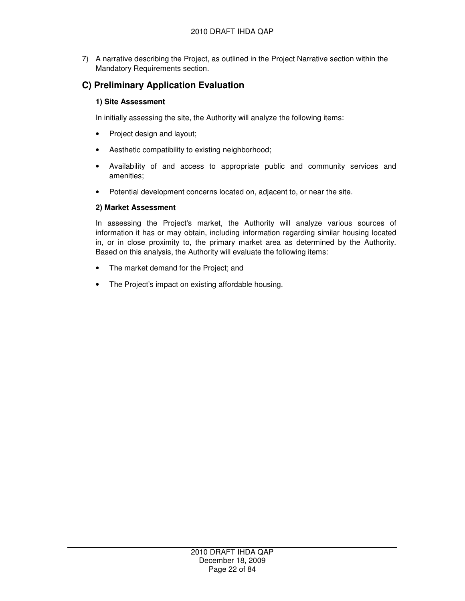7) A narrative describing the Project, as outlined in the Project Narrative section within the Mandatory Requirements section.

## **C) Preliminary Application Evaluation**

## **1) Site Assessment**

In initially assessing the site, the Authority will analyze the following items:

- Project design and layout;
- Aesthetic compatibility to existing neighborhood;
- Availability of and access to appropriate public and community services and amenities;
- Potential development concerns located on, adjacent to, or near the site.

## **2) Market Assessment**

In assessing the Project's market, the Authority will analyze various sources of information it has or may obtain, including information regarding similar housing located in, or in close proximity to, the primary market area as determined by the Authority. Based on this analysis, the Authority will evaluate the following items:

- The market demand for the Project; and
- The Project's impact on existing affordable housing.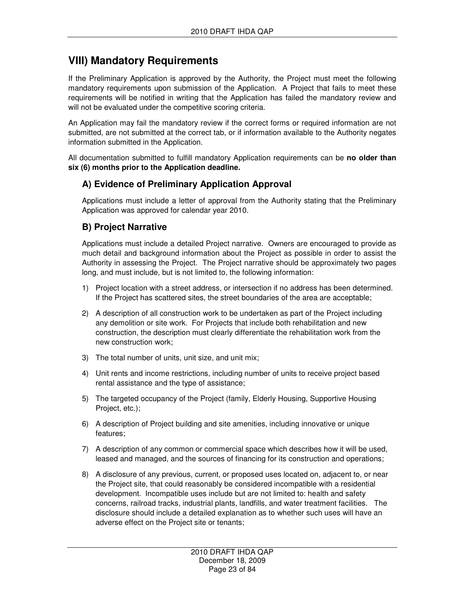# **VIII) Mandatory Requirements**

If the Preliminary Application is approved by the Authority, the Project must meet the following mandatory requirements upon submission of the Application. A Project that fails to meet these requirements will be notified in writing that the Application has failed the mandatory review and will not be evaluated under the competitive scoring criteria.

An Application may fail the mandatory review if the correct forms or required information are not submitted, are not submitted at the correct tab, or if information available to the Authority negates information submitted in the Application.

All documentation submitted to fulfill mandatory Application requirements can be **no older than six (6) months prior to the Application deadline.** 

## **A) Evidence of Preliminary Application Approval**

Applications must include a letter of approval from the Authority stating that the Preliminary Application was approved for calendar year 2010.

## **B) Project Narrative**

Applications must include a detailed Project narrative. Owners are encouraged to provide as much detail and background information about the Project as possible in order to assist the Authority in assessing the Project. The Project narrative should be approximately two pages long, and must include, but is not limited to, the following information:

- 1) Project location with a street address, or intersection if no address has been determined. If the Project has scattered sites, the street boundaries of the area are acceptable;
- 2) A description of all construction work to be undertaken as part of the Project including any demolition or site work. For Projects that include both rehabilitation and new construction, the description must clearly differentiate the rehabilitation work from the new construction work;
- 3) The total number of units, unit size, and unit mix;
- 4) Unit rents and income restrictions, including number of units to receive project based rental assistance and the type of assistance;
- 5) The targeted occupancy of the Project (family, Elderly Housing, Supportive Housing Project, etc.);
- 6) A description of Project building and site amenities, including innovative or unique features;
- 7) A description of any common or commercial space which describes how it will be used, leased and managed, and the sources of financing for its construction and operations;
- 8) A disclosure of any previous, current, or proposed uses located on, adjacent to, or near the Project site, that could reasonably be considered incompatible with a residential development. Incompatible uses include but are not limited to: health and safety concerns, railroad tracks, industrial plants, landfills, and water treatment facilities. The disclosure should include a detailed explanation as to whether such uses will have an adverse effect on the Project site or tenants;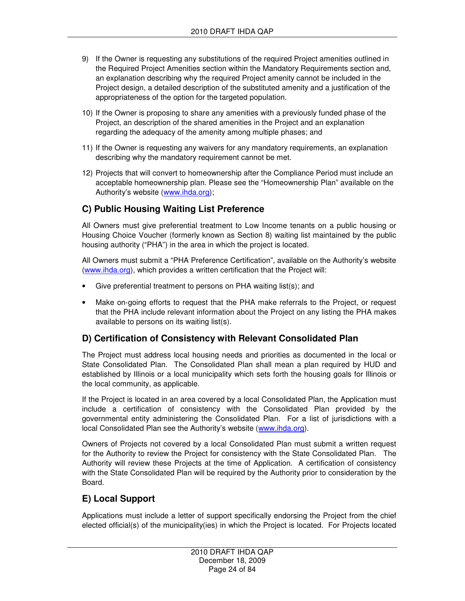- 9) If the Owner is requesting any substitutions of the required Project amenities outlined in the Required Project Amenities section within the Mandatory Requirements section and, an explanation describing why the required Project amenity cannot be included in the Project design, a detailed description of the substituted amenity and a justification of the appropriateness of the option for the targeted population.
- 10) If the Owner is proposing to share any amenities with a previously funded phase of the Project, an description of the shared amenities in the Project and an explanation regarding the adequacy of the amenity among multiple phases; and
- 11) If the Owner is requesting any waivers for any mandatory requirements, an explanation describing why the mandatory requirement cannot be met.
- 12) Projects that will convert to homeownership after the Compliance Period must include an acceptable homeownership plan. Please see the "Homeownership Plan" available on the Authority's website (www.ihda.org);

## **C) Public Housing Waiting List Preference**

All Owners must give preferential treatment to Low Income tenants on a public housing or Housing Choice Voucher (formerly known as Section 8) waiting list maintained by the public housing authority ("PHA") in the area in which the project is located.

All Owners must submit a "PHA Preference Certification", available on the Authority's website (www.ihda.org), which provides a written certification that the Project will:

- Give preferential treatment to persons on PHA waiting list(s); and
- Make on-going efforts to request that the PHA make referrals to the Project, or request that the PHA include relevant information about the Project on any listing the PHA makes available to persons on its waiting list(s).

## **D) Certification of Consistency with Relevant Consolidated Plan**

The Project must address local housing needs and priorities as documented in the local or State Consolidated Plan. The Consolidated Plan shall mean a plan required by HUD and established by Illinois or a local municipality which sets forth the housing goals for Illinois or the local community, as applicable.

If the Project is located in an area covered by a local Consolidated Plan, the Application must include a certification of consistency with the Consolidated Plan provided by the governmental entity administering the Consolidated Plan. For a list of jurisdictions with a local Consolidated Plan see the Authority's website (www.ihda.org).

Owners of Projects not covered by a local Consolidated Plan must submit a written request for the Authority to review the Project for consistency with the State Consolidated Plan. The Authority will review these Projects at the time of Application. A certification of consistency with the State Consolidated Plan will be required by the Authority prior to consideration by the Board.

## **E) Local Support**

Applications must include a letter of support specifically endorsing the Project from the chief elected official(s) of the municipality(ies) in which the Project is located. For Projects located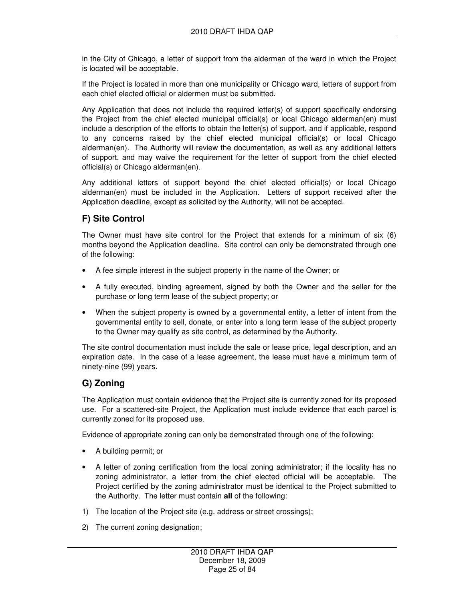in the City of Chicago, a letter of support from the alderman of the ward in which the Project is located will be acceptable.

If the Project is located in more than one municipality or Chicago ward, letters of support from each chief elected official or aldermen must be submitted.

Any Application that does not include the required letter(s) of support specifically endorsing the Project from the chief elected municipal official(s) or local Chicago alderman(en) must include a description of the efforts to obtain the letter(s) of support, and if applicable, respond to any concerns raised by the chief elected municipal official(s) or local Chicago alderman(en). The Authority will review the documentation, as well as any additional letters of support, and may waive the requirement for the letter of support from the chief elected official(s) or Chicago alderman(en).

Any additional letters of support beyond the chief elected official(s) or local Chicago alderman(en) must be included in the Application. Letters of support received after the Application deadline, except as solicited by the Authority, will not be accepted.

# **F) Site Control**

The Owner must have site control for the Project that extends for a minimum of six (6) months beyond the Application deadline. Site control can only be demonstrated through one of the following:

- A fee simple interest in the subject property in the name of the Owner; or
- A fully executed, binding agreement, signed by both the Owner and the seller for the purchase or long term lease of the subject property; or
- When the subject property is owned by a governmental entity, a letter of intent from the governmental entity to sell, donate, or enter into a long term lease of the subject property to the Owner may qualify as site control, as determined by the Authority.

The site control documentation must include the sale or lease price, legal description, and an expiration date. In the case of a lease agreement, the lease must have a minimum term of ninety-nine (99) years.

## **G) Zoning**

The Application must contain evidence that the Project site is currently zoned for its proposed use. For a scattered-site Project, the Application must include evidence that each parcel is currently zoned for its proposed use.

Evidence of appropriate zoning can only be demonstrated through one of the following:

- A building permit; or
- A letter of zoning certification from the local zoning administrator; if the locality has no zoning administrator, a letter from the chief elected official will be acceptable. The Project certified by the zoning administrator must be identical to the Project submitted to the Authority. The letter must contain **all** of the following:
- 1) The location of the Project site (e.g. address or street crossings);
- 2) The current zoning designation;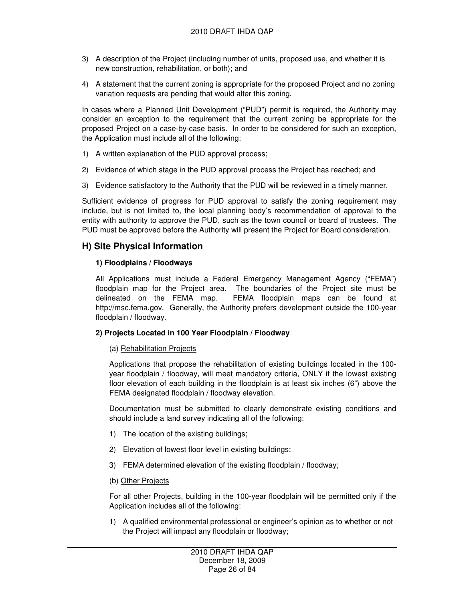- 3) A description of the Project (including number of units, proposed use, and whether it is new construction, rehabilitation, or both); and
- 4) A statement that the current zoning is appropriate for the proposed Project and no zoning variation requests are pending that would alter this zoning.

In cases where a Planned Unit Development ("PUD") permit is required, the Authority may consider an exception to the requirement that the current zoning be appropriate for the proposed Project on a case-by-case basis. In order to be considered for such an exception, the Application must include all of the following:

- 1) A written explanation of the PUD approval process;
- 2) Evidence of which stage in the PUD approval process the Project has reached; and
- 3) Evidence satisfactory to the Authority that the PUD will be reviewed in a timely manner.

Sufficient evidence of progress for PUD approval to satisfy the zoning requirement may include, but is not limited to, the local planning body's recommendation of approval to the entity with authority to approve the PUD, such as the town council or board of trustees. The PUD must be approved before the Authority will present the Project for Board consideration.

## **H) Site Physical Information**

#### **1) Floodplains / Floodways**

All Applications must include a Federal Emergency Management Agency ("FEMA") floodplain map for the Project area. The boundaries of the Project site must be delineated on the FEMA map. FEMA floodplain maps can be found at http://msc.fema.gov. Generally, the Authority prefers development outside the 100-year floodplain / floodway.

## **2) Projects Located in 100 Year Floodplain / Floodway**

## (a) Rehabilitation Projects

Applications that propose the rehabilitation of existing buildings located in the 100 year floodplain / floodway, will meet mandatory criteria, ONLY if the lowest existing floor elevation of each building in the floodplain is at least six inches (6") above the FEMA designated floodplain / floodway elevation.

Documentation must be submitted to clearly demonstrate existing conditions and should include a land survey indicating all of the following:

- 1) The location of the existing buildings;
- 2) Elevation of lowest floor level in existing buildings;
- 3) FEMA determined elevation of the existing floodplain / floodway;
- (b) Other Projects

For all other Projects, building in the 100-year floodplain will be permitted only if the Application includes all of the following:

1) A qualified environmental professional or engineer's opinion as to whether or not the Project will impact any floodplain or floodway;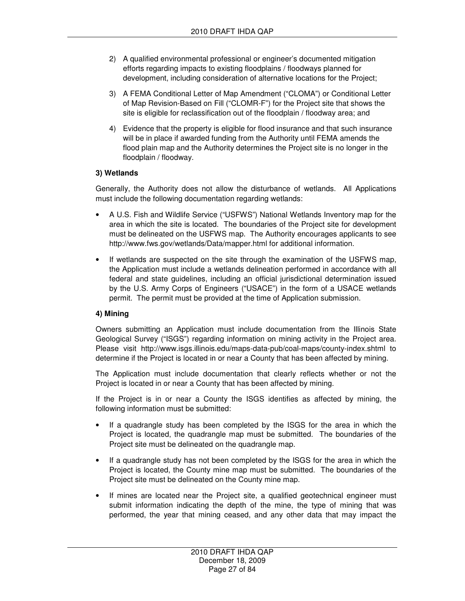- 2) A qualified environmental professional or engineer's documented mitigation efforts regarding impacts to existing floodplains / floodways planned for development, including consideration of alternative locations for the Project;
- 3) A FEMA Conditional Letter of Map Amendment ("CLOMA") or Conditional Letter of Map Revision-Based on Fill ("CLOMR-F") for the Project site that shows the site is eligible for reclassification out of the floodplain / floodway area; and
- 4) Evidence that the property is eligible for flood insurance and that such insurance will be in place if awarded funding from the Authority until FEMA amends the flood plain map and the Authority determines the Project site is no longer in the floodplain / floodway.

## **3) Wetlands**

Generally, the Authority does not allow the disturbance of wetlands. All Applications must include the following documentation regarding wetlands:

- A U.S. Fish and Wildlife Service ("USFWS") National Wetlands Inventory map for the area in which the site is located. The boundaries of the Project site for development must be delineated on the USFWS map. The Authority encourages applicants to see http://www.fws.gov/wetlands/Data/mapper.html for additional information.
- If wetlands are suspected on the site through the examination of the USFWS map, the Application must include a wetlands delineation performed in accordance with all federal and state guidelines, including an official jurisdictional determination issued by the U.S. Army Corps of Engineers ("USACE") in the form of a USACE wetlands permit. The permit must be provided at the time of Application submission.

## **4) Mining**

Owners submitting an Application must include documentation from the Illinois State Geological Survey ("ISGS") regarding information on mining activity in the Project area. Please visit http://www.isgs.illinois.edu/maps-data-pub/coal-maps/county-index.shtml to determine if the Project is located in or near a County that has been affected by mining.

The Application must include documentation that clearly reflects whether or not the Project is located in or near a County that has been affected by mining.

If the Project is in or near a County the ISGS identifies as affected by mining, the following information must be submitted:

- If a quadrangle study has been completed by the ISGS for the area in which the Project is located, the quadrangle map must be submitted. The boundaries of the Project site must be delineated on the quadrangle map.
- If a quadrangle study has not been completed by the ISGS for the area in which the Project is located, the County mine map must be submitted. The boundaries of the Project site must be delineated on the County mine map.
- If mines are located near the Project site, a qualified geotechnical engineer must submit information indicating the depth of the mine, the type of mining that was performed, the year that mining ceased, and any other data that may impact the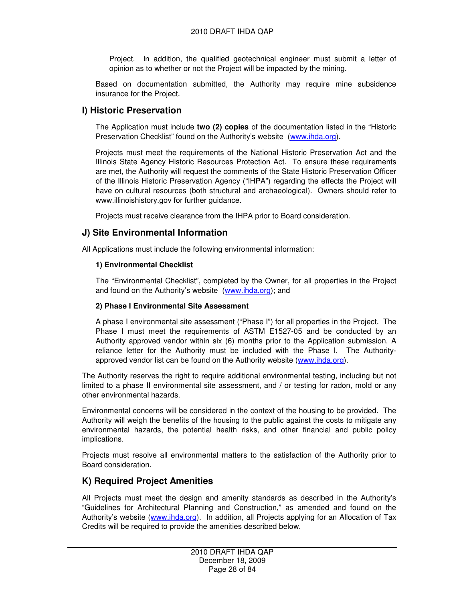Project. In addition, the qualified geotechnical engineer must submit a letter of opinion as to whether or not the Project will be impacted by the mining.

Based on documentation submitted, the Authority may require mine subsidence insurance for the Project.

## **I) Historic Preservation**

The Application must include **two (2) copies** of the documentation listed in the "Historic Preservation Checklist" found on the Authority's website (www.ihda.org).

Projects must meet the requirements of the National Historic Preservation Act and the Illinois State Agency Historic Resources Protection Act. To ensure these requirements are met, the Authority will request the comments of the State Historic Preservation Officer of the Illinois Historic Preservation Agency ("IHPA") regarding the effects the Project will have on cultural resources (both structural and archaeological). Owners should refer to www.illinoishistory.gov for further guidance.

Projects must receive clearance from the IHPA prior to Board consideration.

## **J) Site Environmental Information**

All Applications must include the following environmental information:

#### **1) Environmental Checklist**

The "Environmental Checklist", completed by the Owner, for all properties in the Project and found on the Authority's website (www.ihda.org); and

#### **2) Phase I Environmental Site Assessment**

A phase I environmental site assessment ("Phase I") for all properties in the Project. The Phase I must meet the requirements of ASTM E1527-05 and be conducted by an Authority approved vendor within six (6) months prior to the Application submission. A reliance letter for the Authority must be included with the Phase I. The Authorityapproved vendor list can be found on the Authority website (www.ihda.org).

The Authority reserves the right to require additional environmental testing, including but not limited to a phase II environmental site assessment, and / or testing for radon, mold or any other environmental hazards.

Environmental concerns will be considered in the context of the housing to be provided. The Authority will weigh the benefits of the housing to the public against the costs to mitigate any environmental hazards, the potential health risks, and other financial and public policy implications.

Projects must resolve all environmental matters to the satisfaction of the Authority prior to Board consideration.

## **K) Required Project Amenities**

All Projects must meet the design and amenity standards as described in the Authority's "Guidelines for Architectural Planning and Construction," as amended and found on the Authority's website (www.ihda.org). In addition, all Projects applying for an Allocation of Tax Credits will be required to provide the amenities described below.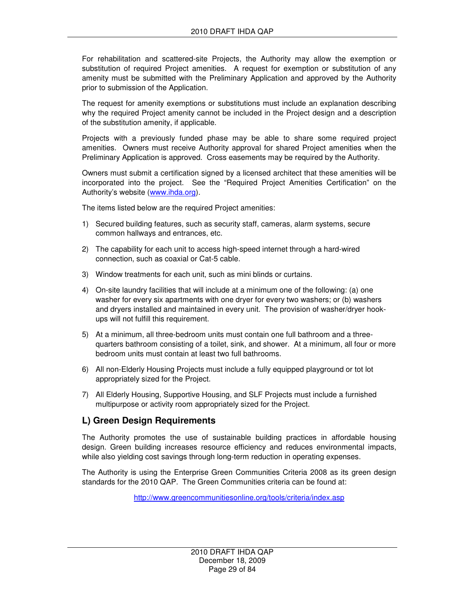For rehabilitation and scattered-site Projects, the Authority may allow the exemption or substitution of required Project amenities. A request for exemption or substitution of any amenity must be submitted with the Preliminary Application and approved by the Authority prior to submission of the Application.

The request for amenity exemptions or substitutions must include an explanation describing why the required Project amenity cannot be included in the Project design and a description of the substitution amenity, if applicable.

Projects with a previously funded phase may be able to share some required project amenities. Owners must receive Authority approval for shared Project amenities when the Preliminary Application is approved. Cross easements may be required by the Authority.

Owners must submit a certification signed by a licensed architect that these amenities will be incorporated into the project. See the "Required Project Amenities Certification" on the Authority's website (www.ihda.org).

The items listed below are the required Project amenities:

- 1) Secured building features, such as security staff, cameras, alarm systems, secure common hallways and entrances, etc.
- 2) The capability for each unit to access high-speed internet through a hard-wired connection, such as coaxial or Cat-5 cable.
- 3) Window treatments for each unit, such as mini blinds or curtains.
- 4) On-site laundry facilities that will include at a minimum one of the following: (a) one washer for every six apartments with one dryer for every two washers; or (b) washers and dryers installed and maintained in every unit. The provision of washer/dryer hookups will not fulfill this requirement.
- 5) At a minimum, all three-bedroom units must contain one full bathroom and a threequarters bathroom consisting of a toilet, sink, and shower. At a minimum, all four or more bedroom units must contain at least two full bathrooms.
- 6) All non-Elderly Housing Projects must include a fully equipped playground or tot lot appropriately sized for the Project.
- 7) All Elderly Housing, Supportive Housing, and SLF Projects must include a furnished multipurpose or activity room appropriately sized for the Project.

## **L) Green Design Requirements**

The Authority promotes the use of sustainable building practices in affordable housing design. Green building increases resource efficiency and reduces environmental impacts, while also yielding cost savings through long-term reduction in operating expenses.

The Authority is using the Enterprise Green Communities Criteria 2008 as its green design standards for the 2010 QAP. The Green Communities criteria can be found at:

http://www.greencommunitiesonline.org/tools/criteria/index.asp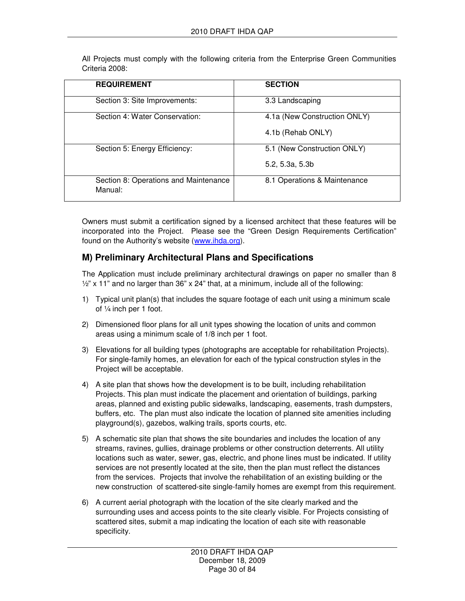All Projects must comply with the following criteria from the Enterprise Green Communities Criteria 2008:

| <b>REQUIREMENT</b>                               | <b>SECTION</b>               |
|--------------------------------------------------|------------------------------|
| Section 3: Site Improvements:                    | 3.3 Landscaping              |
| Section 4: Water Conservation:                   | 4.1a (New Construction ONLY) |
|                                                  | 4.1b (Rehab ONLY)            |
| Section 5: Energy Efficiency:                    | 5.1 (New Construction ONLY)  |
|                                                  | 5.2, 5.3a, 5.3b              |
| Section 8: Operations and Maintenance<br>Manual: | 8.1 Operations & Maintenance |

Owners must submit a certification signed by a licensed architect that these features will be incorporated into the Project. Please see the "Green Design Requirements Certification" found on the Authority's website (www.ihda.org).

## **M) Preliminary Architectural Plans and Specifications**

The Application must include preliminary architectural drawings on paper no smaller than 8  $\frac{1}{2}$ " x 11" and no larger than 36" x 24" that, at a minimum, include all of the following:

- 1) Typical unit plan(s) that includes the square footage of each unit using a minimum scale of ¼ inch per 1 foot.
- 2) Dimensioned floor plans for all unit types showing the location of units and common areas using a minimum scale of 1/8 inch per 1 foot.
- 3) Elevations for all building types (photographs are acceptable for rehabilitation Projects). For single-family homes, an elevation for each of the typical construction styles in the Project will be acceptable.
- 4) A site plan that shows how the development is to be built, including rehabilitation Projects. This plan must indicate the placement and orientation of buildings, parking areas, planned and existing public sidewalks, landscaping, easements, trash dumpsters, buffers, etc. The plan must also indicate the location of planned site amenities including playground(s), gazebos, walking trails, sports courts, etc.
- 5) A schematic site plan that shows the site boundaries and includes the location of any streams, ravines, gullies, drainage problems or other construction deterrents. All utility locations such as water, sewer, gas, electric, and phone lines must be indicated. If utility services are not presently located at the site, then the plan must reflect the distances from the services. Projects that involve the rehabilitation of an existing building or the new construction of scattered-site single-family homes are exempt from this requirement.
- 6) A current aerial photograph with the location of the site clearly marked and the surrounding uses and access points to the site clearly visible. For Projects consisting of scattered sites, submit a map indicating the location of each site with reasonable specificity.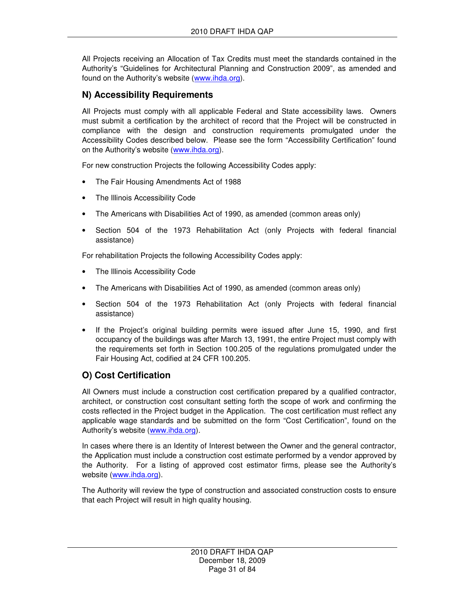All Projects receiving an Allocation of Tax Credits must meet the standards contained in the Authority's "Guidelines for Architectural Planning and Construction 2009", as amended and found on the Authority's website (www.ihda.org).

## **N) Accessibility Requirements**

All Projects must comply with all applicable Federal and State accessibility laws. Owners must submit a certification by the architect of record that the Project will be constructed in compliance with the design and construction requirements promulgated under the Accessibility Codes described below. Please see the form "Accessibility Certification" found on the Authority's website (www.ihda.org).

For new construction Projects the following Accessibility Codes apply:

- The Fair Housing Amendments Act of 1988
- The Illinois Accessibility Code
- The Americans with Disabilities Act of 1990, as amended (common areas only)
- Section 504 of the 1973 Rehabilitation Act (only Projects with federal financial assistance)

For rehabilitation Projects the following Accessibility Codes apply:

- The Illinois Accessibility Code
- The Americans with Disabilities Act of 1990, as amended (common areas only)
- Section 504 of the 1973 Rehabilitation Act (only Projects with federal financial assistance)
- If the Project's original building permits were issued after June 15, 1990, and first occupancy of the buildings was after March 13, 1991, the entire Project must comply with the requirements set forth in Section 100.205 of the regulations promulgated under the Fair Housing Act, codified at 24 CFR 100.205.

## **O) Cost Certification**

All Owners must include a construction cost certification prepared by a qualified contractor, architect, or construction cost consultant setting forth the scope of work and confirming the costs reflected in the Project budget in the Application. The cost certification must reflect any applicable wage standards and be submitted on the form "Cost Certification", found on the Authority's website (www.ihda.org).

In cases where there is an Identity of Interest between the Owner and the general contractor, the Application must include a construction cost estimate performed by a vendor approved by the Authority. For a listing of approved cost estimator firms, please see the Authority's website (www.ihda.org).

The Authority will review the type of construction and associated construction costs to ensure that each Project will result in high quality housing.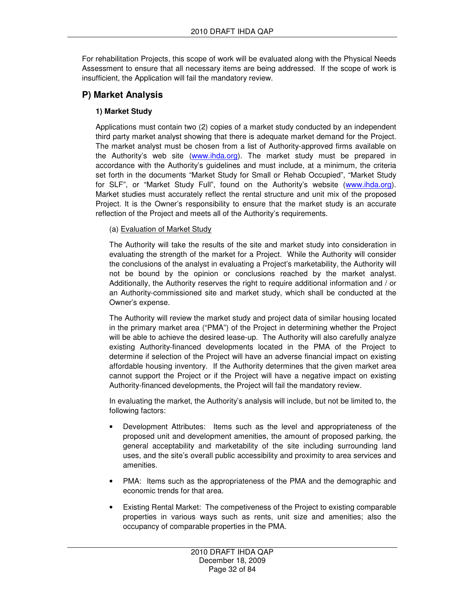For rehabilitation Projects, this scope of work will be evaluated along with the Physical Needs Assessment to ensure that all necessary items are being addressed. If the scope of work is insufficient, the Application will fail the mandatory review.

## **P) Market Analysis**

## **1) Market Study**

Applications must contain two (2) copies of a market study conducted by an independent third party market analyst showing that there is adequate market demand for the Project. The market analyst must be chosen from a list of Authority-approved firms available on the Authority's web site (www.ihda.org). The market study must be prepared in accordance with the Authority's guidelines and must include, at a minimum, the criteria set forth in the documents "Market Study for Small or Rehab Occupied", "Market Study for SLF", or "Market Study Full", found on the Authority's website (www.ihda.org). Market studies must accurately reflect the rental structure and unit mix of the proposed Project. It is the Owner's responsibility to ensure that the market study is an accurate reflection of the Project and meets all of the Authority's requirements.

#### (a) Evaluation of Market Study

The Authority will take the results of the site and market study into consideration in evaluating the strength of the market for a Project. While the Authority will consider the conclusions of the analyst in evaluating a Project's marketability, the Authority will not be bound by the opinion or conclusions reached by the market analyst. Additionally, the Authority reserves the right to require additional information and / or an Authority-commissioned site and market study, which shall be conducted at the Owner's expense.

The Authority will review the market study and project data of similar housing located in the primary market area ("PMA") of the Project in determining whether the Project will be able to achieve the desired lease-up. The Authority will also carefully analyze existing Authority-financed developments located in the PMA of the Project to determine if selection of the Project will have an adverse financial impact on existing affordable housing inventory. If the Authority determines that the given market area cannot support the Project or if the Project will have a negative impact on existing Authority-financed developments, the Project will fail the mandatory review.

In evaluating the market, the Authority's analysis will include, but not be limited to, the following factors:

- Development Attributes: Items such as the level and appropriateness of the proposed unit and development amenities, the amount of proposed parking, the general acceptability and marketability of the site including surrounding land uses, and the site's overall public accessibility and proximity to area services and amenities.
- PMA: Items such as the appropriateness of the PMA and the demographic and economic trends for that area.
- Existing Rental Market: The competiveness of the Project to existing comparable properties in various ways such as rents, unit size and amenities; also the occupancy of comparable properties in the PMA.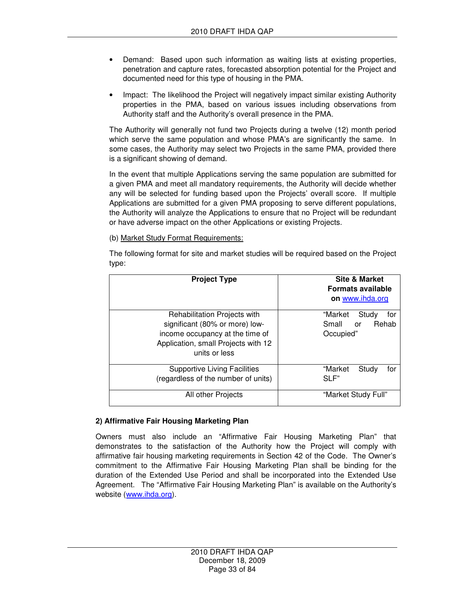- Demand: Based upon such information as waiting lists at existing properties, penetration and capture rates, forecasted absorption potential for the Project and documented need for this type of housing in the PMA.
- Impact: The likelihood the Project will negatively impact similar existing Authority properties in the PMA, based on various issues including observations from Authority staff and the Authority's overall presence in the PMA.

The Authority will generally not fund two Projects during a twelve (12) month period which serve the same population and whose PMA's are significantly the same. In some cases, the Authority may select two Projects in the same PMA, provided there is a significant showing of demand.

In the event that multiple Applications serving the same population are submitted for a given PMA and meet all mandatory requirements, the Authority will decide whether any will be selected for funding based upon the Projects' overall score. If multiple Applications are submitted for a given PMA proposing to serve different populations, the Authority will analyze the Applications to ensure that no Project will be redundant or have adverse impact on the other Applications or existing Projects.

(b) Market Study Format Requirements:

The following format for site and market studies will be required based on the Project type:

| <b>Project Type</b>                                                                                                                                       | <b>Site &amp; Market</b><br><b>Formats available</b><br>on www.ihda.org |  |  |
|-----------------------------------------------------------------------------------------------------------------------------------------------------------|-------------------------------------------------------------------------|--|--|
| Rehabilitation Projects with<br>significant (80% or more) low-<br>income occupancy at the time of<br>Application, small Projects with 12<br>units or less | "Market<br>Study<br>for<br>Small<br>Rehab<br>or<br>Occupied"            |  |  |
| <b>Supportive Living Facilities</b><br>(regardless of the number of units)                                                                                | "Market<br>Study<br>for<br>SLF                                          |  |  |
| All other Projects                                                                                                                                        | "Market Study Full"                                                     |  |  |

## **2) Affirmative Fair Housing Marketing Plan**

Owners must also include an "Affirmative Fair Housing Marketing Plan" that demonstrates to the satisfaction of the Authority how the Project will comply with affirmative fair housing marketing requirements in Section 42 of the Code. The Owner's commitment to the Affirmative Fair Housing Marketing Plan shall be binding for the duration of the Extended Use Period and shall be incorporated into the Extended Use Agreement. The "Affirmative Fair Housing Marketing Plan" is available on the Authority's website (www.ihda.org).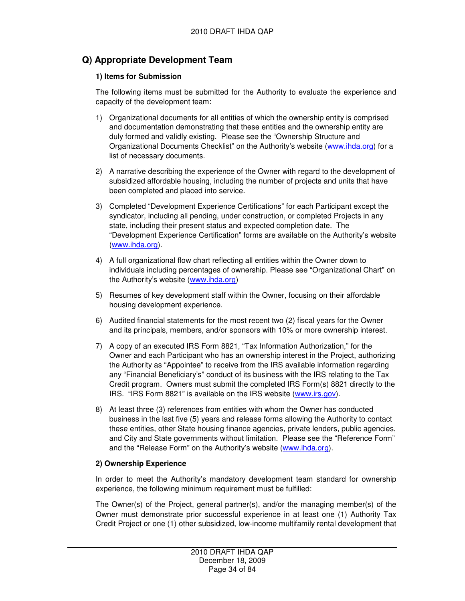## **Q) Appropriate Development Team**

## **1) Items for Submission**

The following items must be submitted for the Authority to evaluate the experience and capacity of the development team:

- 1) Organizational documents for all entities of which the ownership entity is comprised and documentation demonstrating that these entities and the ownership entity are duly formed and validly existing. Please see the "Ownership Structure and Organizational Documents Checklist" on the Authority's website (www.ihda.org) for a list of necessary documents.
- 2) A narrative describing the experience of the Owner with regard to the development of subsidized affordable housing, including the number of projects and units that have been completed and placed into service.
- 3) Completed "Development Experience Certifications" for each Participant except the syndicator, including all pending, under construction, or completed Projects in any state, including their present status and expected completion date. The "Development Experience Certification" forms are available on the Authority's website (www.ihda.org).
- 4) A full organizational flow chart reflecting all entities within the Owner down to individuals including percentages of ownership. Please see "Organizational Chart" on the Authority's website (www.ihda.org)
- 5) Resumes of key development staff within the Owner, focusing on their affordable housing development experience.
- 6) Audited financial statements for the most recent two (2) fiscal years for the Owner and its principals, members, and/or sponsors with 10% or more ownership interest.
- 7) A copy of an executed IRS Form 8821, "Tax Information Authorization," for the Owner and each Participant who has an ownership interest in the Project, authorizing the Authority as "Appointee" to receive from the IRS available information regarding any "Financial Beneficiary's" conduct of its business with the IRS relating to the Tax Credit program. Owners must submit the completed IRS Form(s) 8821 directly to the IRS. "IRS Form 8821" is available on the IRS website (www.irs.gov).
- 8) At least three (3) references from entities with whom the Owner has conducted business in the last five (5) years and release forms allowing the Authority to contact these entities, other State housing finance agencies, private lenders, public agencies, and City and State governments without limitation. Please see the "Reference Form" and the "Release Form" on the Authority's website (www.ihda.org).

## **2) Ownership Experience**

In order to meet the Authority's mandatory development team standard for ownership experience, the following minimum requirement must be fulfilled:

The Owner(s) of the Project, general partner(s), and/or the managing member(s) of the Owner must demonstrate prior successful experience in at least one (1) Authority Tax Credit Project or one (1) other subsidized, low-income multifamily rental development that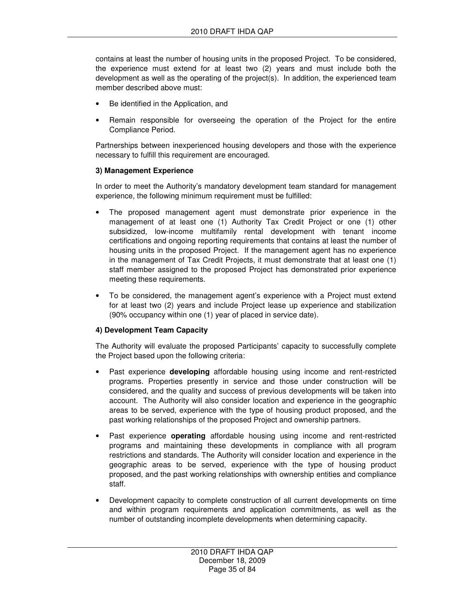contains at least the number of housing units in the proposed Project. To be considered, the experience must extend for at least two (2) years and must include both the development as well as the operating of the project(s). In addition, the experienced team member described above must:

- Be identified in the Application, and
- Remain responsible for overseeing the operation of the Project for the entire Compliance Period.

Partnerships between inexperienced housing developers and those with the experience necessary to fulfill this requirement are encouraged.

## **3) Management Experience**

In order to meet the Authority's mandatory development team standard for management experience, the following minimum requirement must be fulfilled:

- The proposed management agent must demonstrate prior experience in the management of at least one (1) Authority Tax Credit Project or one (1) other subsidized, low-income multifamily rental development with tenant income certifications and ongoing reporting requirements that contains at least the number of housing units in the proposed Project. If the management agent has no experience in the management of Tax Credit Projects, it must demonstrate that at least one (1) staff member assigned to the proposed Project has demonstrated prior experience meeting these requirements.
- To be considered, the management agent's experience with a Project must extend for at least two (2) years and include Project lease up experience and stabilization (90% occupancy within one (1) year of placed in service date).

## **4) Development Team Capacity**

The Authority will evaluate the proposed Participants' capacity to successfully complete the Project based upon the following criteria:

- Past experience **developing** affordable housing using income and rent-restricted programs. Properties presently in service and those under construction will be considered, and the quality and success of previous developments will be taken into account. The Authority will also consider location and experience in the geographic areas to be served, experience with the type of housing product proposed, and the past working relationships of the proposed Project and ownership partners.
- Past experience **operating** affordable housing using income and rent-restricted programs and maintaining these developments in compliance with all program restrictions and standards. The Authority will consider location and experience in the geographic areas to be served, experience with the type of housing product proposed, and the past working relationships with ownership entities and compliance staff.
- Development capacity to complete construction of all current developments on time and within program requirements and application commitments, as well as the number of outstanding incomplete developments when determining capacity.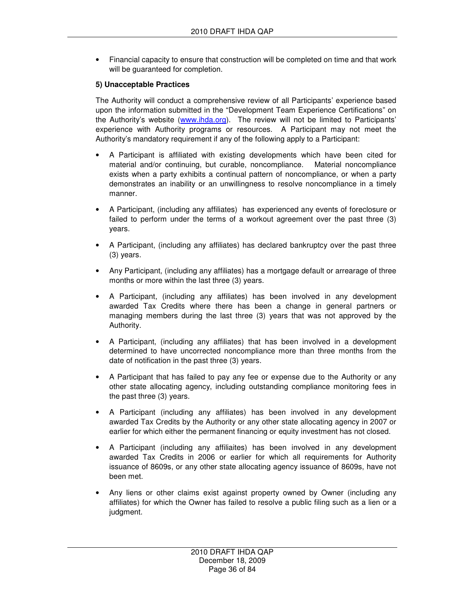• Financial capacity to ensure that construction will be completed on time and that work will be guaranteed for completion.

## **5) Unacceptable Practices**

The Authority will conduct a comprehensive review of all Participants' experience based upon the information submitted in the "Development Team Experience Certifications" on the Authority's website (www.ihda.org). The review will not be limited to Participants' experience with Authority programs or resources. A Participant may not meet the Authority's mandatory requirement if any of the following apply to a Participant:

- A Participant is affiliated with existing developments which have been cited for material and/or continuing, but curable, noncompliance. Material noncompliance exists when a party exhibits a continual pattern of noncompliance, or when a party demonstrates an inability or an unwillingness to resolve noncompliance in a timely manner.
- A Participant, (including any affiliates) has experienced any events of foreclosure or failed to perform under the terms of a workout agreement over the past three (3) years.
- A Participant, (including any affiliates) has declared bankruptcy over the past three (3) years.
- Any Participant, (including any affiliates) has a mortgage default or arrearage of three months or more within the last three (3) years.
- A Participant, (including any affiliates) has been involved in any development awarded Tax Credits where there has been a change in general partners or managing members during the last three (3) years that was not approved by the Authority.
- A Participant, (including any affiliates) that has been involved in a development determined to have uncorrected noncompliance more than three months from the date of notification in the past three (3) years.
- A Participant that has failed to pay any fee or expense due to the Authority or any other state allocating agency, including outstanding compliance monitoring fees in the past three (3) years.
- A Participant (including any affiliates) has been involved in any development awarded Tax Credits by the Authority or any other state allocating agency in 2007 or earlier for which either the permanent financing or equity investment has not closed.
- A Participant (including any affiliaites) has been involved in any development awarded Tax Credits in 2006 or earlier for which all requirements for Authority issuance of 8609s, or any other state allocating agency issuance of 8609s, have not been met.
- Any liens or other claims exist against property owned by Owner (including any affiliates) for which the Owner has failed to resolve a public filing such as a lien or a judgment.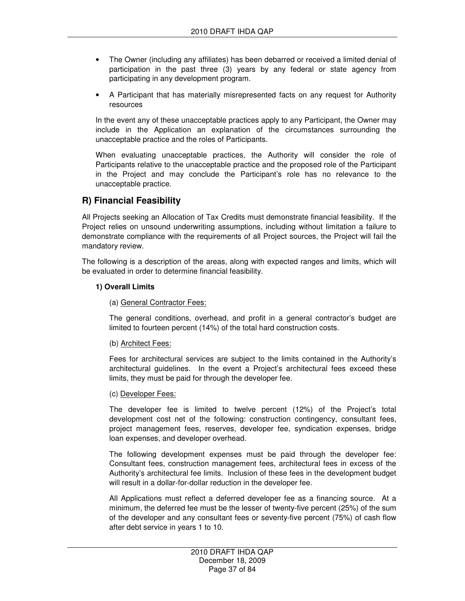- The Owner (including any affiliates) has been debarred or received a limited denial of participation in the past three (3) years by any federal or state agency from participating in any development program.
- A Participant that has materially misrepresented facts on any request for Authority resources

In the event any of these unacceptable practices apply to any Participant, the Owner may include in the Application an explanation of the circumstances surrounding the unacceptable practice and the roles of Participants.

When evaluating unacceptable practices, the Authority will consider the role of Participants relative to the unacceptable practice and the proposed role of the Participant in the Project and may conclude the Participant's role has no relevance to the unacceptable practice.

### **R) Financial Feasibility**

All Projects seeking an Allocation of Tax Credits must demonstrate financial feasibility. If the Project relies on unsound underwriting assumptions, including without limitation a failure to demonstrate compliance with the requirements of all Project sources, the Project will fail the mandatory review.

The following is a description of the areas, along with expected ranges and limits, which will be evaluated in order to determine financial feasibility.

#### **1) Overall Limits**

#### (a) General Contractor Fees:

The general conditions, overhead, and profit in a general contractor's budget are limited to fourteen percent (14%) of the total hard construction costs.

#### (b) Architect Fees:

Fees for architectural services are subject to the limits contained in the Authority's architectural guidelines. In the event a Project's architectural fees exceed these limits, they must be paid for through the developer fee.

#### (c) Developer Fees:

The developer fee is limited to twelve percent (12%) of the Project's total development cost net of the following: construction contingency, consultant fees, project management fees, reserves, developer fee, syndication expenses, bridge loan expenses, and developer overhead.

The following development expenses must be paid through the developer fee: Consultant fees, construction management fees, architectural fees in excess of the Authority's architectural fee limits. Inclusion of these fees in the development budget will result in a dollar-for-dollar reduction in the developer fee.

All Applications must reflect a deferred developer fee as a financing source. At a minimum, the deferred fee must be the lesser of twenty-five percent (25%) of the sum of the developer and any consultant fees or seventy-five percent (75%) of cash flow after debt service in years 1 to 10.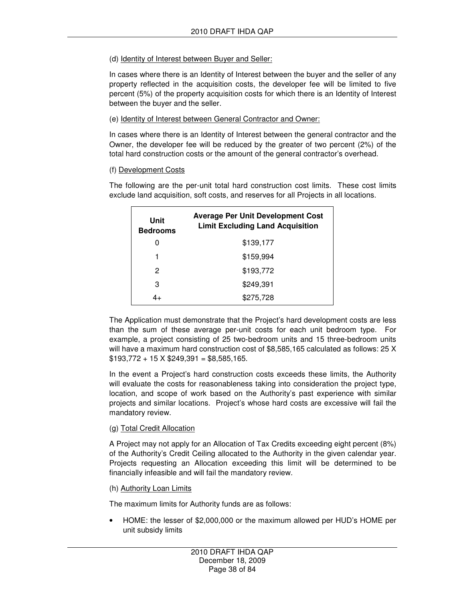### (d) Identity of Interest between Buyer and Seller:

In cases where there is an Identity of Interest between the buyer and the seller of any property reflected in the acquisition costs, the developer fee will be limited to five percent (5%) of the property acquisition costs for which there is an Identity of Interest between the buyer and the seller.

### (e) Identity of Interest between General Contractor and Owner:

In cases where there is an Identity of Interest between the general contractor and the Owner, the developer fee will be reduced by the greater of two percent (2%) of the total hard construction costs or the amount of the general contractor's overhead.

### (f) Development Costs

The following are the per-unit total hard construction cost limits. These cost limits exclude land acquisition, soft costs, and reserves for all Projects in all locations.

| <b>Limit Excluding Land Acquisition</b><br><b>Bedrooms</b> |  |
|------------------------------------------------------------|--|
| \$139,177<br>O                                             |  |
| \$159,994<br>1                                             |  |
| \$193,772<br>2                                             |  |
| \$249.391<br>З                                             |  |
| \$275,728<br>4+                                            |  |

The Application must demonstrate that the Project's hard development costs are less than the sum of these average per-unit costs for each unit bedroom type. For example, a project consisting of 25 two-bedroom units and 15 three-bedroom units will have a maximum hard construction cost of \$8,585,165 calculated as follows: 25 X  $$193,772 + 15 \times $249,391 = $8,585,165.$ 

In the event a Project's hard construction costs exceeds these limits, the Authority will evaluate the costs for reasonableness taking into consideration the project type, location, and scope of work based on the Authority's past experience with similar projects and similar locations. Project's whose hard costs are excessive will fail the mandatory review.

### (g) Total Credit Allocation

A Project may not apply for an Allocation of Tax Credits exceeding eight percent (8%) of the Authority's Credit Ceiling allocated to the Authority in the given calendar year. Projects requesting an Allocation exceeding this limit will be determined to be financially infeasible and will fail the mandatory review.

#### (h) Authority Loan Limits

The maximum limits for Authority funds are as follows:

• HOME: the lesser of \$2,000,000 or the maximum allowed per HUD's HOME per unit subsidy limits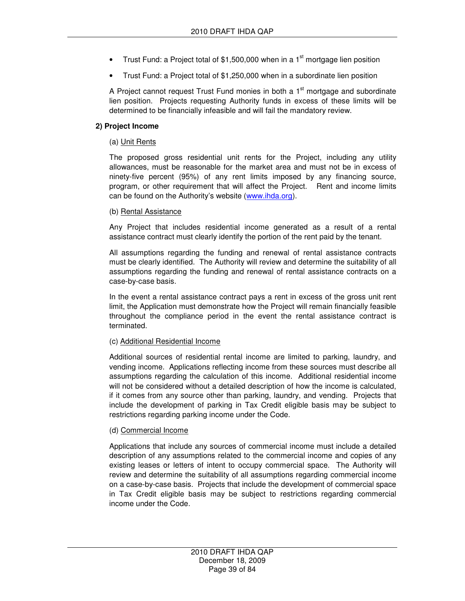- Trust Fund: a Project total of \$1,500,000 when in a 1 $\mathrm{^{st}}$  mortgage lien position
- Trust Fund: a Project total of \$1,250,000 when in a subordinate lien position

A Project cannot request Trust Fund monies in both a  $1<sup>st</sup>$  mortgage and subordinate lien position. Projects requesting Authority funds in excess of these limits will be determined to be financially infeasible and will fail the mandatory review.

#### **2) Project Income**

#### (a) Unit Rents

The proposed gross residential unit rents for the Project, including any utility allowances, must be reasonable for the market area and must not be in excess of ninety-five percent (95%) of any rent limits imposed by any financing source, program, or other requirement that will affect the Project. Rent and income limits can be found on the Authority's website (www.ihda.org).

#### (b) Rental Assistance

Any Project that includes residential income generated as a result of a rental assistance contract must clearly identify the portion of the rent paid by the tenant.

All assumptions regarding the funding and renewal of rental assistance contracts must be clearly identified. The Authority will review and determine the suitability of all assumptions regarding the funding and renewal of rental assistance contracts on a case-by-case basis.

In the event a rental assistance contract pays a rent in excess of the gross unit rent limit, the Application must demonstrate how the Project will remain financially feasible throughout the compliance period in the event the rental assistance contract is terminated.

#### (c) Additional Residential Income

Additional sources of residential rental income are limited to parking, laundry, and vending income. Applications reflecting income from these sources must describe all assumptions regarding the calculation of this income. Additional residential income will not be considered without a detailed description of how the income is calculated, if it comes from any source other than parking, laundry, and vending. Projects that include the development of parking in Tax Credit eligible basis may be subject to restrictions regarding parking income under the Code.

#### (d) Commercial Income

Applications that include any sources of commercial income must include a detailed description of any assumptions related to the commercial income and copies of any existing leases or letters of intent to occupy commercial space. The Authority will review and determine the suitability of all assumptions regarding commercial income on a case-by-case basis. Projects that include the development of commercial space in Tax Credit eligible basis may be subject to restrictions regarding commercial income under the Code.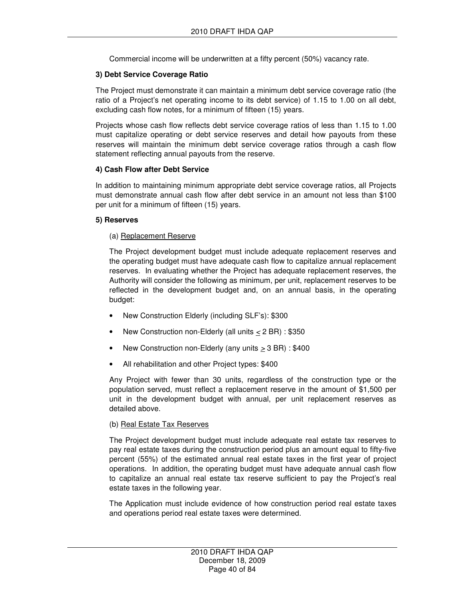Commercial income will be underwritten at a fifty percent (50%) vacancy rate.

#### **3) Debt Service Coverage Ratio**

The Project must demonstrate it can maintain a minimum debt service coverage ratio (the ratio of a Project's net operating income to its debt service) of 1.15 to 1.00 on all debt, excluding cash flow notes, for a minimum of fifteen (15) years.

Projects whose cash flow reflects debt service coverage ratios of less than 1.15 to 1.00 must capitalize operating or debt service reserves and detail how payouts from these reserves will maintain the minimum debt service coverage ratios through a cash flow statement reflecting annual payouts from the reserve.

#### **4) Cash Flow after Debt Service**

In addition to maintaining minimum appropriate debt service coverage ratios, all Projects must demonstrate annual cash flow after debt service in an amount not less than \$100 per unit for a minimum of fifteen (15) years.

#### **5) Reserves**

#### (a) Replacement Reserve

The Project development budget must include adequate replacement reserves and the operating budget must have adequate cash flow to capitalize annual replacement reserves. In evaluating whether the Project has adequate replacement reserves, the Authority will consider the following as minimum, per unit, replacement reserves to be reflected in the development budget and, on an annual basis, in the operating budget:

- New Construction Elderly (including SLF's): \$300
- New Construction non-Elderly (all units < 2 BR) : \$350
- New Construction non-Elderly (any units > 3 BR) : \$400
- All rehabilitation and other Project types: \$400

Any Project with fewer than 30 units, regardless of the construction type or the population served, must reflect a replacement reserve in the amount of \$1,500 per unit in the development budget with annual, per unit replacement reserves as detailed above.

#### (b) Real Estate Tax Reserves

The Project development budget must include adequate real estate tax reserves to pay real estate taxes during the construction period plus an amount equal to fifty-five percent (55%) of the estimated annual real estate taxes in the first year of project operations. In addition, the operating budget must have adequate annual cash flow to capitalize an annual real estate tax reserve sufficient to pay the Project's real estate taxes in the following year.

The Application must include evidence of how construction period real estate taxes and operations period real estate taxes were determined.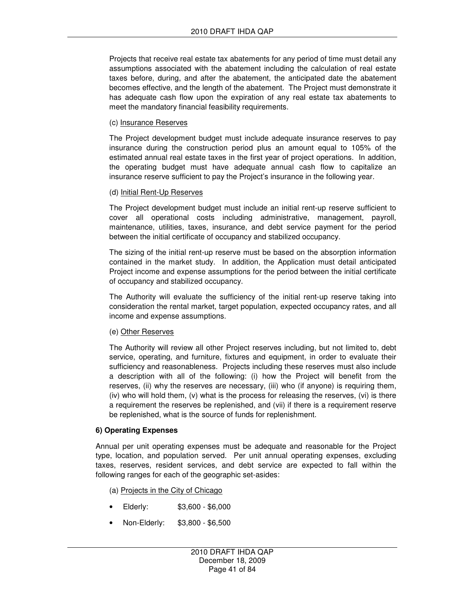Projects that receive real estate tax abatements for any period of time must detail any assumptions associated with the abatement including the calculation of real estate taxes before, during, and after the abatement, the anticipated date the abatement becomes effective, and the length of the abatement. The Project must demonstrate it has adequate cash flow upon the expiration of any real estate tax abatements to meet the mandatory financial feasibility requirements.

#### (c) Insurance Reserves

The Project development budget must include adequate insurance reserves to pay insurance during the construction period plus an amount equal to 105% of the estimated annual real estate taxes in the first year of project operations. In addition, the operating budget must have adequate annual cash flow to capitalize an insurance reserve sufficient to pay the Project's insurance in the following year.

#### (d) Initial Rent-Up Reserves

The Project development budget must include an initial rent-up reserve sufficient to cover all operational costs including administrative, management, payroll, maintenance, utilities, taxes, insurance, and debt service payment for the period between the initial certificate of occupancy and stabilized occupancy.

The sizing of the initial rent-up reserve must be based on the absorption information contained in the market study. In addition, the Application must detail anticipated Project income and expense assumptions for the period between the initial certificate of occupancy and stabilized occupancy.

The Authority will evaluate the sufficiency of the initial rent-up reserve taking into consideration the rental market, target population, expected occupancy rates, and all income and expense assumptions.

#### (e) Other Reserves

The Authority will review all other Project reserves including, but not limited to, debt service, operating, and furniture, fixtures and equipment, in order to evaluate their sufficiency and reasonableness. Projects including these reserves must also include a description with all of the following: (i) how the Project will benefit from the reserves, (ii) why the reserves are necessary, (iii) who (if anyone) is requiring them, (iv) who will hold them, (v) what is the process for releasing the reserves, (vi) is there a requirement the reserves be replenished, and (vii) if there is a requirement reserve be replenished, what is the source of funds for replenishment.

#### **6) Operating Expenses**

Annual per unit operating expenses must be adequate and reasonable for the Project type, location, and population served. Per unit annual operating expenses, excluding taxes, reserves, resident services, and debt service are expected to fall within the following ranges for each of the geographic set-asides:

(a) Projects in the City of Chicago

- Elderly: \$3,600 \$6,000
- Non-Elderly: \$3,800 \$6,500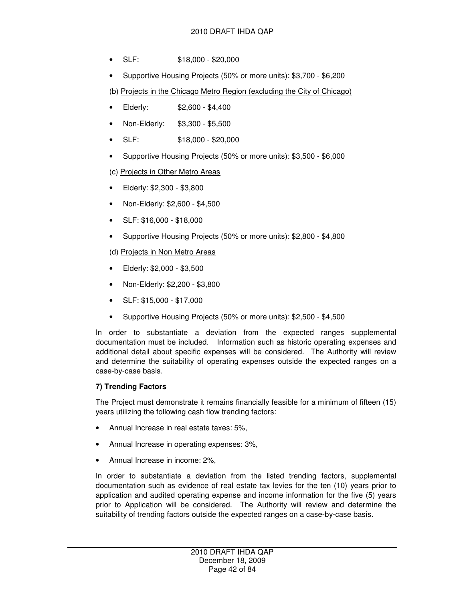- SLF: \$18,000 \$20,000
- Supportive Housing Projects (50% or more units): \$3,700 \$6,200

(b) Projects in the Chicago Metro Region (excluding the City of Chicago)

- Elderly: \$2,600 \$4,400
- Non-Elderly: \$3,300 \$5,500
- SLF: \$18,000 \$20,000
- Supportive Housing Projects (50% or more units): \$3,500 \$6,000
- (c) Projects in Other Metro Areas
- Elderly: \$2,300 \$3,800
- Non-Elderly: \$2,600 \$4,500
- SLF: \$16,000 \$18,000
- Supportive Housing Projects (50% or more units): \$2,800 \$4,800

(d) Projects in Non Metro Areas

- Elderly: \$2,000 \$3,500
- Non-Elderly: \$2,200 \$3,800
- SLF: \$15,000 \$17,000
- Supportive Housing Projects (50% or more units): \$2,500 \$4,500

In order to substantiate a deviation from the expected ranges supplemental documentation must be included. Information such as historic operating expenses and additional detail about specific expenses will be considered. The Authority will review and determine the suitability of operating expenses outside the expected ranges on a case-by-case basis.

#### **7) Trending Factors**

The Project must demonstrate it remains financially feasible for a minimum of fifteen (15) years utilizing the following cash flow trending factors:

- Annual Increase in real estate taxes: 5%,
- Annual Increase in operating expenses: 3%,
- Annual Increase in income: 2%,

In order to substantiate a deviation from the listed trending factors, supplemental documentation such as evidence of real estate tax levies for the ten (10) years prior to application and audited operating expense and income information for the five (5) years prior to Application will be considered. The Authority will review and determine the suitability of trending factors outside the expected ranges on a case-by-case basis.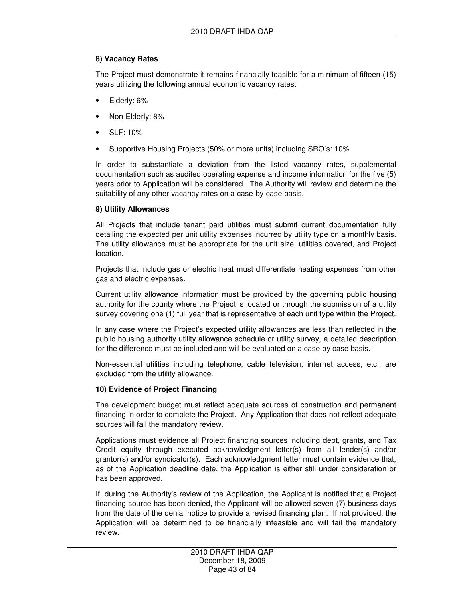### **8) Vacancy Rates**

The Project must demonstrate it remains financially feasible for a minimum of fifteen (15) years utilizing the following annual economic vacancy rates:

- Elderly: 6%
- Non-Elderly: 8%
- SLF: 10%
- Supportive Housing Projects (50% or more units) including SRO's: 10%

In order to substantiate a deviation from the listed vacancy rates, supplemental documentation such as audited operating expense and income information for the five (5) years prior to Application will be considered. The Authority will review and determine the suitability of any other vacancy rates on a case-by-case basis.

#### **9) Utility Allowances**

All Projects that include tenant paid utilities must submit current documentation fully detailing the expected per unit utility expenses incurred by utility type on a monthly basis. The utility allowance must be appropriate for the unit size, utilities covered, and Project location.

Projects that include gas or electric heat must differentiate heating expenses from other gas and electric expenses.

Current utility allowance information must be provided by the governing public housing authority for the county where the Project is located or through the submission of a utility survey covering one (1) full year that is representative of each unit type within the Project.

In any case where the Project's expected utility allowances are less than reflected in the public housing authority utility allowance schedule or utility survey, a detailed description for the difference must be included and will be evaluated on a case by case basis.

Non-essential utilities including telephone, cable television, internet access, etc., are excluded from the utility allowance.

#### **10) Evidence of Project Financing**

The development budget must reflect adequate sources of construction and permanent financing in order to complete the Project. Any Application that does not reflect adequate sources will fail the mandatory review.

Applications must evidence all Project financing sources including debt, grants, and Tax Credit equity through executed acknowledgment letter(s) from all lender(s) and/or grantor(s) and/or syndicator(s). Each acknowledgment letter must contain evidence that, as of the Application deadline date, the Application is either still under consideration or has been approved.

If, during the Authority's review of the Application, the Applicant is notified that a Project financing source has been denied, the Applicant will be allowed seven (7) business days from the date of the denial notice to provide a revised financing plan. If not provided, the Application will be determined to be financially infeasible and will fail the mandatory review.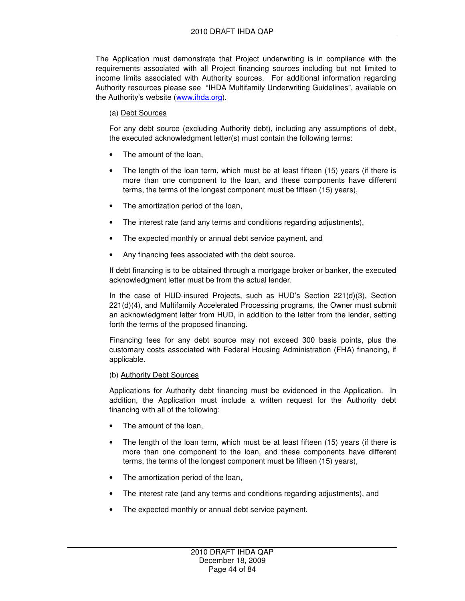The Application must demonstrate that Project underwriting is in compliance with the requirements associated with all Project financing sources including but not limited to income limits associated with Authority sources. For additional information regarding Authority resources please see "IHDA Multifamily Underwriting Guidelines", available on the Authority's website (www.ihda.org).

#### (a) Debt Sources

For any debt source (excluding Authority debt), including any assumptions of debt, the executed acknowledgment letter(s) must contain the following terms:

- The amount of the loan,
- The length of the loan term, which must be at least fifteen (15) years (if there is more than one component to the loan, and these components have different terms, the terms of the longest component must be fifteen (15) years),
- The amortization period of the loan,
- The interest rate (and any terms and conditions regarding adjustments),
- The expected monthly or annual debt service payment, and
- Any financing fees associated with the debt source.

If debt financing is to be obtained through a mortgage broker or banker, the executed acknowledgment letter must be from the actual lender.

In the case of HUD-insured Projects, such as HUD's Section 221(d)(3), Section 221(d)(4), and Multifamily Accelerated Processing programs, the Owner must submit an acknowledgment letter from HUD, in addition to the letter from the lender, setting forth the terms of the proposed financing.

Financing fees for any debt source may not exceed 300 basis points, plus the customary costs associated with Federal Housing Administration (FHA) financing, if applicable.

#### (b) Authority Debt Sources

Applications for Authority debt financing must be evidenced in the Application. In addition, the Application must include a written request for the Authority debt financing with all of the following:

- The amount of the loan,
- The length of the loan term, which must be at least fifteen (15) years (if there is more than one component to the loan, and these components have different terms, the terms of the longest component must be fifteen (15) years),
- The amortization period of the loan,
- The interest rate (and any terms and conditions regarding adjustments), and
- The expected monthly or annual debt service payment.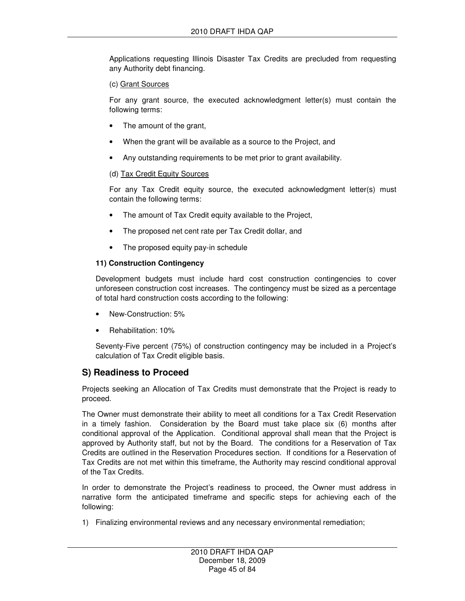Applications requesting Illinois Disaster Tax Credits are precluded from requesting any Authority debt financing.

#### (c) Grant Sources

For any grant source, the executed acknowledgment letter(s) must contain the following terms:

- The amount of the grant,
- When the grant will be available as a source to the Project, and
- Any outstanding requirements to be met prior to grant availability.

#### (d) Tax Credit Equity Sources

For any Tax Credit equity source, the executed acknowledgment letter(s) must contain the following terms:

- The amount of Tax Credit equity available to the Project,
- The proposed net cent rate per Tax Credit dollar, and
- The proposed equity pay-in schedule

#### **11) Construction Contingency**

Development budgets must include hard cost construction contingencies to cover unforeseen construction cost increases. The contingency must be sized as a percentage of total hard construction costs according to the following:

- New-Construction: 5%
- Rehabilitation: 10%

Seventy-Five percent (75%) of construction contingency may be included in a Project's calculation of Tax Credit eligible basis.

### **S) Readiness to Proceed**

Projects seeking an Allocation of Tax Credits must demonstrate that the Project is ready to proceed.

The Owner must demonstrate their ability to meet all conditions for a Tax Credit Reservation in a timely fashion. Consideration by the Board must take place six (6) months after conditional approval of the Application. Conditional approval shall mean that the Project is approved by Authority staff, but not by the Board. The conditions for a Reservation of Tax Credits are outlined in the Reservation Procedures section. If conditions for a Reservation of Tax Credits are not met within this timeframe, the Authority may rescind conditional approval of the Tax Credits.

In order to demonstrate the Project's readiness to proceed, the Owner must address in narrative form the anticipated timeframe and specific steps for achieving each of the following:

1) Finalizing environmental reviews and any necessary environmental remediation;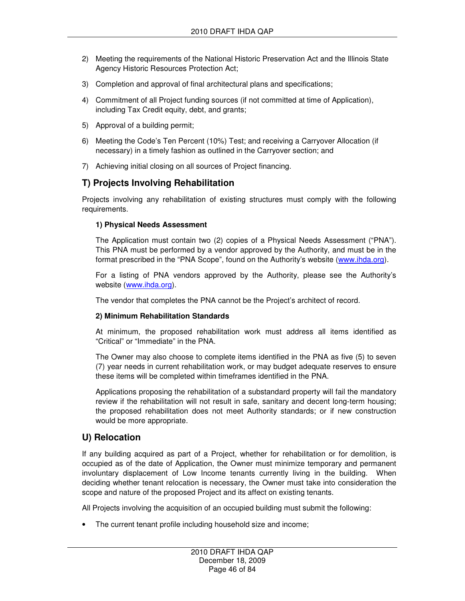- 2) Meeting the requirements of the National Historic Preservation Act and the Illinois State Agency Historic Resources Protection Act;
- 3) Completion and approval of final architectural plans and specifications;
- 4) Commitment of all Project funding sources (if not committed at time of Application), including Tax Credit equity, debt, and grants;
- 5) Approval of a building permit;
- 6) Meeting the Code's Ten Percent (10%) Test; and receiving a Carryover Allocation (if necessary) in a timely fashion as outlined in the Carryover section; and
- 7) Achieving initial closing on all sources of Project financing.

# **T) Projects Involving Rehabilitation**

Projects involving any rehabilitation of existing structures must comply with the following requirements.

#### **1) Physical Needs Assessment**

The Application must contain two (2) copies of a Physical Needs Assessment ("PNA"). This PNA must be performed by a vendor approved by the Authority, and must be in the format prescribed in the "PNA Scope", found on the Authority's website (www.ihda.org).

For a listing of PNA vendors approved by the Authority, please see the Authority's website (www.ihda.org).

The vendor that completes the PNA cannot be the Project's architect of record.

#### **2) Minimum Rehabilitation Standards**

At minimum, the proposed rehabilitation work must address all items identified as "Critical" or "Immediate" in the PNA.

The Owner may also choose to complete items identified in the PNA as five (5) to seven (7) year needs in current rehabilitation work, or may budget adequate reserves to ensure these items will be completed within timeframes identified in the PNA.

Applications proposing the rehabilitation of a substandard property will fail the mandatory review if the rehabilitation will not result in safe, sanitary and decent long-term housing; the proposed rehabilitation does not meet Authority standards; or if new construction would be more appropriate.

### **U) Relocation**

If any building acquired as part of a Project, whether for rehabilitation or for demolition, is occupied as of the date of Application, the Owner must minimize temporary and permanent involuntary displacement of Low Income tenants currently living in the building. When deciding whether tenant relocation is necessary, the Owner must take into consideration the scope and nature of the proposed Project and its affect on existing tenants.

All Projects involving the acquisition of an occupied building must submit the following:

• The current tenant profile including household size and income;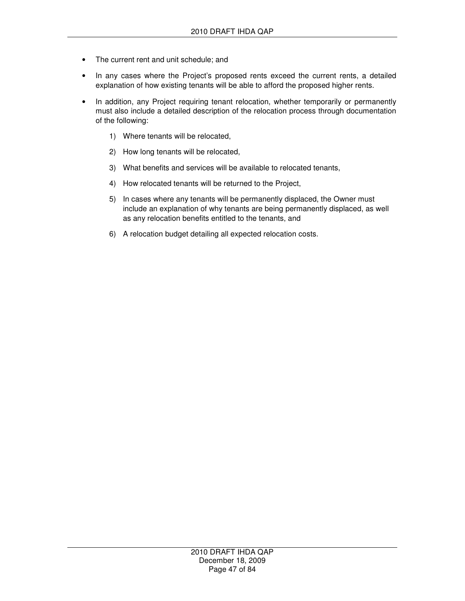- The current rent and unit schedule; and
- In any cases where the Project's proposed rents exceed the current rents, a detailed explanation of how existing tenants will be able to afford the proposed higher rents.
- In addition, any Project requiring tenant relocation, whether temporarily or permanently must also include a detailed description of the relocation process through documentation of the following:
	- 1) Where tenants will be relocated,
	- 2) How long tenants will be relocated,
	- 3) What benefits and services will be available to relocated tenants,
	- 4) How relocated tenants will be returned to the Project,
	- 5) In cases where any tenants will be permanently displaced, the Owner must include an explanation of why tenants are being permanently displaced, as well as any relocation benefits entitled to the tenants, and
	- 6) A relocation budget detailing all expected relocation costs.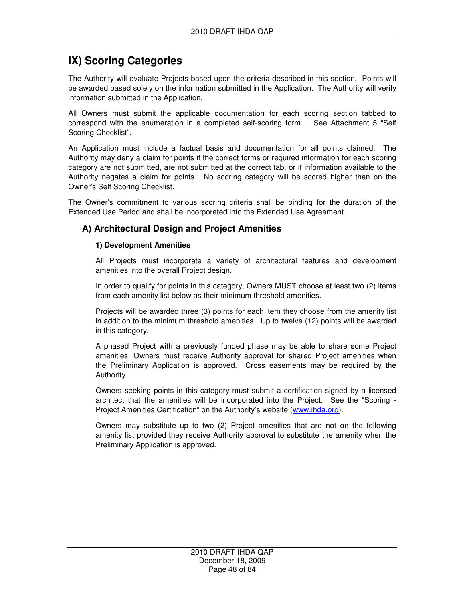# **IX) Scoring Categories**

The Authority will evaluate Projects based upon the criteria described in this section. Points will be awarded based solely on the information submitted in the Application. The Authority will verify information submitted in the Application.

All Owners must submit the applicable documentation for each scoring section tabbed to correspond with the enumeration in a completed self-scoring form. See Attachment 5 "Self Scoring Checklist".

An Application must include a factual basis and documentation for all points claimed. The Authority may deny a claim for points if the correct forms or required information for each scoring category are not submitted, are not submitted at the correct tab, or if information available to the Authority negates a claim for points. No scoring category will be scored higher than on the Owner's Self Scoring Checklist.

The Owner's commitment to various scoring criteria shall be binding for the duration of the Extended Use Period and shall be incorporated into the Extended Use Agreement.

## **A) Architectural Design and Project Amenities**

#### **1) Development Amenities**

All Projects must incorporate a variety of architectural features and development amenities into the overall Project design.

In order to qualify for points in this category, Owners MUST choose at least two (2) items from each amenity list below as their minimum threshold amenities.

Projects will be awarded three (3) points for each item they choose from the amenity list in addition to the minimum threshold amenities. Up to twelve (12) points will be awarded in this category.

A phased Project with a previously funded phase may be able to share some Project amenities. Owners must receive Authority approval for shared Project amenities when the Preliminary Application is approved. Cross easements may be required by the Authority.

Owners seeking points in this category must submit a certification signed by a licensed architect that the amenities will be incorporated into the Project. See the "Scoring - Project Amenities Certification" on the Authority's website (www.ihda.org).

Owners may substitute up to two (2) Project amenities that are not on the following amenity list provided they receive Authority approval to substitute the amenity when the Preliminary Application is approved.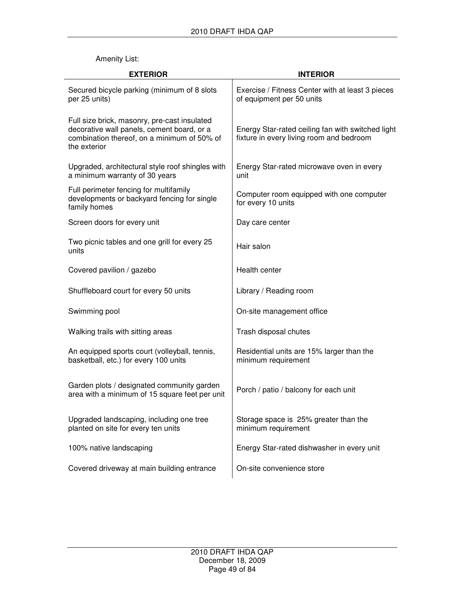### Amenity List:

| <b>EXTERIOR</b>                                                                                                                                           | <b>INTERIOR</b>                                                                               |
|-----------------------------------------------------------------------------------------------------------------------------------------------------------|-----------------------------------------------------------------------------------------------|
| Secured bicycle parking (minimum of 8 slots<br>per 25 units)                                                                                              | Exercise / Fitness Center with at least 3 pieces<br>of equipment per 50 units                 |
| Full size brick, masonry, pre-cast insulated<br>decorative wall panels, cement board, or a<br>combination thereof, on a minimum of 50% of<br>the exterior | Energy Star-rated ceiling fan with switched light<br>fixture in every living room and bedroom |
| Upgraded, architectural style roof shingles with<br>a minimum warranty of 30 years                                                                        | Energy Star-rated microwave oven in every<br>unit                                             |
| Full perimeter fencing for multifamily<br>developments or backyard fencing for single<br>family homes                                                     | Computer room equipped with one computer<br>for every 10 units                                |
| Screen doors for every unit                                                                                                                               | Day care center                                                                               |
| Two picnic tables and one grill for every 25<br>units                                                                                                     | Hair salon                                                                                    |
| Covered pavilion / gazebo                                                                                                                                 | Health center                                                                                 |
| Shuffleboard court for every 50 units                                                                                                                     | Library / Reading room                                                                        |
| Swimming pool                                                                                                                                             | On-site management office                                                                     |
| Walking trails with sitting areas                                                                                                                         | Trash disposal chutes                                                                         |
| An equipped sports court (volleyball, tennis,<br>basketball, etc.) for every 100 units                                                                    | Residential units are 15% larger than the<br>minimum requirement                              |
| Garden plots / designated community garden<br>area with a minimum of 15 square feet per unit                                                              | Porch / patio / balcony for each unit                                                         |
| Upgraded landscaping, including one tree<br>planted on site for every ten units                                                                           | Storage space is 25% greater than the<br>minimum requirement                                  |
| 100% native landscaping                                                                                                                                   | Energy Star-rated dishwasher in every unit                                                    |
| Covered driveway at main building entrance                                                                                                                | On-site convenience store                                                                     |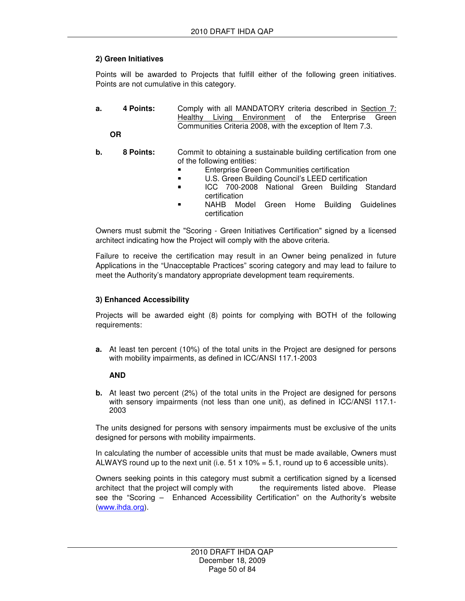### **2) Green Initiatives**

Points will be awarded to Projects that fulfill either of the following green initiatives. Points are not cumulative in this category.

**a. 4 Points:** Comply with all MANDATORY criteria described in Section 7: Healthy Living Environment of the Enterprise Green Communities Criteria 2008, with the exception of Item 7.3.

**OR** 

- **b.** 8 **Points:** Commit to obtaining a sustainable building certification from one of the following entities:
	- Enterprise Green Communities certification
	- U.S. Green Building Council's LEED certification
	- ICC 700-2008 National Green Building Standard certification
	- NAHB Model Green Home Building Guidelines certification

Owners must submit the "Scoring - Green Initiatives Certification" signed by a licensed architect indicating how the Project will comply with the above criteria.

Failure to receive the certification may result in an Owner being penalized in future Applications in the "Unacceptable Practices" scoring category and may lead to failure to meet the Authority's mandatory appropriate development team requirements.

#### **3) Enhanced Accessibility**

Projects will be awarded eight (8) points for complying with BOTH of the following requirements:

**a.** At least ten percent (10%) of the total units in the Project are designed for persons with mobility impairments, as defined in ICC/ANSI 117.1-2003

#### **AND**

**b.** At least two percent (2%) of the total units in the Project are designed for persons with sensory impairments (not less than one unit), as defined in ICC/ANSI 117.1-2003

The units designed for persons with sensory impairments must be exclusive of the units designed for persons with mobility impairments.

In calculating the number of accessible units that must be made available, Owners must ALWAYS round up to the next unit (i.e.  $51 \times 10\% = 5.1$ , round up to 6 accessible units).

Owners seeking points in this category must submit a certification signed by a licensed architect that the project will comply with the requirements listed above. Please see the "Scoring – Enhanced Accessibility Certification" on the Authority's website (www.ihda.org).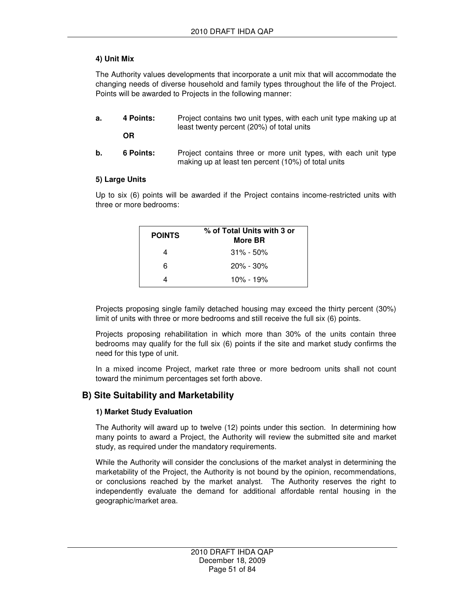### **4) Unit Mix**

The Authority values developments that incorporate a unit mix that will accommodate the changing needs of diverse household and family types throughout the life of the Project. Points will be awarded to Projects in the following manner:

- **a.** 4 Points: Project contains two unit types, with each unit type making up at least twenty percent (20%) of total units **OR**
- **b.** 6 Points: Project contains three or more unit types, with each unit type making up at least ten percent (10%) of total units

#### **5) Large Units**

Up to six (6) points will be awarded if the Project contains income-restricted units with three or more bedrooms:

| <b>POINTS</b> | % of Total Units with 3 or<br>More BR |
|---------------|---------------------------------------|
|               | $31\% - 50\%$                         |
| 6             | $20\% - 30\%$                         |
|               | 10% - 19%                             |

Projects proposing single family detached housing may exceed the thirty percent (30%) limit of units with three or more bedrooms and still receive the full six (6) points.

Projects proposing rehabilitation in which more than 30% of the units contain three bedrooms may qualify for the full six (6) points if the site and market study confirms the need for this type of unit.

In a mixed income Project, market rate three or more bedroom units shall not count toward the minimum percentages set forth above.

### **B) Site Suitability and Marketability**

#### **1) Market Study Evaluation**

The Authority will award up to twelve (12) points under this section. In determining how many points to award a Project, the Authority will review the submitted site and market study, as required under the mandatory requirements.

While the Authority will consider the conclusions of the market analyst in determining the marketability of the Project, the Authority is not bound by the opinion, recommendations, or conclusions reached by the market analyst. The Authority reserves the right to independently evaluate the demand for additional affordable rental housing in the geographic/market area.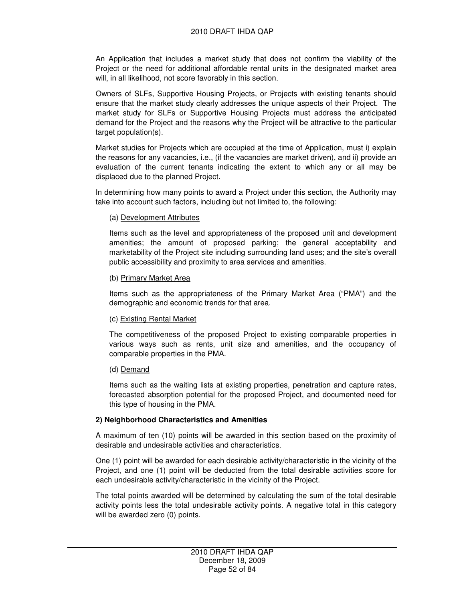An Application that includes a market study that does not confirm the viability of the Project or the need for additional affordable rental units in the designated market area will, in all likelihood, not score favorably in this section.

Owners of SLFs, Supportive Housing Projects, or Projects with existing tenants should ensure that the market study clearly addresses the unique aspects of their Project. The market study for SLFs or Supportive Housing Projects must address the anticipated demand for the Project and the reasons why the Project will be attractive to the particular target population(s).

Market studies for Projects which are occupied at the time of Application, must i) explain the reasons for any vacancies, i.e., (if the vacancies are market driven), and ii) provide an evaluation of the current tenants indicating the extent to which any or all may be displaced due to the planned Project.

In determining how many points to award a Project under this section, the Authority may take into account such factors, including but not limited to, the following:

#### (a) Development Attributes

Items such as the level and appropriateness of the proposed unit and development amenities; the amount of proposed parking; the general acceptability and marketability of the Project site including surrounding land uses; and the site's overall public accessibility and proximity to area services and amenities.

#### (b) Primary Market Area

Items such as the appropriateness of the Primary Market Area ("PMA") and the demographic and economic trends for that area.

#### (c) Existing Rental Market

The competitiveness of the proposed Project to existing comparable properties in various ways such as rents, unit size and amenities, and the occupancy of comparable properties in the PMA.

#### (d) Demand

Items such as the waiting lists at existing properties, penetration and capture rates, forecasted absorption potential for the proposed Project, and documented need for this type of housing in the PMA.

#### **2) Neighborhood Characteristics and Amenities**

A maximum of ten (10) points will be awarded in this section based on the proximity of desirable and undesirable activities and characteristics.

One (1) point will be awarded for each desirable activity/characteristic in the vicinity of the Project, and one (1) point will be deducted from the total desirable activities score for each undesirable activity/characteristic in the vicinity of the Project.

The total points awarded will be determined by calculating the sum of the total desirable activity points less the total undesirable activity points. A negative total in this category will be awarded zero (0) points.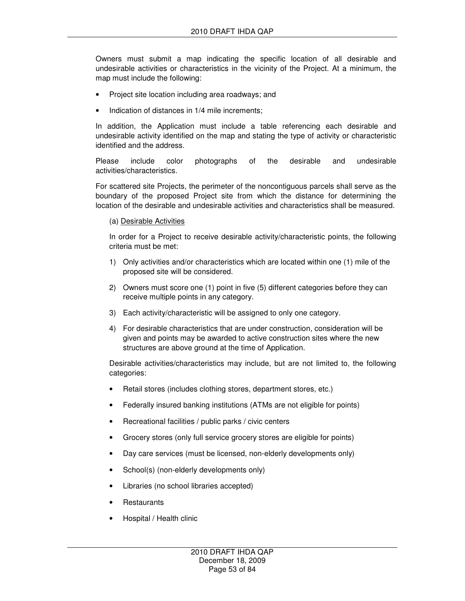Owners must submit a map indicating the specific location of all desirable and undesirable activities or characteristics in the vicinity of the Project. At a minimum, the map must include the following:

- Project site location including area roadways; and
- Indication of distances in 1/4 mile increments:

In addition, the Application must include a table referencing each desirable and undesirable activity identified on the map and stating the type of activity or characteristic identified and the address.

Please include color photographs of the desirable and undesirable activities/characteristics.

For scattered site Projects, the perimeter of the noncontiguous parcels shall serve as the boundary of the proposed Project site from which the distance for determining the location of the desirable and undesirable activities and characteristics shall be measured.

#### (a) Desirable Activities

In order for a Project to receive desirable activity/characteristic points, the following criteria must be met:

- 1) Only activities and/or characteristics which are located within one (1) mile of the proposed site will be considered.
- 2) Owners must score one (1) point in five (5) different categories before they can receive multiple points in any category.
- 3) Each activity/characteristic will be assigned to only one category.
- 4) For desirable characteristics that are under construction, consideration will be given and points may be awarded to active construction sites where the new structures are above ground at the time of Application.

Desirable activities/characteristics may include, but are not limited to, the following categories:

- Retail stores (includes clothing stores, department stores, etc.)
- Federally insured banking institutions (ATMs are not eligible for points)
- Recreational facilities / public parks / civic centers
- Grocery stores (only full service grocery stores are eligible for points)
- Day care services (must be licensed, non-elderly developments only)
- School(s) (non-elderly developments only)
- Libraries (no school libraries accepted)
- **Restaurants**
- Hospital / Health clinic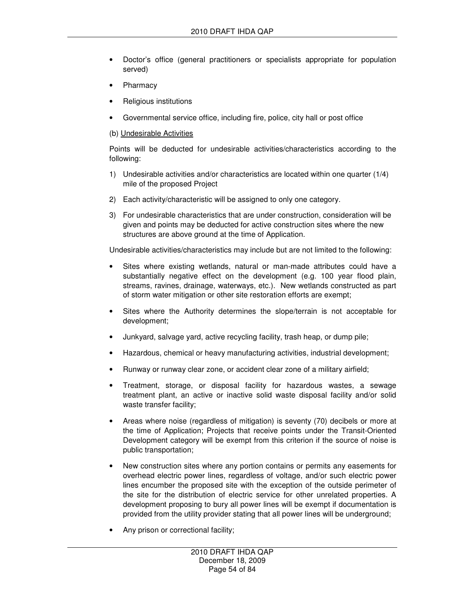- Doctor's office (general practitioners or specialists appropriate for population served)
- **Pharmacy**
- Religious institutions
- Governmental service office, including fire, police, city hall or post office

#### (b) Undesirable Activities

Points will be deducted for undesirable activities/characteristics according to the following:

- 1) Undesirable activities and/or characteristics are located within one quarter (1/4) mile of the proposed Project
- 2) Each activity/characteristic will be assigned to only one category.
- 3) For undesirable characteristics that are under construction, consideration will be given and points may be deducted for active construction sites where the new structures are above ground at the time of Application.

Undesirable activities/characteristics may include but are not limited to the following:

- Sites where existing wetlands, natural or man-made attributes could have a substantially negative effect on the development (e.g. 100 year flood plain, streams, ravines, drainage, waterways, etc.). New wetlands constructed as part of storm water mitigation or other site restoration efforts are exempt;
- Sites where the Authority determines the slope/terrain is not acceptable for development;
- Junkyard, salvage yard, active recycling facility, trash heap, or dump pile;
- Hazardous, chemical or heavy manufacturing activities, industrial development;
- Runway or runway clear zone, or accident clear zone of a military airfield;
- Treatment, storage, or disposal facility for hazardous wastes, a sewage treatment plant, an active or inactive solid waste disposal facility and/or solid waste transfer facility;
- Areas where noise (regardless of mitigation) is seventy (70) decibels or more at the time of Application; Projects that receive points under the Transit-Oriented Development category will be exempt from this criterion if the source of noise is public transportation;
- New construction sites where any portion contains or permits any easements for overhead electric power lines, regardless of voltage, and/or such electric power lines encumber the proposed site with the exception of the outside perimeter of the site for the distribution of electric service for other unrelated properties. A development proposing to bury all power lines will be exempt if documentation is provided from the utility provider stating that all power lines will be underground;
- Any prison or correctional facility;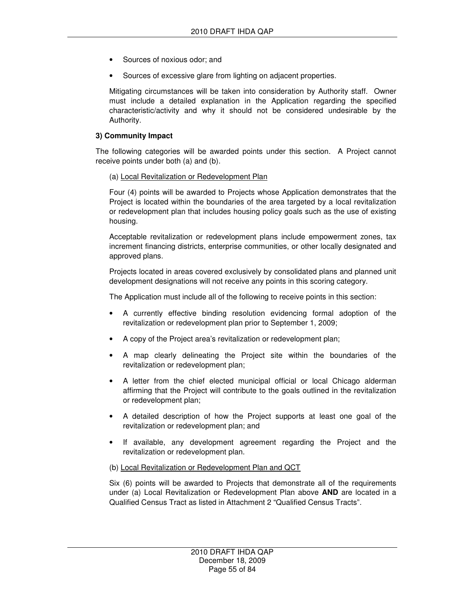- Sources of noxious odor; and
- Sources of excessive glare from lighting on adjacent properties.

Mitigating circumstances will be taken into consideration by Authority staff. Owner must include a detailed explanation in the Application regarding the specified characteristic/activity and why it should not be considered undesirable by the Authority.

#### **3) Community Impact**

The following categories will be awarded points under this section. A Project cannot receive points under both (a) and (b).

#### (a) Local Revitalization or Redevelopment Plan

Four (4) points will be awarded to Projects whose Application demonstrates that the Project is located within the boundaries of the area targeted by a local revitalization or redevelopment plan that includes housing policy goals such as the use of existing housing.

Acceptable revitalization or redevelopment plans include empowerment zones, tax increment financing districts, enterprise communities, or other locally designated and approved plans.

Projects located in areas covered exclusively by consolidated plans and planned unit development designations will not receive any points in this scoring category.

The Application must include all of the following to receive points in this section:

- A currently effective binding resolution evidencing formal adoption of the revitalization or redevelopment plan prior to September 1, 2009;
- A copy of the Project area's revitalization or redevelopment plan;
- A map clearly delineating the Project site within the boundaries of the revitalization or redevelopment plan;
- A letter from the chief elected municipal official or local Chicago alderman affirming that the Project will contribute to the goals outlined in the revitalization or redevelopment plan;
- A detailed description of how the Project supports at least one goal of the revitalization or redevelopment plan; and
- If available, any development agreement regarding the Project and the revitalization or redevelopment plan.

#### (b) Local Revitalization or Redevelopment Plan and QCT

Six (6) points will be awarded to Projects that demonstrate all of the requirements under (a) Local Revitalization or Redevelopment Plan above **AND** are located in a Qualified Census Tract as listed in Attachment 2 "Qualified Census Tracts".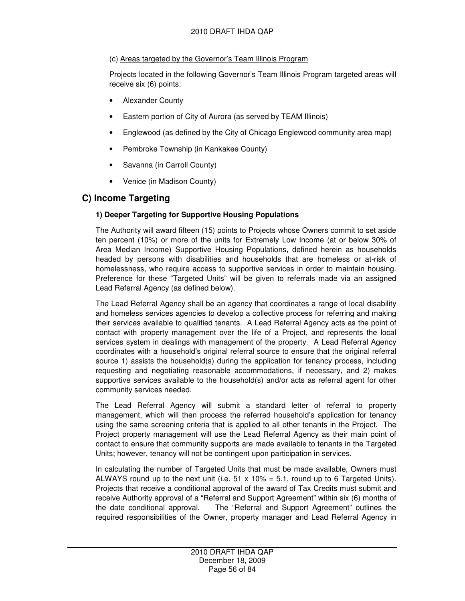### (c) Areas targeted by the Governor's Team Illinois Program

Projects located in the following Governor's Team Illinois Program targeted areas will receive six (6) points:

- **Alexander County**
- Eastern portion of City of Aurora (as served by TEAM Illinois)
- Englewood (as defined by the City of Chicago Englewood community area map)
- Pembroke Township (in Kankakee County)
- Savanna (in Carroll County)
- Venice (in Madison County)

## **C) Income Targeting**

### **1) Deeper Targeting for Supportive Housing Populations**

The Authority will award fifteen (15) points to Projects whose Owners commit to set aside ten percent (10%) or more of the units for Extremely Low Income (at or below 30% of Area Median Income) Supportive Housing Populations, defined herein as households headed by persons with disabilities and households that are homeless or at-risk of homelessness, who require access to supportive services in order to maintain housing. Preference for these "Targeted Units" will be given to referrals made via an assigned Lead Referral Agency (as defined below).

The Lead Referral Agency shall be an agency that coordinates a range of local disability and homeless services agencies to develop a collective process for referring and making their services available to qualified tenants. A Lead Referral Agency acts as the point of contact with property management over the life of a Project, and represents the local services system in dealings with management of the property. A Lead Referral Agency coordinates with a household's original referral source to ensure that the original referral source 1) assists the household(s) during the application for tenancy process, including requesting and negotiating reasonable accommodations, if necessary, and 2) makes supportive services available to the household(s) and/or acts as referral agent for other community services needed.

The Lead Referral Agency will submit a standard letter of referral to property management, which will then process the referred household's application for tenancy using the same screening criteria that is applied to all other tenants in the Project. The Project property management will use the Lead Referral Agency as their main point of contact to ensure that community supports are made available to tenants in the Targeted Units; however, tenancy will not be contingent upon participation in services.

In calculating the number of Targeted Units that must be made available, Owners must ALWAYS round up to the next unit (i.e.  $51 \times 10\% = 5.1$ , round up to 6 Targeted Units). Projects that receive a conditional approval of the award of Tax Credits must submit and receive Authority approval of a "Referral and Support Agreement" within six (6) months of the date conditional approval. The "Referral and Support Agreement" outlines the required responsibilities of the Owner, property manager and Lead Referral Agency in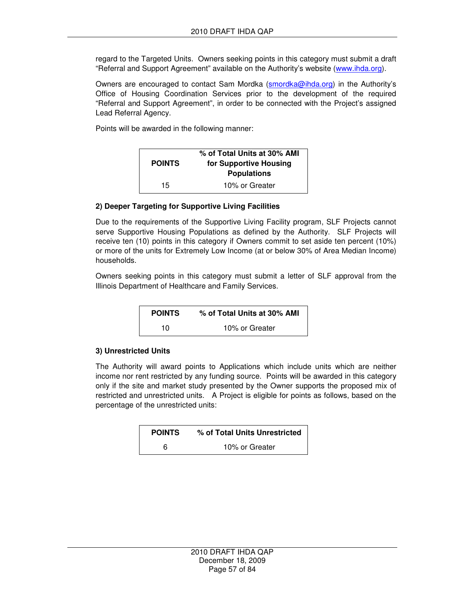regard to the Targeted Units. Owners seeking points in this category must submit a draft "Referral and Support Agreement" available on the Authority's website (www.ihda.org).

Owners are encouraged to contact Sam Mordka (smordka@ihda.org) in the Authority's Office of Housing Coordination Services prior to the development of the required "Referral and Support Agreement", in order to be connected with the Project's assigned Lead Referral Agency.

Points will be awarded in the following manner:

| <b>POINTS</b> | % of Total Units at 30% AMI<br>for Supportive Housing<br><b>Populations</b> |
|---------------|-----------------------------------------------------------------------------|
| 15            | 10% or Greater                                                              |

#### **2) Deeper Targeting for Supportive Living Facilities**

Due to the requirements of the Supportive Living Facility program, SLF Projects cannot serve Supportive Housing Populations as defined by the Authority. SLF Projects will receive ten (10) points in this category if Owners commit to set aside ten percent (10%) or more of the units for Extremely Low Income (at or below 30% of Area Median Income) households.

Owners seeking points in this category must submit a letter of SLF approval from the Illinois Department of Healthcare and Family Services.

| <b>POINTS</b> | % of Total Units at 30% AMI |
|---------------|-----------------------------|
| 10            | 10% or Greater              |

#### **3) Unrestricted Units**

The Authority will award points to Applications which include units which are neither income nor rent restricted by any funding source. Points will be awarded in this category only if the site and market study presented by the Owner supports the proposed mix of restricted and unrestricted units. A Project is eligible for points as follows, based on the percentage of the unrestricted units:

| <b>POINTS</b> | % of Total Units Unrestricted |
|---------------|-------------------------------|
| 6             | 10% or Greater                |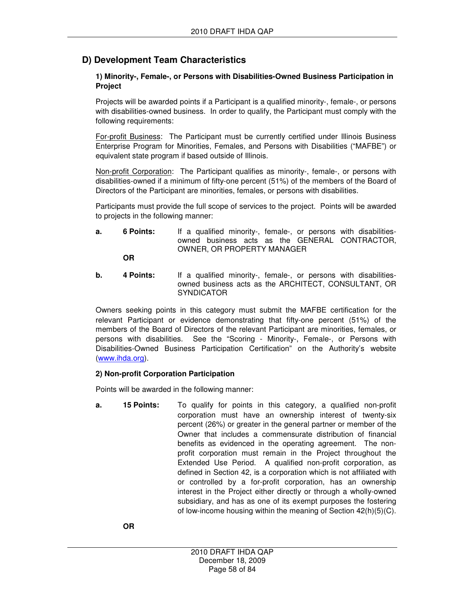# **D) Development Team Characteristics**

#### **1) Minority-, Female-, or Persons with Disabilities-Owned Business Participation in Project**

Projects will be awarded points if a Participant is a qualified minority-, female-, or persons with disabilities-owned business. In order to qualify, the Participant must comply with the following requirements:

For-profit Business: The Participant must be currently certified under Illinois Business Enterprise Program for Minorities, Females, and Persons with Disabilities ("MAFBE") or equivalent state program if based outside of Illinois.

Non-profit Corporation: The Participant qualifies as minority-, female-, or persons with disabilities-owned if a minimum of fifty-one percent (51%) of the members of the Board of Directors of the Participant are minorities, females, or persons with disabilities.

Participants must provide the full scope of services to the project. Points will be awarded to projects in the following manner:

**a.** 6 Points: If a qualified minority-, female-, or persons with disabilitiesowned business acts as the GENERAL CONTRACTOR, OWNER, OR PROPERTY MANAGER

**OR** 

**b.** 4 Points: If a qualified minority-, female-, or persons with disabilitiesowned business acts as the ARCHITECT, CONSULTANT, OR **SYNDICATOR** 

Owners seeking points in this category must submit the MAFBE certification for the relevant Participant or evidence demonstrating that fifty-one percent (51%) of the members of the Board of Directors of the relevant Participant are minorities, females, or persons with disabilities. See the "Scoring - Minority-, Female-, or Persons with Disabilities-Owned Business Participation Certification" on the Authority's website (www.ihda.org).

#### **2) Non-profit Corporation Participation**

Points will be awarded in the following manner:

**a. 15 Points:** To qualify for points in this category, a qualified non-profit corporation must have an ownership interest of twenty-six percent (26%) or greater in the general partner or member of the Owner that includes a commensurate distribution of financial benefits as evidenced in the operating agreement. The nonprofit corporation must remain in the Project throughout the Extended Use Period. A qualified non-profit corporation, as defined in Section 42, is a corporation which is not affiliated with or controlled by a for-profit corporation, has an ownership interest in the Project either directly or through a wholly-owned subsidiary, and has as one of its exempt purposes the fostering of low-income housing within the meaning of Section 42(h)(5)(C).

 **OR**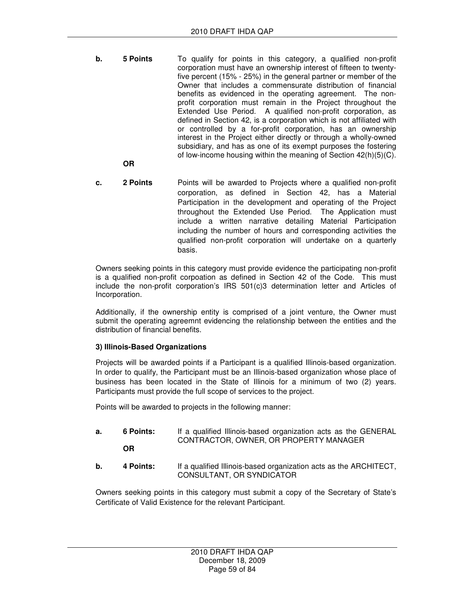- **b.** 5 Points **To qualify for points in this category, a qualified non-profit** corporation must have an ownership interest of fifteen to twentyfive percent (15% - 25%) in the general partner or member of the Owner that includes a commensurate distribution of financial benefits as evidenced in the operating agreement. The nonprofit corporation must remain in the Project throughout the Extended Use Period. A qualified non-profit corporation, as defined in Section 42, is a corporation which is not affiliated with or controlled by a for-profit corporation, has an ownership interest in the Project either directly or through a wholly-owned subsidiary, and has as one of its exempt purposes the fostering of low-income housing within the meaning of Section 42(h)(5)(C).
	- **OR**
- **c. 2 Points** Points will be awarded to Projects where a qualified non-profit corporation, as defined in Section 42, has a Material Participation in the development and operating of the Project throughout the Extended Use Period. The Application must include a written narrative detailing Material Participation including the number of hours and corresponding activities the qualified non-profit corporation will undertake on a quarterly basis.

Owners seeking points in this category must provide evidence the participating non-profit is a qualified non-profit corpoation as defined in Section 42 of the Code. This must include the non-profit corporation's IRS 501(c)3 determination letter and Articles of Incorporation.

Additionally, if the ownership entity is comprised of a joint venture, the Owner must submit the operating agreemnt evidencing the relationship between the entities and the distribution of financial benefits.

#### **3) Illinois-Based Organizations**

Projects will be awarded points if a Participant is a qualified Illinois-based organization. In order to qualify, the Participant must be an Illinois-based organization whose place of business has been located in the State of Illinois for a minimum of two (2) years. Participants must provide the full scope of services to the project.

Points will be awarded to projects in the following manner:

- **a. 6 Points:** If a qualified Illinois-based organization acts as the GENERAL CONTRACTOR, OWNER, OR PROPERTY MANAGER **OR**
- **b.** 4 Points: If a qualified Illinois-based organization acts as the ARCHITECT, CONSULTANT, OR SYNDICATOR

Owners seeking points in this category must submit a copy of the Secretary of State's Certificate of Valid Existence for the relevant Participant.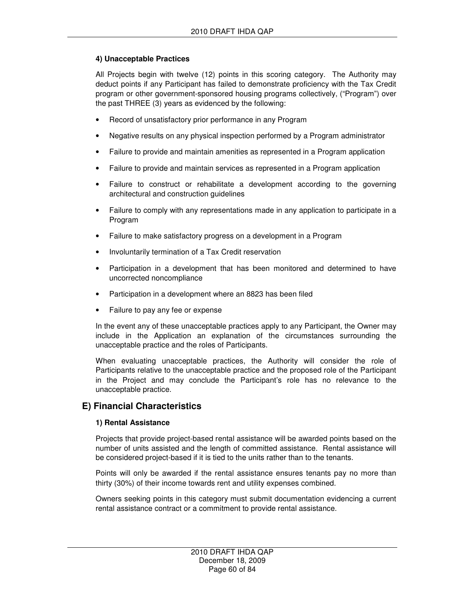#### **4) Unacceptable Practices**

All Projects begin with twelve (12) points in this scoring category. The Authority may deduct points if any Participant has failed to demonstrate proficiency with the Tax Credit program or other government-sponsored housing programs collectively, ("Program") over the past THREE (3) years as evidenced by the following:

- Record of unsatisfactory prior performance in any Program
- Negative results on any physical inspection performed by a Program administrator
- Failure to provide and maintain amenities as represented in a Program application
- Failure to provide and maintain services as represented in a Program application
- Failure to construct or rehabilitate a development according to the governing architectural and construction guidelines
- Failure to comply with any representations made in any application to participate in a Program
- Failure to make satisfactory progress on a development in a Program
- Involuntarily termination of a Tax Credit reservation
- Participation in a development that has been monitored and determined to have uncorrected noncompliance
- Participation in a development where an 8823 has been filed
- Failure to pay any fee or expense

In the event any of these unacceptable practices apply to any Participant, the Owner may include in the Application an explanation of the circumstances surrounding the unacceptable practice and the roles of Participants.

When evaluating unacceptable practices, the Authority will consider the role of Participants relative to the unacceptable practice and the proposed role of the Participant in the Project and may conclude the Participant's role has no relevance to the unacceptable practice.

### **E) Financial Characteristics**

#### **1) Rental Assistance**

Projects that provide project-based rental assistance will be awarded points based on the number of units assisted and the length of committed assistance. Rental assistance will be considered project-based if it is tied to the units rather than to the tenants.

Points will only be awarded if the rental assistance ensures tenants pay no more than thirty (30%) of their income towards rent and utility expenses combined.

Owners seeking points in this category must submit documentation evidencing a current rental assistance contract or a commitment to provide rental assistance.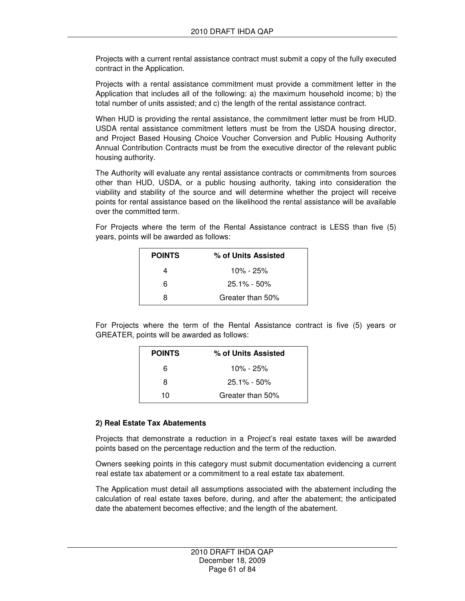Projects with a current rental assistance contract must submit a copy of the fully executed contract in the Application.

Projects with a rental assistance commitment must provide a commitment letter in the Application that includes all of the following: a) the maximum household income; b) the total number of units assisted; and c) the length of the rental assistance contract.

When HUD is providing the rental assistance, the commitment letter must be from HUD. USDA rental assistance commitment letters must be from the USDA housing director, and Project Based Housing Choice Voucher Conversion and Public Housing Authority Annual Contribution Contracts must be from the executive director of the relevant public housing authority.

The Authority will evaluate any rental assistance contracts or commitments from sources other than HUD, USDA, or a public housing authority, taking into consideration the viability and stability of the source and will determine whether the project will receive points for rental assistance based on the likelihood the rental assistance will be available over the committed term.

For Projects where the term of the Rental Assistance contract is LESS than five (5) years, points will be awarded as follows:

| <b>POINTS</b> | % of Units Assisted |
|---------------|---------------------|
| Δ             | $10\% - 25\%$       |
| 6             | $25.1\% - 50\%$     |
| я             | Greater than 50%    |

For Projects where the term of the Rental Assistance contract is five (5) years or GREATER, points will be awarded as follows:

| <b>POINTS</b> | % of Units Assisted |
|---------------|---------------------|
| 6             | 10% - 25%           |
| 8             | $25.1\% - 50\%$     |
| 10            | Greater than 50%    |

#### **2) Real Estate Tax Abatements**

Projects that demonstrate a reduction in a Project's real estate taxes will be awarded points based on the percentage reduction and the term of the reduction.

Owners seeking points in this category must submit documentation evidencing a current real estate tax abatement or a commitment to a real estate tax abatement.

The Application must detail all assumptions associated with the abatement including the calculation of real estate taxes before, during, and after the abatement; the anticipated date the abatement becomes effective; and the length of the abatement.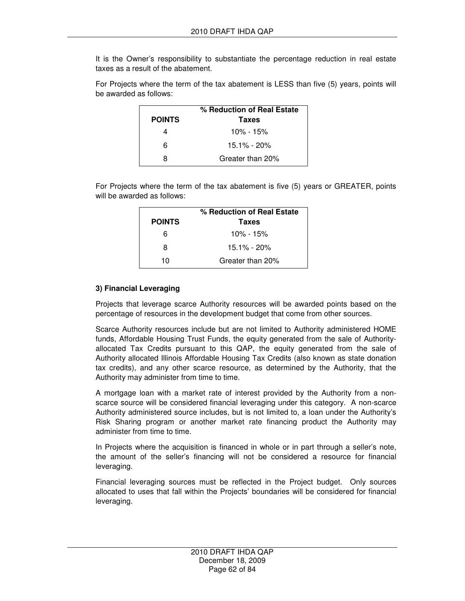It is the Owner's responsibility to substantiate the percentage reduction in real estate taxes as a result of the abatement.

For Projects where the term of the tax abatement is LESS than five (5) years, points will be awarded as follows:

|               | % Reduction of Real Estate |
|---------------|----------------------------|
| <b>POINTS</b> | <b>Taxes</b>               |
|               | $10\% - 15\%$              |
| հ             | 15.1% - 20%                |
| я             | Greater than 20%           |

For Projects where the term of the tax abatement is five (5) years or GREATER, points will be awarded as follows:

|               | % Reduction of Real Estate |
|---------------|----------------------------|
| <b>POINTS</b> | Taxes                      |
| ิค            | $10\% - 15\%$              |
| я             | $15.1\% - 20\%$            |
| 10            | Greater than 20%           |

#### **3) Financial Leveraging**

Projects that leverage scarce Authority resources will be awarded points based on the percentage of resources in the development budget that come from other sources.

Scarce Authority resources include but are not limited to Authority administered HOME funds, Affordable Housing Trust Funds, the equity generated from the sale of Authorityallocated Tax Credits pursuant to this QAP, the equity generated from the sale of Authority allocated Illinois Affordable Housing Tax Credits (also known as state donation tax credits), and any other scarce resource, as determined by the Authority, that the Authority may administer from time to time.

A mortgage loan with a market rate of interest provided by the Authority from a nonscarce source will be considered financial leveraging under this category. A non-scarce Authority administered source includes, but is not limited to, a loan under the Authority's Risk Sharing program or another market rate financing product the Authority may administer from time to time.

In Projects where the acquisition is financed in whole or in part through a seller's note, the amount of the seller's financing will not be considered a resource for financial leveraging.

Financial leveraging sources must be reflected in the Project budget. Only sources allocated to uses that fall within the Projects' boundaries will be considered for financial leveraging.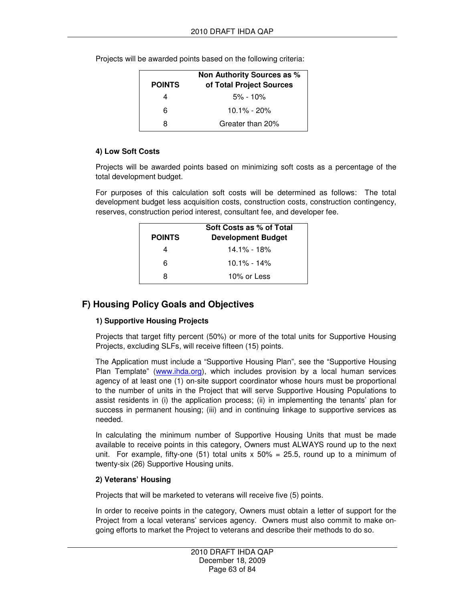Projects will be awarded points based on the following criteria:

| <b>POINTS</b> | Non Authority Sources as %<br>of Total Project Sources |
|---------------|--------------------------------------------------------|
|               |                                                        |
|               | $5\% - 10\%$                                           |
| հ             | $10.1\% - 20\%$                                        |
| я             | Greater than 20%                                       |

#### **4) Low Soft Costs**

Projects will be awarded points based on minimizing soft costs as a percentage of the total development budget.

For purposes of this calculation soft costs will be determined as follows: The total development budget less acquisition costs, construction costs, construction contingency, reserves, construction period interest, consultant fee, and developer fee.

|               | Soft Costs as % of Total  |
|---------------|---------------------------|
| <b>POINTS</b> | <b>Development Budget</b> |
|               | <u>14.1% - 18%</u>        |
| ิค            | $10.1\% - 14\%$           |
| я             | 10% or Less               |

### **F) Housing Policy Goals and Objectives**

#### **1) Supportive Housing Projects**

Projects that target fifty percent (50%) or more of the total units for Supportive Housing Projects, excluding SLFs, will receive fifteen (15) points.

The Application must include a "Supportive Housing Plan", see the "Supportive Housing Plan Template" (www.ihda.org), which includes provision by a local human services agency of at least one (1) on-site support coordinator whose hours must be proportional to the number of units in the Project that will serve Supportive Housing Populations to assist residents in (i) the application process; (ii) in implementing the tenants' plan for success in permanent housing; (iii) and in continuing linkage to supportive services as needed.

In calculating the minimum number of Supportive Housing Units that must be made available to receive points in this category, Owners must ALWAYS round up to the next unit. For example, fifty-one (51) total units  $x$  50% = 25.5, round up to a minimum of twenty-six (26) Supportive Housing units.

#### **2) Veterans' Housing**

Projects that will be marketed to veterans will receive five (5) points.

In order to receive points in the category, Owners must obtain a letter of support for the Project from a local veterans' services agency. Owners must also commit to make ongoing efforts to market the Project to veterans and describe their methods to do so.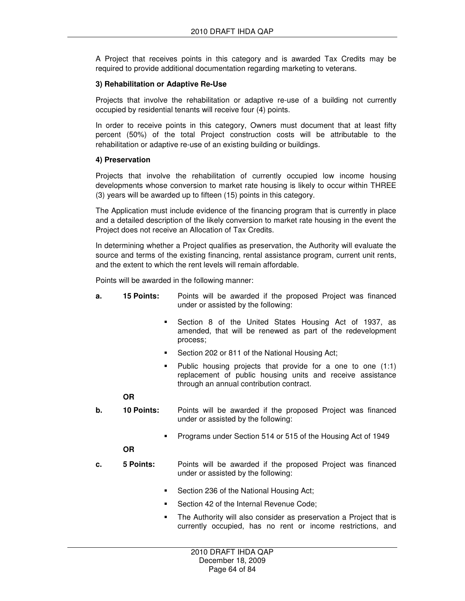A Project that receives points in this category and is awarded Tax Credits may be required to provide additional documentation regarding marketing to veterans.

#### **3) Rehabilitation or Adaptive Re-Use**

Projects that involve the rehabilitation or adaptive re-use of a building not currently occupied by residential tenants will receive four (4) points.

In order to receive points in this category, Owners must document that at least fifty percent (50%) of the total Project construction costs will be attributable to the rehabilitation or adaptive re-use of an existing building or buildings.

#### **4) Preservation**

Projects that involve the rehabilitation of currently occupied low income housing developments whose conversion to market rate housing is likely to occur within THREE (3) years will be awarded up to fifteen (15) points in this category.

The Application must include evidence of the financing program that is currently in place and a detailed description of the likely conversion to market rate housing in the event the Project does not receive an Allocation of Tax Credits.

In determining whether a Project qualifies as preservation, the Authority will evaluate the source and terms of the existing financing, rental assistance program, current unit rents, and the extent to which the rent levels will remain affordable.

Points will be awarded in the following manner:

- **a. 15 Points:** Points will be awarded if the proposed Project was financed under or assisted by the following:
	- Section 8 of the United States Housing Act of 1937, as amended, that will be renewed as part of the redevelopment process;
	- Section 202 or 811 of the National Housing Act;
	- $\blacksquare$  Public housing projects that provide for a one to one (1:1) replacement of public housing units and receive assistance through an annual contribution contract.

#### **OR**

- **b. 10 Points:** Points will be awarded if the proposed Project was financed under or assisted by the following:
	- Programs under Section 514 or 515 of the Housing Act of 1949

#### **OR**

- **c. 5 Points:** Points will be awarded if the proposed Project was financed under or assisted by the following:
	- Section 236 of the National Housing Act;
	- Section 42 of the Internal Revenue Code;
	- The Authority will also consider as preservation a Project that is currently occupied, has no rent or income restrictions, and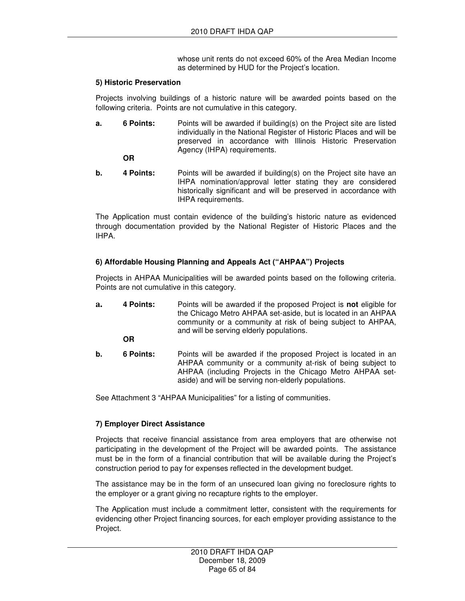whose unit rents do not exceed 60% of the Area Median Income as determined by HUD for the Project's location.

#### **5) Historic Preservation**

Projects involving buildings of a historic nature will be awarded points based on the following criteria. Points are not cumulative in this category.

**a.** 6 Points: Points will be awarded if building(s) on the Project site are listed individually in the National Register of Historic Places and will be preserved in accordance with Illinois Historic Preservation Agency (IHPA) requirements.

 **OR** 

**b.** 4 Points: Points will be awarded if building(s) on the Project site have an IHPA nomination/approval letter stating they are considered historically significant and will be preserved in accordance with IHPA requirements.

The Application must contain evidence of the building's historic nature as evidenced through documentation provided by the National Register of Historic Places and the IHPA.

#### **6) Affordable Housing Planning and Appeals Act ("AHPAA") Projects**

Projects in AHPAA Municipalities will be awarded points based on the following criteria. Points are not cumulative in this category.

**a. 4 Points:** Points will be awarded if the proposed Project is **not** eligible for the Chicago Metro AHPAA set-aside, but is located in an AHPAA community or a community at risk of being subject to AHPAA, and will be serving elderly populations.

**OR** 

**b.** 6 Points: Points will be awarded if the proposed Project is located in an AHPAA community or a community at-risk of being subject to AHPAA (including Projects in the Chicago Metro AHPAA setaside) and will be serving non-elderly populations.

See Attachment 3 "AHPAA Municipalities" for a listing of communities.

#### **7) Employer Direct Assistance**

Projects that receive financial assistance from area employers that are otherwise not participating in the development of the Project will be awarded points. The assistance must be in the form of a financial contribution that will be available during the Project's construction period to pay for expenses reflected in the development budget.

The assistance may be in the form of an unsecured loan giving no foreclosure rights to the employer or a grant giving no recapture rights to the employer.

The Application must include a commitment letter, consistent with the requirements for evidencing other Project financing sources, for each employer providing assistance to the Project.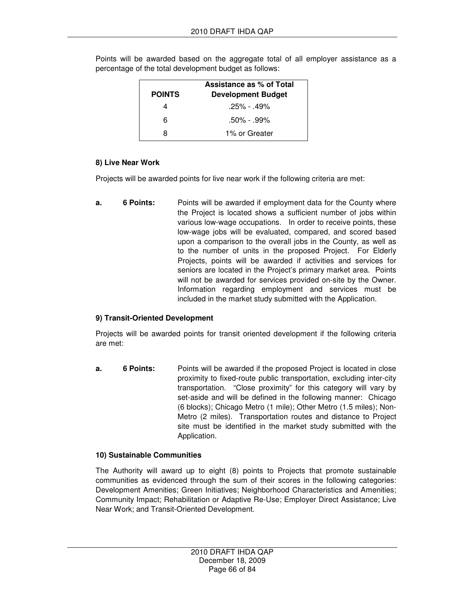| <b>POINTS</b> | Assistance as % of Total<br><b>Development Budget</b> |
|---------------|-------------------------------------------------------|
|               | $.25\% - .49\%$                                       |
| ิค            | $.50\% - .99\%$                                       |
| я             | 1% or Greater                                         |

Points will be awarded based on the aggregate total of all employer assistance as a percentage of the total development budget as follows:

#### **8) Live Near Work**

Projects will be awarded points for live near work if the following criteria are met:

**a.** 6 Points: Points will be awarded if employment data for the County where the Project is located shows a sufficient number of jobs within various low-wage occupations. In order to receive points, these low-wage jobs will be evaluated, compared, and scored based upon a comparison to the overall jobs in the County, as well as to the number of units in the proposed Project. For Elderly Projects, points will be awarded if activities and services for seniors are located in the Project's primary market area. Points will not be awarded for services provided on-site by the Owner. Information regarding employment and services must be included in the market study submitted with the Application.

#### **9) Transit-Oriented Development**

Projects will be awarded points for transit oriented development if the following criteria are met:

**a.** 6 Points: Points will be awarded if the proposed Project is located in close proximity to fixed-route public transportation, excluding inter-city transportation. "Close proximity" for this category will vary by set-aside and will be defined in the following manner: Chicago (6 blocks); Chicago Metro (1 mile); Other Metro (1.5 miles); Non-Metro (2 miles). Transportation routes and distance to Project site must be identified in the market study submitted with the Application.

#### **10) Sustainable Communities**

The Authority will award up to eight (8) points to Projects that promote sustainable communities as evidenced through the sum of their scores in the following categories: Development Amenities; Green Initiatives; Neighborhood Characteristics and Amenities; Community Impact; Rehabilitation or Adaptive Re-Use; Employer Direct Assistance; Live Near Work; and Transit-Oriented Development.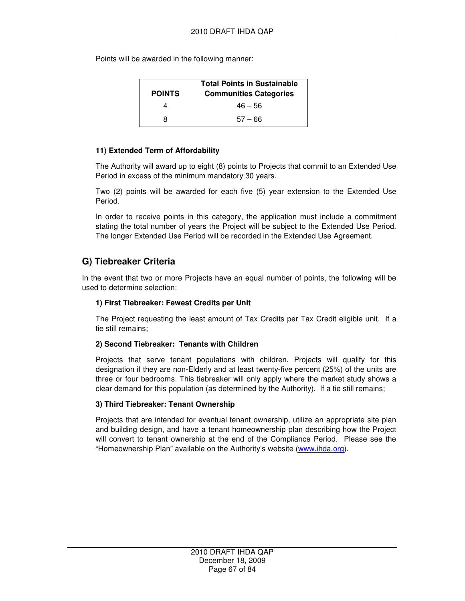Points will be awarded in the following manner:

| <b>POINTS</b> | <b>Total Points in Sustainable</b><br><b>Communities Categories</b> |
|---------------|---------------------------------------------------------------------|
| 4             | $46 - 56$                                                           |
| я             | $57 - 66$                                                           |

#### **11) Extended Term of Affordability**

The Authority will award up to eight (8) points to Projects that commit to an Extended Use Period in excess of the minimum mandatory 30 years.

Two (2) points will be awarded for each five (5) year extension to the Extended Use Period.

In order to receive points in this category, the application must include a commitment stating the total number of years the Project will be subject to the Extended Use Period. The longer Extended Use Period will be recorded in the Extended Use Agreement.

# **G) Tiebreaker Criteria**

In the event that two or more Projects have an equal number of points, the following will be used to determine selection:

### **1) First Tiebreaker: Fewest Credits per Unit**

The Project requesting the least amount of Tax Credits per Tax Credit eligible unit. If a tie still remains;

#### **2) Second Tiebreaker: Tenants with Children**

Projects that serve tenant populations with children. Projects will qualify for this designation if they are non-Elderly and at least twenty-five percent (25%) of the units are three or four bedrooms. This tiebreaker will only apply where the market study shows a clear demand for this population (as determined by the Authority). If a tie still remains;

#### **3) Third Tiebreaker: Tenant Ownership**

Projects that are intended for eventual tenant ownership, utilize an appropriate site plan and building design, and have a tenant homeownership plan describing how the Project will convert to tenant ownership at the end of the Compliance Period. Please see the "Homeownership Plan" available on the Authority's website (www.ihda.org).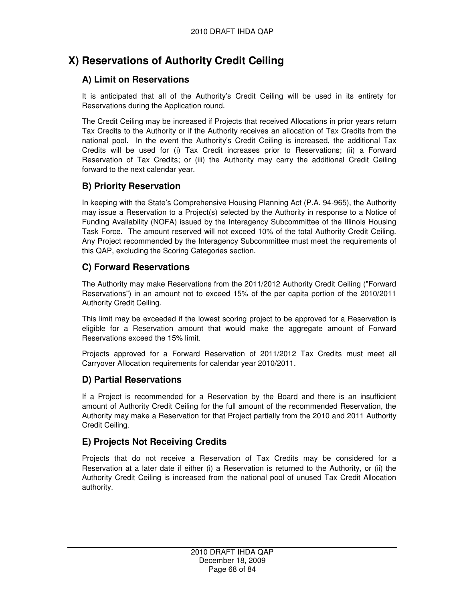# **X) Reservations of Authority Credit Ceiling**

# **A) Limit on Reservations**

It is anticipated that all of the Authority's Credit Ceiling will be used in its entirety for Reservations during the Application round.

The Credit Ceiling may be increased if Projects that received Allocations in prior years return Tax Credits to the Authority or if the Authority receives an allocation of Tax Credits from the national pool. In the event the Authority's Credit Ceiling is increased, the additional Tax Credits will be used for (i) Tax Credit increases prior to Reservations; (ii) a Forward Reservation of Tax Credits; or (iii) the Authority may carry the additional Credit Ceiling forward to the next calendar year.

# **B) Priority Reservation**

In keeping with the State's Comprehensive Housing Planning Act (P.A. 94-965), the Authority may issue a Reservation to a Project(s) selected by the Authority in response to a Notice of Funding Availability (NOFA) issued by the Interagency Subcommittee of the Illinois Housing Task Force. The amount reserved will not exceed 10% of the total Authority Credit Ceiling. Any Project recommended by the Interagency Subcommittee must meet the requirements of this QAP, excluding the Scoring Categories section.

# **C) Forward Reservations**

The Authority may make Reservations from the 2011/2012 Authority Credit Ceiling ("Forward Reservations") in an amount not to exceed 15% of the per capita portion of the 2010/2011 Authority Credit Ceiling.

This limit may be exceeded if the lowest scoring project to be approved for a Reservation is eligible for a Reservation amount that would make the aggregate amount of Forward Reservations exceed the 15% limit.

Projects approved for a Forward Reservation of 2011/2012 Tax Credits must meet all Carryover Allocation requirements for calendar year 2010/2011.

## **D) Partial Reservations**

If a Project is recommended for a Reservation by the Board and there is an insufficient amount of Authority Credit Ceiling for the full amount of the recommended Reservation, the Authority may make a Reservation for that Project partially from the 2010 and 2011 Authority Credit Ceiling.

# **E) Projects Not Receiving Credits**

Projects that do not receive a Reservation of Tax Credits may be considered for a Reservation at a later date if either (i) a Reservation is returned to the Authority, or (ii) the Authority Credit Ceiling is increased from the national pool of unused Tax Credit Allocation authority.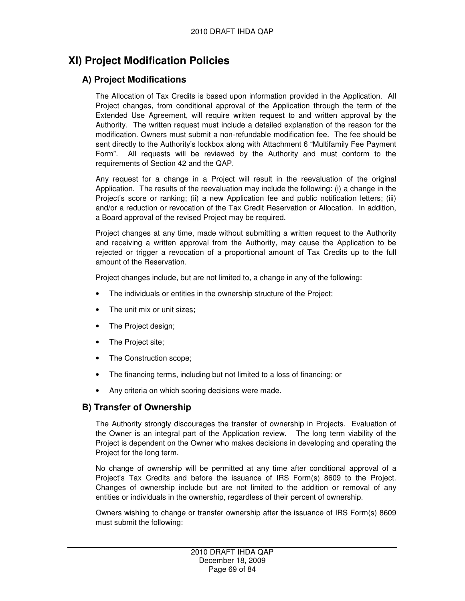# **XI) Project Modification Policies**

# **A) Project Modifications**

The Allocation of Tax Credits is based upon information provided in the Application. All Project changes, from conditional approval of the Application through the term of the Extended Use Agreement, will require written request to and written approval by the Authority. The written request must include a detailed explanation of the reason for the modification. Owners must submit a non-refundable modification fee. The fee should be sent directly to the Authority's lockbox along with Attachment 6 "Multifamily Fee Payment Form". All requests will be reviewed by the Authority and must conform to the requirements of Section 42 and the QAP.

Any request for a change in a Project will result in the reevaluation of the original Application. The results of the reevaluation may include the following: (i) a change in the Project's score or ranking; (ii) a new Application fee and public notification letters; (iii) and/or a reduction or revocation of the Tax Credit Reservation or Allocation. In addition, a Board approval of the revised Project may be required.

Project changes at any time, made without submitting a written request to the Authority and receiving a written approval from the Authority, may cause the Application to be rejected or trigger a revocation of a proportional amount of Tax Credits up to the full amount of the Reservation.

Project changes include, but are not limited to, a change in any of the following:

- The individuals or entities in the ownership structure of the Project;
- The unit mix or unit sizes;
- The Project design;
- The Project site;
- The Construction scope;
- The financing terms, including but not limited to a loss of financing; or
- Any criteria on which scoring decisions were made.

## **B) Transfer of Ownership**

The Authority strongly discourages the transfer of ownership in Projects. Evaluation of the Owner is an integral part of the Application review. The long term viability of the Project is dependent on the Owner who makes decisions in developing and operating the Project for the long term.

No change of ownership will be permitted at any time after conditional approval of a Project's Tax Credits and before the issuance of IRS Form(s) 8609 to the Project. Changes of ownership include but are not limited to the addition or removal of any entities or individuals in the ownership, regardless of their percent of ownership.

Owners wishing to change or transfer ownership after the issuance of IRS Form(s) 8609 must submit the following: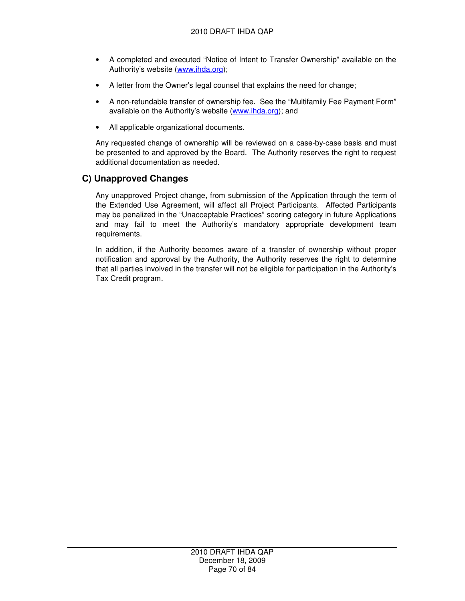- A completed and executed "Notice of Intent to Transfer Ownership" available on the Authority's website (www.ihda.org);
- A letter from the Owner's legal counsel that explains the need for change;
- A non-refundable transfer of ownership fee. See the "Multifamily Fee Payment Form" available on the Authority's website (www.ihda.org); and
- All applicable organizational documents.

Any requested change of ownership will be reviewed on a case-by-case basis and must be presented to and approved by the Board. The Authority reserves the right to request additional documentation as needed.

### **C) Unapproved Changes**

Any unapproved Project change, from submission of the Application through the term of the Extended Use Agreement, will affect all Project Participants. Affected Participants may be penalized in the "Unacceptable Practices" scoring category in future Applications and may fail to meet the Authority's mandatory appropriate development team requirements.

In addition, if the Authority becomes aware of a transfer of ownership without proper notification and approval by the Authority, the Authority reserves the right to determine that all parties involved in the transfer will not be eligible for participation in the Authority's Tax Credit program.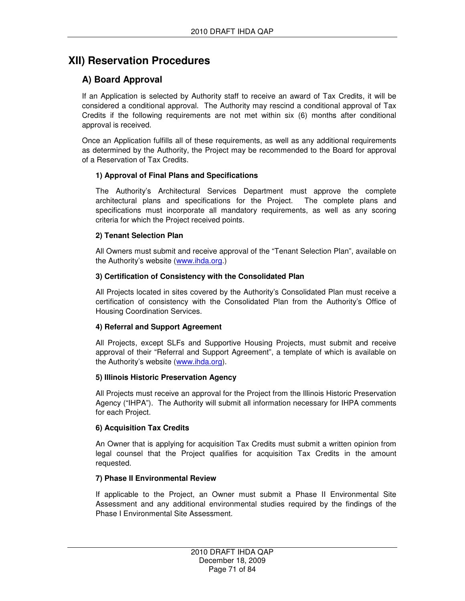# **XII) Reservation Procedures**

# **A) Board Approval**

If an Application is selected by Authority staff to receive an award of Tax Credits, it will be considered a conditional approval. The Authority may rescind a conditional approval of Tax Credits if the following requirements are not met within six (6) months after conditional approval is received.

Once an Application fulfills all of these requirements, as well as any additional requirements as determined by the Authority, the Project may be recommended to the Board for approval of a Reservation of Tax Credits.

### **1) Approval of Final Plans and Specifications**

The Authority's Architectural Services Department must approve the complete architectural plans and specifications for the Project. The complete plans and specifications must incorporate all mandatory requirements, as well as any scoring criteria for which the Project received points.

#### **2) Tenant Selection Plan**

All Owners must submit and receive approval of the "Tenant Selection Plan", available on the Authority's website (www.ihda.org.)

#### **3) Certification of Consistency with the Consolidated Plan**

All Projects located in sites covered by the Authority's Consolidated Plan must receive a certification of consistency with the Consolidated Plan from the Authority's Office of Housing Coordination Services.

#### **4) Referral and Support Agreement**

All Projects, except SLFs and Supportive Housing Projects, must submit and receive approval of their "Referral and Support Agreement", a template of which is available on the Authority's website (www.ihda.org).

#### **5) Illinois Historic Preservation Agency**

All Projects must receive an approval for the Project from the Illinois Historic Preservation Agency ("IHPA"). The Authority will submit all information necessary for IHPA comments for each Project.

#### **6) Acquisition Tax Credits**

An Owner that is applying for acquisition Tax Credits must submit a written opinion from legal counsel that the Project qualifies for acquisition Tax Credits in the amount requested.

#### **7) Phase II Environmental Review**

If applicable to the Project, an Owner must submit a Phase II Environmental Site Assessment and any additional environmental studies required by the findings of the Phase I Environmental Site Assessment.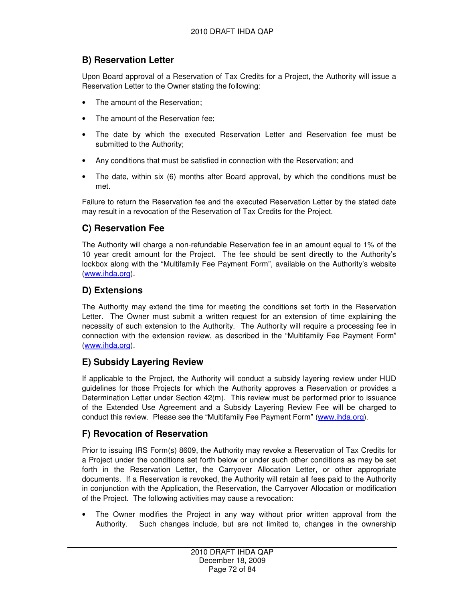# **B) Reservation Letter**

Upon Board approval of a Reservation of Tax Credits for a Project, the Authority will issue a Reservation Letter to the Owner stating the following:

- The amount of the Reservation:
- The amount of the Reservation fee;
- The date by which the executed Reservation Letter and Reservation fee must be submitted to the Authority;
- Any conditions that must be satisfied in connection with the Reservation; and
- The date, within six (6) months after Board approval, by which the conditions must be met.

Failure to return the Reservation fee and the executed Reservation Letter by the stated date may result in a revocation of the Reservation of Tax Credits for the Project.

# **C) Reservation Fee**

The Authority will charge a non-refundable Reservation fee in an amount equal to 1% of the 10 year credit amount for the Project. The fee should be sent directly to the Authority's lockbox along with the "Multifamily Fee Payment Form", available on the Authority's website (www.ihda.org).

## **D) Extensions**

The Authority may extend the time for meeting the conditions set forth in the Reservation Letter. The Owner must submit a written request for an extension of time explaining the necessity of such extension to the Authority. The Authority will require a processing fee in connection with the extension review, as described in the "Multifamily Fee Payment Form" (www.ihda.org).

## **E) Subsidy Layering Review**

If applicable to the Project, the Authority will conduct a subsidy layering review under HUD guidelines for those Projects for which the Authority approves a Reservation or provides a Determination Letter under Section 42(m). This review must be performed prior to issuance of the Extended Use Agreement and a Subsidy Layering Review Fee will be charged to conduct this review. Please see the "Multifamily Fee Payment Form" (www.ihda.org).

## **F) Revocation of Reservation**

Prior to issuing IRS Form(s) 8609, the Authority may revoke a Reservation of Tax Credits for a Project under the conditions set forth below or under such other conditions as may be set forth in the Reservation Letter, the Carryover Allocation Letter, or other appropriate documents. If a Reservation is revoked, the Authority will retain all fees paid to the Authority in conjunction with the Application, the Reservation, the Carryover Allocation or modification of the Project. The following activities may cause a revocation:

The Owner modifies the Project in any way without prior written approval from the Authority. Such changes include, but are not limited to, changes in the ownership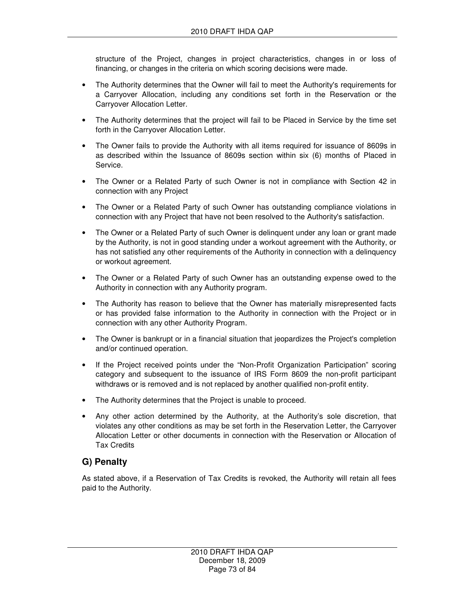structure of the Project, changes in project characteristics, changes in or loss of financing, or changes in the criteria on which scoring decisions were made.

- The Authority determines that the Owner will fail to meet the Authority's requirements for a Carryover Allocation, including any conditions set forth in the Reservation or the Carryover Allocation Letter.
- The Authority determines that the project will fail to be Placed in Service by the time set forth in the Carryover Allocation Letter.
- The Owner fails to provide the Authority with all items required for issuance of 8609s in as described within the Issuance of 8609s section within six (6) months of Placed in Service.
- The Owner or a Related Party of such Owner is not in compliance with Section 42 in connection with any Project
- The Owner or a Related Party of such Owner has outstanding compliance violations in connection with any Project that have not been resolved to the Authority's satisfaction.
- The Owner or a Related Party of such Owner is delinquent under any loan or grant made by the Authority, is not in good standing under a workout agreement with the Authority, or has not satisfied any other requirements of the Authority in connection with a delinquency or workout agreement.
- The Owner or a Related Party of such Owner has an outstanding expense owed to the Authority in connection with any Authority program.
- The Authority has reason to believe that the Owner has materially misrepresented facts or has provided false information to the Authority in connection with the Project or in connection with any other Authority Program.
- The Owner is bankrupt or in a financial situation that jeopardizes the Project's completion and/or continued operation.
- If the Project received points under the "Non-Profit Organization Participation" scoring category and subsequent to the issuance of IRS Form 8609 the non-profit participant withdraws or is removed and is not replaced by another qualified non-profit entity.
- The Authority determines that the Project is unable to proceed.
- Any other action determined by the Authority, at the Authority's sole discretion, that violates any other conditions as may be set forth in the Reservation Letter, the Carryover Allocation Letter or other documents in connection with the Reservation or Allocation of Tax Credits

#### **G) Penalty**

As stated above, if a Reservation of Tax Credits is revoked, the Authority will retain all fees paid to the Authority.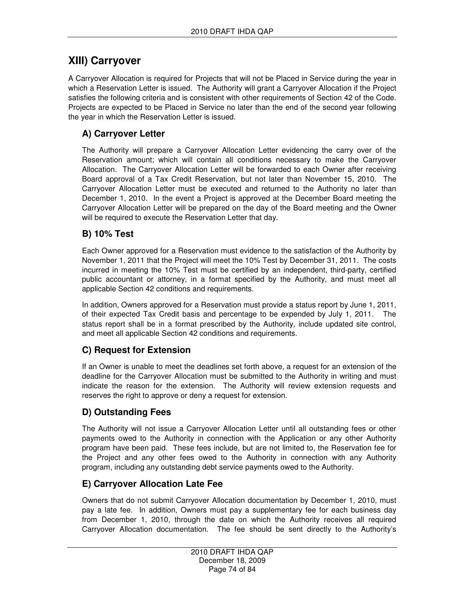## **XIII) Carryover**

A Carryover Allocation is required for Projects that will not be Placed in Service during the year in which a Reservation Letter is issued. The Authority will grant a Carryover Allocation if the Project satisfies the following criteria and is consistent with other requirements of Section 42 of the Code. Projects are expected to be Placed in Service no later than the end of the second year following the year in which the Reservation Letter is issued.

### **A) Carryover Letter**

The Authority will prepare a Carryover Allocation Letter evidencing the carry over of the Reservation amount; which will contain all conditions necessary to make the Carryover Allocation. The Carryover Allocation Letter will be forwarded to each Owner after receiving Board approval of a Tax Credit Reservation, but not later than November 15, 2010. The Carryover Allocation Letter must be executed and returned to the Authority no later than December 1, 2010. In the event a Project is approved at the December Board meeting the Carryover Allocation Letter will be prepared on the day of the Board meeting and the Owner will be required to execute the Reservation Letter that day.

#### **B) 10% Test**

Each Owner approved for a Reservation must evidence to the satisfaction of the Authority by November 1, 2011 that the Project will meet the 10% Test by December 31, 2011. The costs incurred in meeting the 10% Test must be certified by an independent, third-party, certified public accountant or attorney, in a format specified by the Authority, and must meet all applicable Section 42 conditions and requirements.

In addition, Owners approved for a Reservation must provide a status report by June 1, 2011, of their expected Tax Credit basis and percentage to be expended by July 1, 2011. The status report shall be in a format prescribed by the Authority, include updated site control, and meet all applicable Section 42 conditions and requirements.

## **C) Request for Extension**

If an Owner is unable to meet the deadlines set forth above, a request for an extension of the deadline for the Carryover Allocation must be submitted to the Authority in writing and must indicate the reason for the extension. The Authority will review extension requests and reserves the right to approve or deny a request for extension.

## **D) Outstanding Fees**

The Authority will not issue a Carryover Allocation Letter until all outstanding fees or other payments owed to the Authority in connection with the Application or any other Authority program have been paid. These fees include, but are not limited to, the Reservation fee for the Project and any other fees owed to the Authority in connection with any Authority program, including any outstanding debt service payments owed to the Authority.

#### **E) Carryover Allocation Late Fee**

Owners that do not submit Carryover Allocation documentation by December 1, 2010, must pay a late fee. In addition, Owners must pay a supplementary fee for each business day from December 1, 2010, through the date on which the Authority receives all required Carryover Allocation documentation. The fee should be sent directly to the Authority's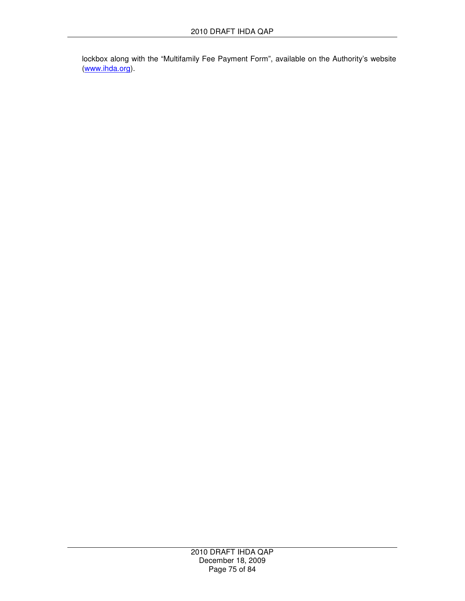lockbox along with the "Multifamily Fee Payment Form", available on the Authority's website (www.ihda.org).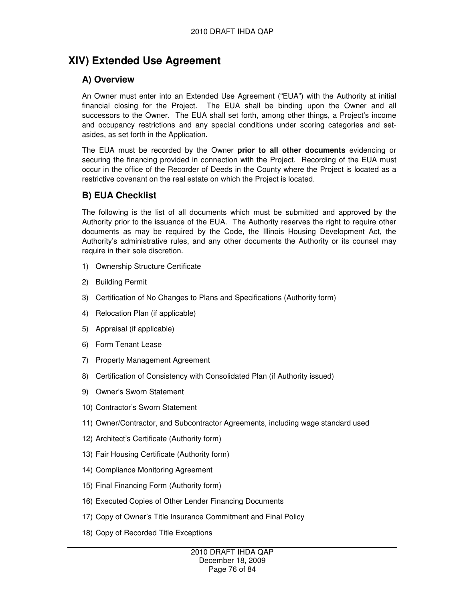# **XIV) Extended Use Agreement**

## **A) Overview**

An Owner must enter into an Extended Use Agreement ("EUA") with the Authority at initial financial closing for the Project. The EUA shall be binding upon the Owner and all successors to the Owner. The EUA shall set forth, among other things, a Project's income and occupancy restrictions and any special conditions under scoring categories and setasides, as set forth in the Application.

The EUA must be recorded by the Owner **prior to all other documents** evidencing or securing the financing provided in connection with the Project. Recording of the EUA must occur in the office of the Recorder of Deeds in the County where the Project is located as a restrictive covenant on the real estate on which the Project is located.

## **B) EUA Checklist**

The following is the list of all documents which must be submitted and approved by the Authority prior to the issuance of the EUA. The Authority reserves the right to require other documents as may be required by the Code, the Illinois Housing Development Act, the Authority's administrative rules, and any other documents the Authority or its counsel may require in their sole discretion.

- 1) Ownership Structure Certificate
- 2) Building Permit
- 3) Certification of No Changes to Plans and Specifications (Authority form)
- 4) Relocation Plan (if applicable)
- 5) Appraisal (if applicable)
- 6) Form Tenant Lease
- 7) Property Management Agreement
- 8) Certification of Consistency with Consolidated Plan (if Authority issued)
- 9) Owner's Sworn Statement
- 10) Contractor's Sworn Statement
- 11) Owner/Contractor, and Subcontractor Agreements, including wage standard used
- 12) Architect's Certificate (Authority form)
- 13) Fair Housing Certificate (Authority form)
- 14) Compliance Monitoring Agreement
- 15) Final Financing Form (Authority form)
- 16) Executed Copies of Other Lender Financing Documents
- 17) Copy of Owner's Title Insurance Commitment and Final Policy
- 18) Copy of Recorded Title Exceptions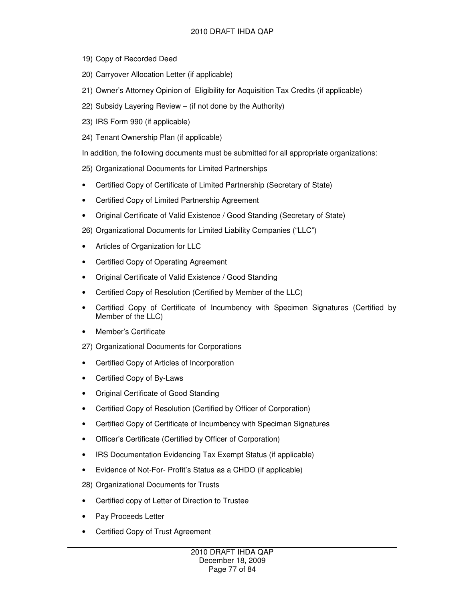- 19) Copy of Recorded Deed
- 20) Carryover Allocation Letter (if applicable)
- 21) Owner's Attorney Opinion of Eligibility for Acquisition Tax Credits (if applicable)
- 22) Subsidy Layering Review (if not done by the Authority)
- 23) IRS Form 990 (if applicable)
- 24) Tenant Ownership Plan (if applicable)
- In addition, the following documents must be submitted for all appropriate organizations:
- 25) Organizational Documents for Limited Partnerships
- Certified Copy of Certificate of Limited Partnership (Secretary of State)
- Certified Copy of Limited Partnership Agreement
- Original Certificate of Valid Existence / Good Standing (Secretary of State)
- 26) Organizational Documents for Limited Liability Companies ("LLC")
- Articles of Organization for LLC
- Certified Copy of Operating Agreement
- Original Certificate of Valid Existence / Good Standing
- Certified Copy of Resolution (Certified by Member of the LLC)
- Certified Copy of Certificate of Incumbency with Specimen Signatures (Certified by Member of the LLC)
- Member's Certificate
- 27) Organizational Documents for Corporations
- Certified Copy of Articles of Incorporation
- Certified Copy of By-Laws
- Original Certificate of Good Standing
- Certified Copy of Resolution (Certified by Officer of Corporation)
- Certified Copy of Certificate of Incumbency with Speciman Signatures
- Officer's Certificate (Certified by Officer of Corporation)
- IRS Documentation Evidencing Tax Exempt Status (if applicable)
- Evidence of Not-For- Profit's Status as a CHDO (if applicable)
- 28) Organizational Documents for Trusts
- Certified copy of Letter of Direction to Trustee
- Pay Proceeds Letter
- Certified Copy of Trust Agreement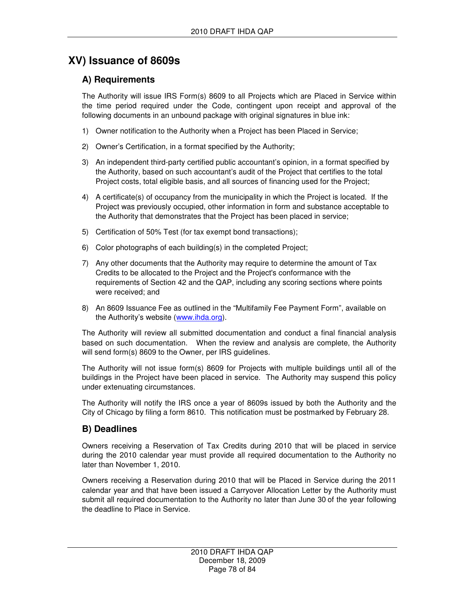# **XV) Issuance of 8609s**

### **A) Requirements**

The Authority will issue IRS Form(s) 8609 to all Projects which are Placed in Service within the time period required under the Code, contingent upon receipt and approval of the following documents in an unbound package with original signatures in blue ink:

- 1) Owner notification to the Authority when a Project has been Placed in Service;
- 2) Owner's Certification, in a format specified by the Authority;
- 3) An independent third-party certified public accountant's opinion, in a format specified by the Authority, based on such accountant's audit of the Project that certifies to the total Project costs, total eligible basis, and all sources of financing used for the Project;
- 4) A certificate(s) of occupancy from the municipality in which the Project is located. If the Project was previously occupied, other information in form and substance acceptable to the Authority that demonstrates that the Project has been placed in service;
- 5) Certification of 50% Test (for tax exempt bond transactions);
- 6) Color photographs of each building(s) in the completed Project;
- 7) Any other documents that the Authority may require to determine the amount of Tax Credits to be allocated to the Project and the Project's conformance with the requirements of Section 42 and the QAP, including any scoring sections where points were received; and
- 8) An 8609 Issuance Fee as outlined in the "Multifamily Fee Payment Form", available on the Authority's website (www.ihda.org).

The Authority will review all submitted documentation and conduct a final financial analysis based on such documentation. When the review and analysis are complete, the Authority will send form(s) 8609 to the Owner, per IRS guidelines.

The Authority will not issue form(s) 8609 for Projects with multiple buildings until all of the buildings in the Project have been placed in service. The Authority may suspend this policy under extenuating circumstances.

The Authority will notify the IRS once a year of 8609s issued by both the Authority and the City of Chicago by filing a form 8610. This notification must be postmarked by February 28.

#### **B) Deadlines**

Owners receiving a Reservation of Tax Credits during 2010 that will be placed in service during the 2010 calendar year must provide all required documentation to the Authority no later than November 1, 2010.

Owners receiving a Reservation during 2010 that will be Placed in Service during the 2011 calendar year and that have been issued a Carryover Allocation Letter by the Authority must submit all required documentation to the Authority no later than June 30 of the year following the deadline to Place in Service.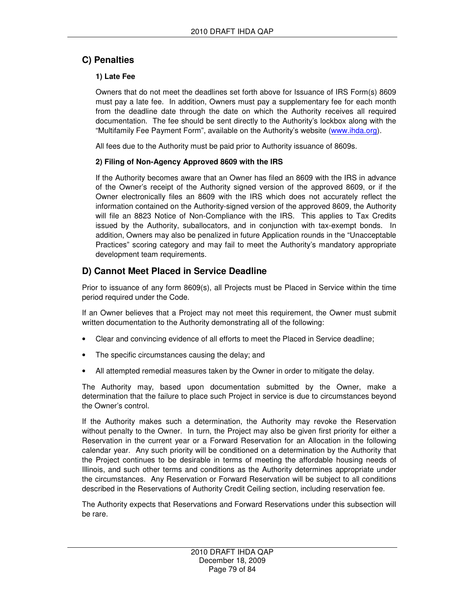### **C) Penalties**

#### **1) Late Fee**

Owners that do not meet the deadlines set forth above for Issuance of IRS Form(s) 8609 must pay a late fee. In addition, Owners must pay a supplementary fee for each month from the deadline date through the date on which the Authority receives all required documentation. The fee should be sent directly to the Authority's lockbox along with the "Multifamily Fee Payment Form", available on the Authority's website (www.ihda.org).

All fees due to the Authority must be paid prior to Authority issuance of 8609s.

#### **2) Filing of Non-Agency Approved 8609 with the IRS**

If the Authority becomes aware that an Owner has filed an 8609 with the IRS in advance of the Owner's receipt of the Authority signed version of the approved 8609, or if the Owner electronically files an 8609 with the IRS which does not accurately reflect the information contained on the Authority-signed version of the approved 8609, the Authority will file an 8823 Notice of Non-Compliance with the IRS. This applies to Tax Credits issued by the Authority, suballocators, and in conjunction with tax-exempt bonds. In addition, Owners may also be penalized in future Application rounds in the "Unacceptable Practices" scoring category and may fail to meet the Authority's mandatory appropriate development team requirements.

### **D) Cannot Meet Placed in Service Deadline**

Prior to issuance of any form 8609(s), all Projects must be Placed in Service within the time period required under the Code.

If an Owner believes that a Project may not meet this requirement, the Owner must submit written documentation to the Authority demonstrating all of the following:

- Clear and convincing evidence of all efforts to meet the Placed in Service deadline;
- The specific circumstances causing the delay; and
- All attempted remedial measures taken by the Owner in order to mitigate the delay.

The Authority may, based upon documentation submitted by the Owner, make a determination that the failure to place such Project in service is due to circumstances beyond the Owner's control.

If the Authority makes such a determination, the Authority may revoke the Reservation without penalty to the Owner. In turn, the Project may also be given first priority for either a Reservation in the current year or a Forward Reservation for an Allocation in the following calendar year. Any such priority will be conditioned on a determination by the Authority that the Project continues to be desirable in terms of meeting the affordable housing needs of Illinois, and such other terms and conditions as the Authority determines appropriate under the circumstances. Any Reservation or Forward Reservation will be subject to all conditions described in the Reservations of Authority Credit Ceiling section, including reservation fee.

The Authority expects that Reservations and Forward Reservations under this subsection will be rare.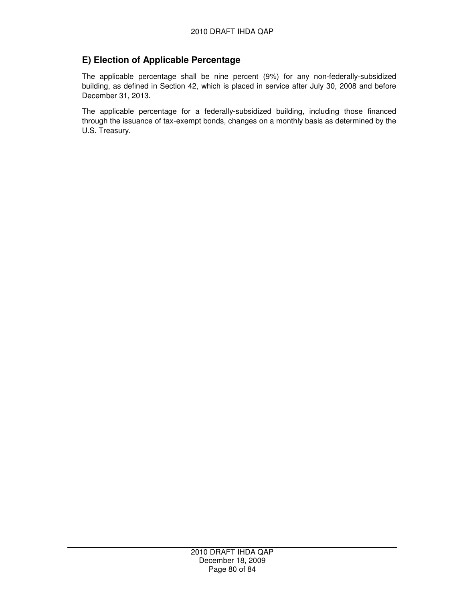### **E) Election of Applicable Percentage**

The applicable percentage shall be nine percent (9%) for any non-federally-subsidized building, as defined in Section 42, which is placed in service after July 30, 2008 and before December 31, 2013.

The applicable percentage for a federally-subsidized building, including those financed through the issuance of tax-exempt bonds, changes on a monthly basis as determined by the U.S. Treasury.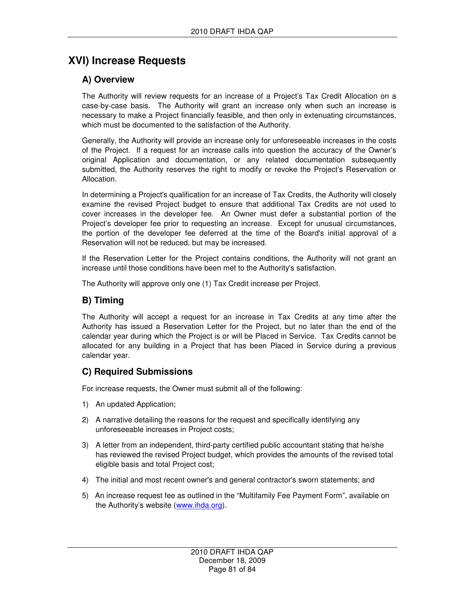# **XVI) Increase Requests**

### **A) Overview**

The Authority will review requests for an increase of a Project's Tax Credit Allocation on a case-by-case basis. The Authority will grant an increase only when such an increase is necessary to make a Project financially feasible, and then only in extenuating circumstances, which must be documented to the satisfaction of the Authority.

Generally, the Authority will provide an increase only for unforeseeable increases in the costs of the Project. If a request for an increase calls into question the accuracy of the Owner's original Application and documentation, or any related documentation subsequently submitted, the Authority reserves the right to modify or revoke the Project's Reservation or Allocation.

In determining a Project's qualification for an increase of Tax Credits, the Authority will closely examine the revised Project budget to ensure that additional Tax Credits are not used to cover increases in the developer fee. An Owner must defer a substantial portion of the Project's developer fee prior to requesting an increase. Except for unusual circumstances, the portion of the developer fee deferred at the time of the Board's initial approval of a Reservation will not be reduced, but may be increased.

If the Reservation Letter for the Project contains conditions, the Authority will not grant an increase until those conditions have been met to the Authority's satisfaction.

The Authority will approve only one (1) Tax Credit increase per Project.

#### **B) Timing**

The Authority will accept a request for an increase in Tax Credits at any time after the Authority has issued a Reservation Letter for the Project, but no later than the end of the calendar year during which the Project is or will be Placed in Service. Tax Credits cannot be allocated for any building in a Project that has been Placed in Service during a previous calendar year.

#### **C) Required Submissions**

For increase requests, the Owner must submit all of the following:

- 1) An updated Application;
- 2) A narrative detailing the reasons for the request and specifically identifying any unforeseeable increases in Project costs;
- 3) A letter from an independent, third-party certified public accountant stating that he/she has reviewed the revised Project budget, which provides the amounts of the revised total eligible basis and total Project cost;
- 4) The initial and most recent owner's and general contractor's sworn statements; and
- 5) An increase request fee as outlined in the "Multifamily Fee Payment Form", available on the Authority's website (www.ihda.org).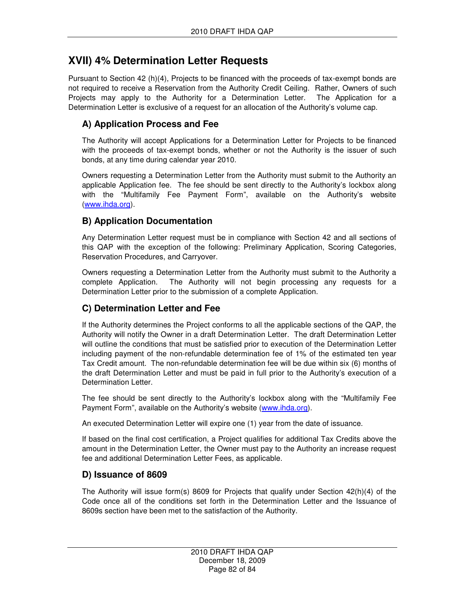## **XVII) 4% Determination Letter Requests**

Pursuant to Section 42 (h)(4), Projects to be financed with the proceeds of tax-exempt bonds are not required to receive a Reservation from the Authority Credit Ceiling. Rather, Owners of such Projects may apply to the Authority for a Determination Letter. The Application for a Determination Letter is exclusive of a request for an allocation of the Authority's volume cap.

### **A) Application Process and Fee**

The Authority will accept Applications for a Determination Letter for Projects to be financed with the proceeds of tax-exempt bonds, whether or not the Authority is the issuer of such bonds, at any time during calendar year 2010.

Owners requesting a Determination Letter from the Authority must submit to the Authority an applicable Application fee. The fee should be sent directly to the Authority's lockbox along with the "Multifamily Fee Payment Form", available on the Authority's website (www.ihda.org).

### **B) Application Documentation**

Any Determination Letter request must be in compliance with Section 42 and all sections of this QAP with the exception of the following: Preliminary Application, Scoring Categories, Reservation Procedures, and Carryover.

Owners requesting a Determination Letter from the Authority must submit to the Authority a complete Application. The Authority will not begin processing any requests for a Determination Letter prior to the submission of a complete Application.

## **C) Determination Letter and Fee**

If the Authority determines the Project conforms to all the applicable sections of the QAP, the Authority will notify the Owner in a draft Determination Letter. The draft Determination Letter will outline the conditions that must be satisfied prior to execution of the Determination Letter including payment of the non-refundable determination fee of 1% of the estimated ten year Tax Credit amount. The non-refundable determination fee will be due within six (6) months of the draft Determination Letter and must be paid in full prior to the Authority's execution of a Determination Letter.

The fee should be sent directly to the Authority's lockbox along with the "Multifamily Fee Payment Form", available on the Authority's website (www.ihda.org).

An executed Determination Letter will expire one (1) year from the date of issuance.

If based on the final cost certification, a Project qualifies for additional Tax Credits above the amount in the Determination Letter, the Owner must pay to the Authority an increase request fee and additional Determination Letter Fees, as applicable.

## **D) Issuance of 8609**

The Authority will issue form(s) 8609 for Projects that qualify under Section 42(h)(4) of the Code once all of the conditions set forth in the Determination Letter and the Issuance of 8609s section have been met to the satisfaction of the Authority.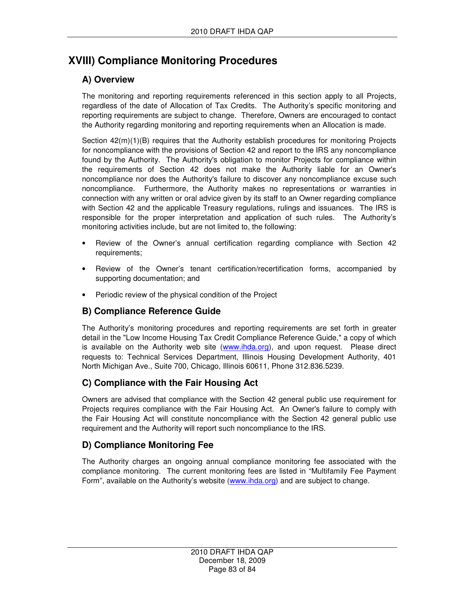# **XVIII) Compliance Monitoring Procedures**

## **A) Overview**

The monitoring and reporting requirements referenced in this section apply to all Projects, regardless of the date of Allocation of Tax Credits. The Authority's specific monitoring and reporting requirements are subject to change. Therefore, Owners are encouraged to contact the Authority regarding monitoring and reporting requirements when an Allocation is made.

Section  $42(m)(1)(B)$  requires that the Authority establish procedures for monitoring Projects for noncompliance with the provisions of Section 42 and report to the IRS any noncompliance found by the Authority. The Authority's obligation to monitor Projects for compliance within the requirements of Section 42 does not make the Authority liable for an Owner's noncompliance nor does the Authority's failure to discover any noncompliance excuse such noncompliance. Furthermore, the Authority makes no representations or warranties in connection with any written or oral advice given by its staff to an Owner regarding compliance with Section 42 and the applicable Treasury regulations, rulings and issuances. The IRS is responsible for the proper interpretation and application of such rules. The Authority's monitoring activities include, but are not limited to, the following:

- Review of the Owner's annual certification regarding compliance with Section 42 requirements;
- Review of the Owner's tenant certification/recertification forms, accompanied by supporting documentation; and
- Periodic review of the physical condition of the Project

## **B) Compliance Reference Guide**

The Authority's monitoring procedures and reporting requirements are set forth in greater detail in the "Low Income Housing Tax Credit Compliance Reference Guide," a copy of which is available on the Authority web site (www.ihda.org), and upon request. Please direct requests to: Technical Services Department, Illinois Housing Development Authority, 401 North Michigan Ave., Suite 700, Chicago, Illinois 60611, Phone 312.836.5239.

#### **C) Compliance with the Fair Housing Act**

Owners are advised that compliance with the Section 42 general public use requirement for Projects requires compliance with the Fair Housing Act. An Owner's failure to comply with the Fair Housing Act will constitute noncompliance with the Section 42 general public use requirement and the Authority will report such noncompliance to the IRS.

## **D) Compliance Monitoring Fee**

The Authority charges an ongoing annual compliance monitoring fee associated with the compliance monitoring. The current monitoring fees are listed in "Multifamily Fee Payment Form", available on the Authority's website (www.ihda.org) and are subject to change.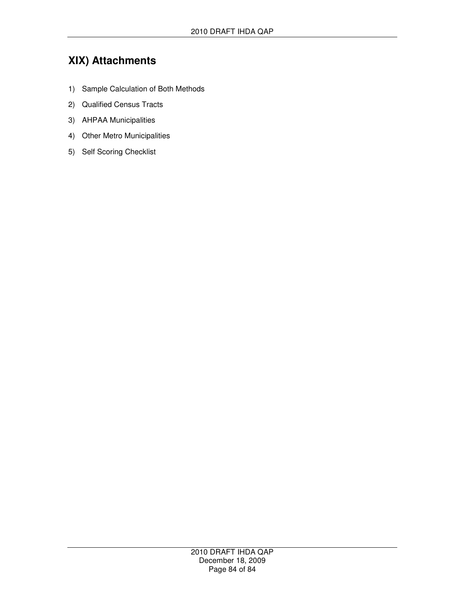# **XIX) Attachments**

- 1) Sample Calculation of Both Methods
- 2) Qualified Census Tracts
- 3) AHPAA Municipalities
- 4) Other Metro Municipalities
- 5) Self Scoring Checklist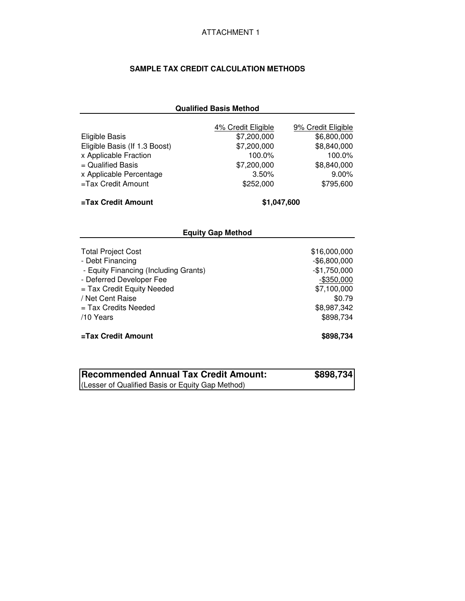#### **SAMPLE TAX CREDIT CALCULATION METHODS**

#### **Qualified Basis Method**

|                               | 4% Credit Eligible | 9% Credit Eligible |  |  |  |  |
|-------------------------------|--------------------|--------------------|--|--|--|--|
| Eligible Basis                | \$7,200,000        | \$6,800,000        |  |  |  |  |
| Eligible Basis (If 1.3 Boost) | \$7,200,000        | \$8,840,000        |  |  |  |  |
| x Applicable Fraction         | 100.0%             | 100.0%             |  |  |  |  |
| $=$ Qualified Basis           | \$7,200,000        | \$8,840,000        |  |  |  |  |
| x Applicable Percentage       | 3.50%              | $9.00\%$           |  |  |  |  |
| $=$ Tax Credit Amount         | \$252,000          | \$795,600          |  |  |  |  |
| =Tax Credit Amount            | \$1,047,600        |                    |  |  |  |  |
| <b>Equity Gap Method</b>      |                    |                    |  |  |  |  |
|                               |                    |                    |  |  |  |  |

| <b>Total Project Cost</b>             | \$16,000,000  |
|---------------------------------------|---------------|
| - Debt Financing                      | $-$6,800,000$ |
| - Equity Financing (Including Grants) | $-$1,750,000$ |
| - Deferred Developer Fee              | $-$ \$350,000 |
| = Tax Credit Equity Needed            | \$7,100,000   |
| / Net Cent Raise                      | \$0.79        |
| $=$ Tax Credits Needed                | \$8,987,342   |
| /10 Years                             | \$898,734     |
| =Tax Credit Amount                    | \$898.734     |

| Recommended Annual Tax Credit Amount:            | \$898,734 |
|--------------------------------------------------|-----------|
| (Lesser of Qualified Basis or Equity Gap Method) |           |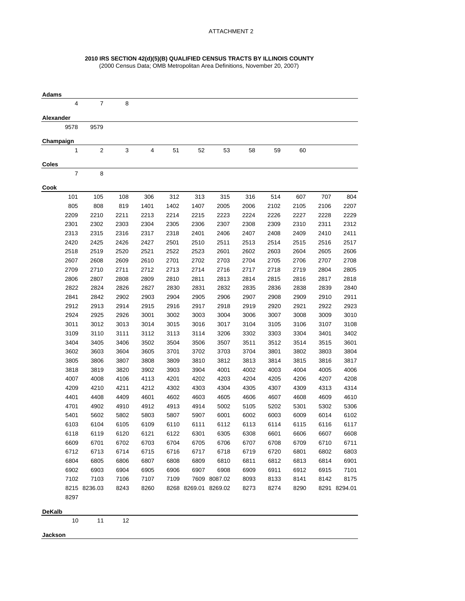#### **2010 IRS SECTION 42(d)(5)(B) QUALIFIED CENSUS TRACTS BY ILLINOIS COUNTY**

(2000 Census Data; OMB Metropolitan Area Definitions, November 20, 2007)

| Adams         |     |                |              |      |      |                      |              |      |      |              |              |              |
|---------------|-----|----------------|--------------|------|------|----------------------|--------------|------|------|--------------|--------------|--------------|
|               | 4   | $\overline{7}$ | 8            |      |      |                      |              |      |      |              |              |              |
| Alexander     |     |                |              |      |      |                      |              |      |      |              |              |              |
| 9578          |     | 9579           |              |      |      |                      |              |      |      |              |              |              |
| Champaign     |     |                |              |      |      |                      |              |      |      |              |              |              |
|               | 1   | $\overline{2}$ | 3            | 4    | 51   | 52                   | 53           | 58   | 59   | 60           |              |              |
| Coles         |     |                |              |      |      |                      |              |      |      |              |              |              |
|               | 7   | 8              |              |      |      |                      |              |      |      |              |              |              |
| Cook          |     |                |              |      |      |                      |              |      |      |              |              |              |
|               | 101 | 105            | 108          | 306  | 312  | 313                  | 315          | 316  | 514  | 607          | 707          | 804          |
| 805           |     | 808            | 819          | 1401 | 1402 | 1407                 | 2005         | 2006 | 2102 | 2105         | 2106         | 2207         |
| 2209          |     | 2210           | 2211         | 2213 | 2214 | 2215                 | 2223         | 2224 | 2226 | 2227         | 2228         | 2229         |
| 2301          |     | 2302           | 2303         | 2304 | 2305 | 2306                 | 2307         | 2308 | 2309 | 2310         | 2311         | 2312         |
| 2313          |     | 2315           | 2316         | 2317 | 2318 | 2401                 | 2406         | 2407 | 2408 | 2409         | 2410         | 2411         |
| 2420          |     | 2425           | 2426         | 2427 | 2501 | 2510                 | 2511         | 2513 | 2514 | 2515         | 2516         | 2517         |
| 2518          |     | 2519           | 2520         | 2521 | 2522 | 2523                 | 2601         | 2602 | 2603 | 2604         | 2605         | 2606         |
| 2607          |     | 2608           | 2609         | 2610 | 2701 | 2702                 | 2703         | 2704 | 2705 | 2706         | 2707         | 2708         |
| 2709          |     | 2710           | 2711         | 2712 | 2713 | 2714                 | 2716         | 2717 | 2718 | 2719         | 2804         | 2805         |
| 2806          |     | 2807           | 2808         | 2809 | 2810 | 2811                 | 2813         | 2814 | 2815 | 2816         | 2817         | 2818         |
| 2822          |     | 2824           | 2826         | 2827 | 2830 | 2831                 | 2832         | 2835 | 2836 | 2838         | 2839         | 2840         |
| 2841          |     | 2842           |              | 2903 | 2904 | 2905                 | 2906         | 2907 |      |              |              | 2911         |
| 2912          |     | 2913           | 2902<br>2914 | 2915 | 2916 | 2917                 | 2918         | 2919 | 2908 | 2909<br>2921 | 2910<br>2922 | 2923         |
|               |     |                |              |      |      |                      |              |      | 2920 |              |              |              |
| 2924          |     | 2925           | 2926         | 3001 | 3002 | 3003                 | 3004         | 3006 | 3007 | 3008         | 3009         | 3010         |
| 3011          |     | 3012           | 3013         | 3014 | 3015 | 3016                 | 3017         | 3104 | 3105 | 3106         | 3107         | 3108         |
| 3109          |     | 3110           | 3111         | 3112 | 3113 | 3114                 | 3206         | 3302 | 3303 | 3304         | 3401         | 3402         |
| 3404          |     | 3405           | 3406         | 3502 | 3504 | 3506                 | 3507         | 3511 | 3512 | 3514         | 3515         | 3601         |
| 3602          |     | 3603           | 3604         | 3605 | 3701 | 3702                 | 3703         | 3704 | 3801 | 3802         | 3803         | 3804         |
| 3805          |     | 3806           | 3807         | 3808 | 3809 | 3810                 | 3812         | 3813 | 3814 | 3815         | 3816         | 3817         |
| 3818          |     | 3819           | 3820         | 3902 | 3903 | 3904                 | 4001         | 4002 | 4003 | 4004         | 4005         | 4006         |
| 4007          |     | 4008           | 4106         | 4113 | 4201 | 4202                 | 4203         | 4204 | 4205 | 4206         | 4207         | 4208         |
| 4209          |     | 4210           | 4211         | 4212 | 4302 | 4303                 | 4304         | 4305 | 4307 | 4309         | 4313         | 4314         |
| 4401          |     | 4408           | 4409         | 4601 | 4602 | 4603                 | 4605         | 4606 | 4607 | 4608         | 4609         | 4610         |
| 4701          |     | 4902           | 4910         | 4912 | 4913 | 4914                 | 5002         | 5105 | 5202 | 5301         | 5302         | 5306         |
| 5401          |     | 5602           | 5802         | 5803 | 5807 | 5907                 | 6001         | 6002 | 6003 | 6009         | 6014         | 6102         |
| 6103          |     | 6104           | 6105         | 6109 | 6110 | 6111                 | 6112         | 6113 | 6114 | 6115         | 6116         | 6117         |
| 6118          |     | 6119           | 6120         | 6121 | 6122 | 6301                 | 6305         | 6308 | 6601 | 6606         | 6607         | 6608         |
| 6609          |     | 6701           | 6702         | 6703 | 6704 | 6705                 | 6706         | 6707 | 6708 | 6709         | 6710         | 6711         |
| 6712          |     | 6713           | 6714         | 6715 | 6716 | 6717                 | 6718         | 6719 | 6720 | 6801         | 6802         | 6803         |
| 6804          |     | 6805           | 6806         | 6807 | 6808 | 6809                 | 6810         | 6811 | 6812 | 6813         | 6814         | 6901         |
| 6902          |     | 6903           | 6904         | 6905 | 6906 | 6907                 | 6908         | 6909 | 6911 | 6912         | 6915         | 7101         |
| 7102          |     | 7103           | 7106         | 7107 | 7109 |                      | 7609 8087.02 | 8093 | 8133 | 8141         | 8142         | 8175         |
|               |     | 8215 8236.03   | 8243         | 8260 |      | 8268 8269.01 8269.02 |              | 8273 | 8274 | 8290         |              | 8291 8294.01 |
| 8297          |     |                |              |      |      |                      |              |      |      |              |              |              |
| <b>DeKalb</b> |     |                |              |      |      |                      |              |      |      |              |              |              |
|               | 10  | 11             | 12           |      |      |                      |              |      |      |              |              |              |
| Jackson       |     |                |              |      |      |                      |              |      |      |              |              |              |
|               |     |                |              |      |      |                      |              |      |      |              |              |              |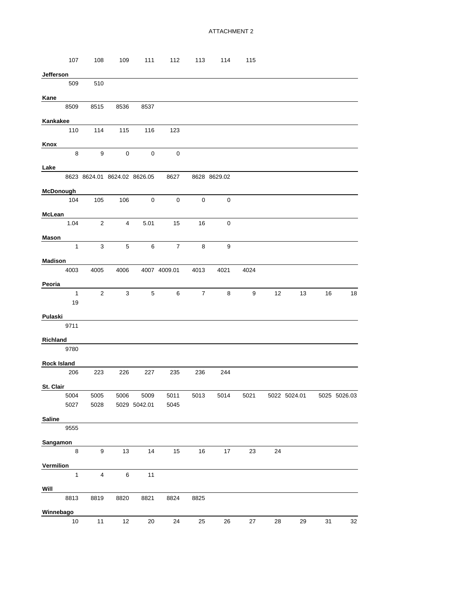|                    | 107                        | 108                     | 109            | 111                          | 112              | 113            | 114          | 115  |    |                                                         |    |    |
|--------------------|----------------------------|-------------------------|----------------|------------------------------|------------------|----------------|--------------|------|----|---------------------------------------------------------|----|----|
| Jefferson          |                            |                         |                |                              |                  |                |              |      |    |                                                         |    |    |
|                    | 509                        | 510                     |                |                              |                  |                |              |      |    |                                                         |    |    |
| Kane               |                            |                         |                |                              |                  |                |              |      |    |                                                         |    |    |
|                    | 8509                       | 8515                    | 8536           | 8537                         |                  |                |              |      |    |                                                         |    |    |
|                    |                            |                         |                |                              |                  |                |              |      |    |                                                         |    |    |
| Kankakee           | 110                        | 114                     | 115            | 116                          | 123              |                |              |      |    |                                                         |    |    |
|                    |                            |                         |                |                              |                  |                |              |      |    |                                                         |    |    |
| Knox               |                            | 9                       | $\mathbf 0$    | $\mathbf 0$                  | $\mathbf 0$      |                |              |      |    |                                                         |    |    |
|                    | 8                          |                         |                |                              |                  |                |              |      |    |                                                         |    |    |
| Lake               |                            |                         |                |                              |                  |                |              |      |    |                                                         |    |    |
|                    |                            |                         |                | 8623 8624.01 8624.02 8626.05 | 8627             |                | 8628 8629.02 |      |    |                                                         |    |    |
| McDonough          |                            |                         |                |                              |                  |                |              |      |    |                                                         |    |    |
|                    | 104                        | 105                     | 106            | $\overline{\mathbf{0}}$      | $\boldsymbol{0}$ | 0              | 0            |      |    |                                                         |    |    |
| <b>McLean</b>      |                            |                         |                |                              |                  |                |              |      |    |                                                         |    |    |
| 1.04               |                            | $\overline{2}$          | $\overline{4}$ | 5.01                         | 15               | 16             | 0            |      |    |                                                         |    |    |
|                    |                            |                         |                |                              |                  |                |              |      |    |                                                         |    |    |
| Mason              | $\mathbf{1}$               | 3                       | 5              | 6                            | $\overline{7}$   | 8              | 9            |      |    |                                                         |    |    |
|                    |                            |                         |                |                              |                  |                |              |      |    |                                                         |    |    |
| Madison            |                            |                         |                |                              |                  |                |              |      |    |                                                         |    |    |
| 4003               |                            | 4005                    | 4006           |                              | 4007 4009.01     | 4013           | 4021         | 4024 |    |                                                         |    |    |
| Peoria             |                            |                         |                |                              |                  |                |              |      |    |                                                         |    |    |
|                    | $\overline{\phantom{1}}$ 1 | $\overline{2}$          | 3              | 5                            | 6                | $\overline{7}$ | 8            | 9    | 12 | 13                                                      | 16 | 18 |
|                    | 19                         |                         |                |                              |                  |                |              |      |    |                                                         |    |    |
| Pulaski            |                            |                         |                |                              |                  |                |              |      |    |                                                         |    |    |
| 9711               |                            |                         |                |                              |                  |                |              |      |    |                                                         |    |    |
| Richland           |                            |                         |                |                              |                  |                |              |      |    |                                                         |    |    |
|                    | 9780                       |                         |                |                              |                  |                |              |      |    |                                                         |    |    |
| <b>Rock Island</b> |                            |                         |                |                              |                  |                |              |      |    |                                                         |    |    |
|                    | 206                        | 223                     | 226            | 227                          | 235              | 236            | 244          |      |    |                                                         |    |    |
|                    |                            |                         |                |                              |                  |                |              |      |    |                                                         |    |    |
| St. Clair          |                            |                         |                |                              |                  |                |              |      |    |                                                         |    |    |
|                    | 5004<br>5027               | 5005<br>5028            |                | 5029 5042.01                 | 5045             |                |              |      |    | 5006 5009 5011 5013 5014 5021 5022 5024.01 5025 5026.03 |    |    |
|                    |                            |                         |                |                              |                  |                |              |      |    |                                                         |    |    |
| <b>Saline</b>      |                            |                         |                |                              |                  |                |              |      |    |                                                         |    |    |
|                    | 9555                       |                         |                |                              |                  |                |              |      |    |                                                         |    |    |
| Sangamon           |                            |                         |                |                              |                  |                |              |      |    |                                                         |    |    |
|                    | 8                          | 9                       | 13             | 14                           | 15               | 16             | 17           | 23   | 24 |                                                         |    |    |
| Vermilion          |                            |                         |                |                              |                  |                |              |      |    |                                                         |    |    |
|                    | $\mathbf{1}$               | $\overline{\mathbf{4}}$ | $\,6\,$        | $11$                         |                  |                |              |      |    |                                                         |    |    |
| Will               |                            |                         |                |                              |                  |                |              |      |    |                                                         |    |    |
|                    | 8813                       | 8819                    | 8820           | 8821                         | 8824             | 8825           |              |      |    |                                                         |    |    |
|                    |                            |                         |                |                              |                  |                |              |      |    |                                                         |    |    |
| Winnebago          | 10                         | 11                      | 12             | 20                           | 24               | 25             | 26           | 27   | 28 | 29                                                      | 31 | 32 |
|                    |                            |                         |                |                              |                  |                |              |      |    |                                                         |    |    |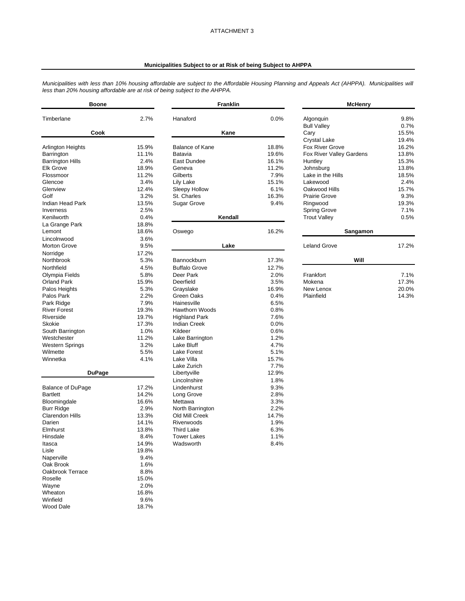#### **Municipalities Subject to or at Risk of being Subject to AHPPA**

*Municipalities with less than 10% housing affordable are subject to the Affordable Housing Planning and Appeals Act (AHPPA). Municipalities will less than 20% housing affordable are at risk of being subject to the AHPPA.*

| <b>Boone</b>             |       | <b>Franklin</b>        |       | <b>McHenry</b>                  |              |
|--------------------------|-------|------------------------|-------|---------------------------------|--------------|
| Timberlane               | 2.7%  | Hanaford               | 0.0%  | Algonquin<br><b>Bull Valley</b> | 9.8%<br>0.7% |
| Cook                     |       | Kane                   |       | Cary                            | 15.5%        |
|                          |       |                        |       | <b>Crystal Lake</b>             | 19.4%        |
| <b>Arlington Heights</b> | 15.9% | <b>Balance of Kane</b> | 18.8% | <b>Fox River Grove</b>          | 16.2%        |
| Barrington               | 11.1% | Batavia                | 19.6% | Fox River Valley Gardens        | 13.8%        |
| <b>Barrington Hills</b>  | 2.4%  | East Dundee            | 16.1% | Huntley                         | 15.3%        |
| <b>Elk Grove</b>         | 18.9% | Geneva                 | 11.2% | Johnsburg                       | 13.8%        |
| Flossmoor                | 11.2% | Gilberts               | 7.9%  | Lake in the Hills               | 18.5%        |
| Glencoe                  | 3.4%  | Lily Lake              | 15.1% | Lakewood                        | 2.4%         |
| Glenview                 | 12.4% | Sleepy Hollow          | 6.1%  | Oakwood Hills                   | 15.7%        |
| Golf                     | 3.2%  | St. Charles            | 16.3% | <b>Prairie Grove</b>            | 9.3%         |
| Indian Head Park         | 13.5% | <b>Sugar Grove</b>     | 9.4%  | Ringwood                        | 19.3%        |
| Inverness                | 2.5%  |                        |       | <b>Spring Grove</b>             | 7.1%         |
| Kenilworth               | 0.4%  | Kendall                |       | <b>Trout Valley</b>             | 0.5%         |
| La Grange Park           | 18.8% |                        |       |                                 |              |
| Lemont                   | 18.6% | Oswego                 | 16.2% | Sangamon                        |              |
| Lincolnwood              | 3.6%  |                        |       |                                 |              |
| <b>Morton Grove</b>      | 9.5%  | Lake                   |       | <b>Leland Grove</b>             | 17.2%        |
| Norridge                 | 17.2% |                        |       |                                 |              |
| Northbrook               | 5.3%  | Bannockburn            | 17.3% | Will                            |              |
| Northfield               | 4.5%  | <b>Buffalo Grove</b>   | 12.7% |                                 |              |
| Olympia Fields           | 5.8%  | Deer Park              | 2.0%  | Frankfort                       | 7.1%         |
| <b>Orland Park</b>       | 15.9% | Deerfield              | 3.5%  | Mokena                          | 17.3%        |
| Palos Heights            | 5.3%  | Grayslake              | 16.9% | New Lenox                       | 20.0%        |
| Palos Park               | 2.2%  | Green Oaks             | 0.4%  | Plainfield                      | 14.3%        |
| Park Ridge               | 7.9%  | Hainesville            | 6.5%  |                                 |              |
| <b>River Forest</b>      | 19.3% | <b>Hawthorn Woods</b>  | 0.8%  |                                 |              |
| Riverside                | 19.7% | <b>Highland Park</b>   | 7.6%  |                                 |              |
| Skokie                   | 17.3% | <b>Indian Creek</b>    | 0.0%  |                                 |              |
| South Barrington         | 1.0%  | Kildeer                | 0.6%  |                                 |              |
| Westchester              | 11.2% | Lake Barrington        | 1.2%  |                                 |              |
| <b>Western Springs</b>   | 3.2%  | Lake Bluff             | 4.7%  |                                 |              |
| Wilmette                 | 5.5%  | Lake Forest            | 5.1%  |                                 |              |
| Winnetka                 | 4.1%  | Lake Villa             | 15.7% |                                 |              |
|                          |       | Lake Zurich            | 7.7%  |                                 |              |
| <b>DuPage</b>            |       | Libertyville           | 12.9% |                                 |              |
|                          |       | Lincolnshire           | 1.8%  |                                 |              |
| <b>Balance of DuPage</b> | 17.2% | Lindenhurst            | 9.3%  |                                 |              |
| <b>Bartlett</b>          | 14.2% | Long Grove             | 2.8%  |                                 |              |
| Bloomingdale             | 16.6% | Mettawa                | 3.3%  |                                 |              |
| <b>Burr Ridge</b>        | 2.9%  | North Barrington       | 2.2%  |                                 |              |
| <b>Clarendon Hills</b>   | 13.3% | Old Mill Creek         | 14.7% |                                 |              |
| Darien                   | 14.1% | Riverwoods             | 1.9%  |                                 |              |
| Elmhurst                 | 13.8% | <b>Third Lake</b>      | 6.3%  |                                 |              |
| Hinsdale                 | 8.4%  | <b>Tower Lakes</b>     | 1.1%  |                                 |              |
| Itasca                   | 14.9% | Wadsworth              | 8.4%  |                                 |              |
| Lisle                    | 19.8% |                        |       |                                 |              |
| Naperville               | 9.4%  |                        |       |                                 |              |
| Oak Brook                | 1.6%  |                        |       |                                 |              |
| Oakbrook Terrace         | 8.8%  |                        |       |                                 |              |
| Roselle                  | 15.0% |                        |       |                                 |              |
| Wayne                    | 2.0%  |                        |       |                                 |              |
| Wheaton                  | 16.8% |                        |       |                                 |              |
| Winfield                 | 9.6%  |                        |       |                                 |              |
| <b>Wood Dale</b>         | 18.7% |                        |       |                                 |              |
|                          |       |                        |       |                                 |              |

| <b>McHenry</b>                                                                                                                                                                                                                                                              |                                                                                                                               |  |  |  |  |  |
|-----------------------------------------------------------------------------------------------------------------------------------------------------------------------------------------------------------------------------------------------------------------------------|-------------------------------------------------------------------------------------------------------------------------------|--|--|--|--|--|
| Algonguin<br><b>Bull Valley</b><br>Cary<br><b>Crystal Lake</b><br><b>Fox River Grove</b><br>Fox River Valley Gardens<br>Huntley<br>Johnsburg<br>I ake in the Hills<br>I akewood<br>Oakwood Hills<br>Prairie Grove<br>Ringwood<br><b>Spring Grove</b><br><b>Trout Valley</b> | 9.8%<br>0.7%<br>15.5%<br>19.4%<br>16.2%<br>13.8%<br>15.3%<br>13.8%<br>18.5%<br>2.4%<br>15.7%<br>9.3%<br>19.3%<br>7.1%<br>0.5% |  |  |  |  |  |
| Sangamon                                                                                                                                                                                                                                                                    |                                                                                                                               |  |  |  |  |  |
| Leland Grove<br>Will                                                                                                                                                                                                                                                        | 17.2%                                                                                                                         |  |  |  |  |  |
| Frankfort<br>Mokena<br>New Lenox<br>Plainfield                                                                                                                                                                                                                              | 7.1%<br>17.3%<br>20.0%<br>14.3%                                                                                               |  |  |  |  |  |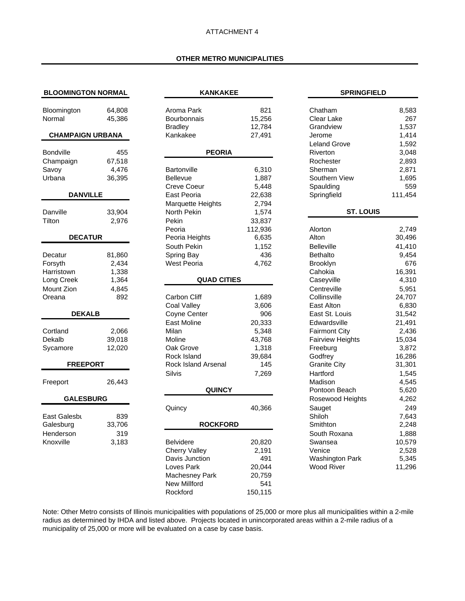#### **OTHER METRO MUNICIPALITIES**

| <b>BLOOMINGTON NORMAL</b> |               | <b>KANKAKEE</b>      |         |  |  |  |  |
|---------------------------|---------------|----------------------|---------|--|--|--|--|
| Bloomington               | 64,808        | Aroma Park           | 821     |  |  |  |  |
| Normal                    | 45,386        | Bourbonnais          | 15,256  |  |  |  |  |
|                           |               | <b>Bradley</b>       | 12,784  |  |  |  |  |
| <b>CHAMPAIGN URBANA</b>   |               | Kankakee             | 27,491  |  |  |  |  |
| <b>Bondville</b>          | 455           | <b>PEORIA</b>        |         |  |  |  |  |
| Champaign                 | 67,518        |                      |         |  |  |  |  |
| Savoy                     | 4,476         | Bartonville          | 6,310   |  |  |  |  |
| Urbana                    | 36,395        | <b>Bellevue</b>      | 1,887   |  |  |  |  |
|                           |               | <b>Creve Coeur</b>   | 5,448   |  |  |  |  |
| <b>DANVILLE</b>           |               | East Peoria          | 22,638  |  |  |  |  |
|                           |               | Marquette Heights    | 2,794   |  |  |  |  |
| Danville                  | 33,904        | North Pekin          | 1,574   |  |  |  |  |
| Tilton                    | 2,976         | Pekin                | 33,837  |  |  |  |  |
|                           |               | Peoria               | 112,936 |  |  |  |  |
| <b>DECATUR</b>            |               | Peoria Heights       | 6,635   |  |  |  |  |
|                           |               | South Pekin          | 1,152   |  |  |  |  |
| Decatur                   | 81,860        | Spring Bay           | 436     |  |  |  |  |
| Forsyth                   | 2,434         | West Peoria          | 4,762   |  |  |  |  |
| Harristown                | 1,338         |                      |         |  |  |  |  |
| Long Creek                | 1,364         | <b>QUAD CITIES</b>   |         |  |  |  |  |
| Mount Zion                | 4,845         |                      |         |  |  |  |  |
| Oreana                    | 892           | Carbon Cliff         | 1,689   |  |  |  |  |
|                           |               | Coal Valley          | 3,606   |  |  |  |  |
| <b>DEKALB</b>             |               | Coyne Center         | 906     |  |  |  |  |
|                           |               | East Moline          | 20,333  |  |  |  |  |
| Cortland                  | 2,066         | Milan                | 5,348   |  |  |  |  |
| Dekalb                    | 39,018        | Moline               | 43,768  |  |  |  |  |
| Sycamore                  | 12,020        | Oak Grove            | 1,318   |  |  |  |  |
|                           |               | Rock Island          | 39,684  |  |  |  |  |
| <b>FREEPORT</b>           |               | Rock Island Arsenal  | 145     |  |  |  |  |
|                           |               | <b>Silvis</b>        | 7,269   |  |  |  |  |
| Freeport                  | 26,443        | <b>QUINCY</b>        |         |  |  |  |  |
| <b>GALESBURG</b>          |               |                      |         |  |  |  |  |
|                           |               | Quincy               | 40,366  |  |  |  |  |
| East Galesbu<br>Galesburg | 839<br>33,706 | <b>ROCKFORD</b>      |         |  |  |  |  |
| Henderson                 | 319           |                      |         |  |  |  |  |
| Knoxville                 | 3,183         | <b>Belvidere</b>     | 20,820  |  |  |  |  |
|                           |               | <b>Cherry Valley</b> | 2,191   |  |  |  |  |
|                           |               | Davis Junction       | 491     |  |  |  |  |
|                           |               | Loves Park           | 20,044  |  |  |  |  |
|                           |               | Machesney Park       | 20,759  |  |  |  |  |
|                           |               |                      |         |  |  |  |  |

| <b>BLOOMINGTON NORMAL</b> |        | <b>KANKAKEE</b>         |                | <b>SPRINGFIELD</b>       |                |
|---------------------------|--------|-------------------------|----------------|--------------------------|----------------|
| Bloomington               | 64,808 | Aroma Park              | 821            | Chatham                  | 8,583          |
| Normal                    | 45,386 | Bourbonnais             | 15,256         | Clear Lake               | 267            |
|                           |        | <b>Bradley</b>          | 12,784         | Grandview                | 1,537          |
| <b>CHAMPAIGN URBANA</b>   |        | Kankakee                | 27,491         | Jerome                   | 1,414          |
|                           |        |                         |                | <b>Leland Grove</b>      | 1,592          |
| Bondville                 | 455    | <b>PEORIA</b>           |                | Riverton                 | 3,048          |
| Champaign<br>Savoy        | 67,518 |                         |                | Rochester                | 2,893          |
| Urbana                    | 4,476  | Bartonville<br>Bellevue | 6,310<br>1,887 | Sherman<br>Southern View | 2,871<br>1,695 |
|                           | 36,395 | <b>Creve Coeur</b>      | 5,448          | Spaulding                | 559            |
| <b>DANVILLE</b>           |        | East Peoria             | 22,638         | Springfield              | 111,454        |
|                           |        | Marquette Heights       | 2,794          |                          |                |
| Danville                  | 33,904 | North Pekin             | 1,574          | <b>ST. LOUIS</b>         |                |
| Tilton                    | 2,976  | Pekin                   | 33,837         |                          |                |
|                           |        | Peoria                  | 112,936        | Alorton                  | 2,749          |
| <b>DECATUR</b>            |        | Peoria Heights          | 6,635          | Alton                    | 30,496         |
|                           |        | South Pekin             | 1,152          | <b>Belleville</b>        | 41,410         |
| Decatur                   | 81,860 | Spring Bay              | 436            | <b>Bethalto</b>          | 9,454          |
| Forsyth                   | 2,434  | <b>West Peoria</b>      | 4,762          | <b>Brooklyn</b>          | 676            |
| Harristown                | 1,338  |                         |                | Cahokia                  | 16,391         |
| Long Creek                | 1,364  | <b>QUAD CITIES</b>      |                | Caseyville               | 4,310          |
| Mount Zion                | 4,845  |                         |                | Centreville              | 5,951          |
| Oreana                    | 892    | Carbon Cliff            | 1,689          | Collinsville             | 24,707         |
|                           |        | Coal Valley             | 3,606          | East Alton               | 6,830          |
| <b>DEKALB</b>             |        | Coyne Center            | 906            | East St. Louis           | 31,542         |
|                           |        | East Moline             | 20,333         | Edwardsville             | 21,491         |
| Cortland                  | 2,066  | Milan                   | 5,348          | <b>Fairmont City</b>     | 2,436          |
| Dekalb                    | 39,018 | Moline                  | 43,768         | <b>Fairview Heights</b>  | 15,034         |
| Sycamore                  | 12,020 | Oak Grove               | 1,318          | Freeburg                 | 3,872          |
|                           |        | Rock Island             | 39,684         | Godfrey                  | 16,286         |
| <b>FREEPORT</b>           |        | Rock Island Arsenal     | 145            | <b>Granite City</b>      | 31,301         |
|                           |        | Silvis                  | 7,269          | Hartford                 | 1,545          |
| Freeport                  | 26,443 | <b>QUINCY</b>           |                | Madison<br>Pontoon Beach | 4,545<br>5,620 |
| <b>GALESBURG</b>          |        |                         |                | Rosewood Heights         | 4,262          |
|                           |        | Quincy                  | 40,366         | Sauget                   | 249            |
| East Galesbu              | 839    |                         |                | Shiloh                   | 7,643          |
| Galesburg                 | 33,706 | <b>ROCKFORD</b>         |                | Smithton                 | 2,248          |
| Henderson                 | 319    |                         |                | South Roxana             | 1,888          |
| Knoxville                 | 3,183  | <b>Belvidere</b>        | 20,820         | Swansea                  | 10,579         |
|                           |        | <b>Cherry Valley</b>    | 2,191          | Venice                   | 2,528          |
|                           |        | Davis Junction          | 491            | <b>Washington Park</b>   | 5,345          |
|                           |        | Loves Park              | 20,044         | <b>Wood River</b>        | 11,296         |
|                           |        | Machesney Park          | 20,759         |                          |                |
|                           |        | <b>New Millford</b>     | 541            |                          |                |
|                           |        | Rockford                | 150,115        |                          |                |

|                                                                                                                                                                                                                                                                                                                                                                                                                                                 | 8,583                                                                                                                                                                                                                                                                    |
|-------------------------------------------------------------------------------------------------------------------------------------------------------------------------------------------------------------------------------------------------------------------------------------------------------------------------------------------------------------------------------------------------------------------------------------------------|--------------------------------------------------------------------------------------------------------------------------------------------------------------------------------------------------------------------------------------------------------------------------|
| Chatham<br>Clear Lake<br>Grandview<br>Jerome<br><b>Leland Grove</b><br>Riverton<br>Rochester<br>Sherman<br>Southern View<br>Spaulding<br>Springfield                                                                                                                                                                                                                                                                                            | 267<br>1,537<br>1,414<br>1,592<br>3,048<br>2,893<br>2,871<br>1,695<br>559<br>111,454                                                                                                                                                                                     |
| ST. LOUIS                                                                                                                                                                                                                                                                                                                                                                                                                                       |                                                                                                                                                                                                                                                                          |
| Alorton<br>Alton<br><b>Belleville</b><br>Bethalto<br>Brooklyn<br>Cahokia<br>Caseyville<br>Centreville<br>Collinsville<br>East Alton<br>East St. Louis<br>Edwardsville<br><b>Fairmont City</b><br><b>Fairview Heights</b><br>Freeburg<br>Godfrey<br><b>Granite City</b><br>Hartford<br>Madison<br>Pontoon Beach<br>Rosewood Heights<br>Sauget<br>Shiloh<br>Smithton<br>South Roxana<br>Swansea<br>Venice<br><b>Washington Park</b><br>Wood River | 2,749<br>30,496<br>41,410<br>9,454<br>676<br>16,391<br>4,310<br>5,951<br>24,707<br>6,830<br>31,542<br>21,491<br>2,436<br>15,034<br>3,872<br>16,286<br>31,301<br>1,545<br>4,545<br>5,620<br>4,262<br>249<br>7,643<br>2,248<br>1,888<br>10,579<br>2,528<br>5,345<br>11,296 |

Note: Other Metro consists of Illinois municipalities with populations of 25,000 or more plus all municipalities within a 2-mile radius as determined by IHDA and listed above. Projects located in unincorporated areas within a 2-mile radius of a municipality of 25,000 or more will be evaluated on a case by case basis.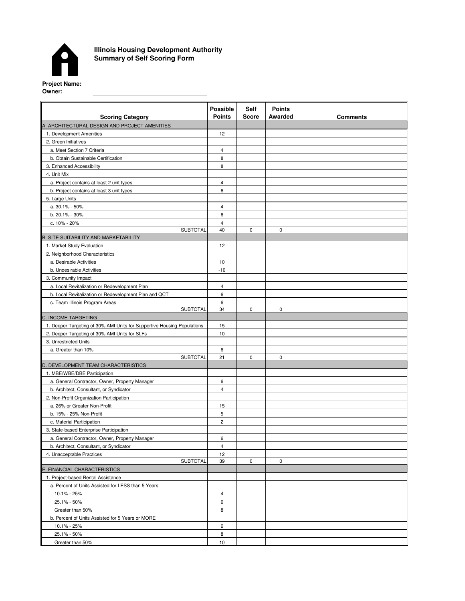

Greater than 50%

**Illinois Housing Development Authority Summary of Self Scoring Form**

**Possible Points Self Score Points Awarded** 12 4 8 8 4 6 4 6 4 40 0 0 12 10 -10 4 6 6 34 0 0 15 10 6 21 | 0 | 0 6 4 15 5 2 6 4 12 39 0 0 4 6 8 6 8 3. State-based Enterprise Participation **SUBTOTAL** 4. Unacceptable Practices a. General Contractor, Owner, Property Manager b. Architect, Consultant, or Syndicator 2. Green Initiatives a. Meet Section 7 Criteria b. Obtain Sustainable Certification 3. Enhanced Accessibility 4. Unit Mix a. Project contains at least 2 unit types b. Project contains at least 3 unit types **SUBTOTAL** 3. Community Impact B. SITE SUITABILITY AND MARKETABILITY 1. Market Study Evaluation 5. Large Units a. 30.1% - 50% b. 20.1% - 30% c. 10% - 20% **Scoring Category Comments Points Comments Comments** A. ARCHITECTURAL DESIGN AND PROJECT AMENITIES 1. Development Amenities b. Local Revitalization or Redevelopment Plan and QCT 2. Neighborhood Characteristics a. Desirable Activities b. Undesirable Activities **SUBTOTAL** c. Team Illinois Program Areas a. Local Revitalization or Redevelopment Plan 2. Deeper Targeting of 30% AMI Units for SLFs C. INCOME TARGETING 1. Deeper Targeting of 30% AMI Units for Supportive Housing Populations a. Greater than 10% 3. Unrestricted Units **SUBTOTAL** D. DEVELOPMENT TEAM CHARACTERISTICS 1. MBE/WBE/DBE Participation a. 26% or Greater Non-Profit c. Material Participation a. General Contractor, Owner, Property Manager b. Architect, Consultant, or Syndicator 2. Non-Profit Organization Participation E. FINANCIAL CHARACTERISTICS 1. Project-based Rental Assistance a. Percent of Units Assisted for LESS than 5 Years 10.1% - 25% 25.1% - 50% Greater than 50% b. Percent of Units Assisted for 5 Years or MORE 10.1% - 25% 25.1% - 50% b. 15% - 25% Non-Profit

10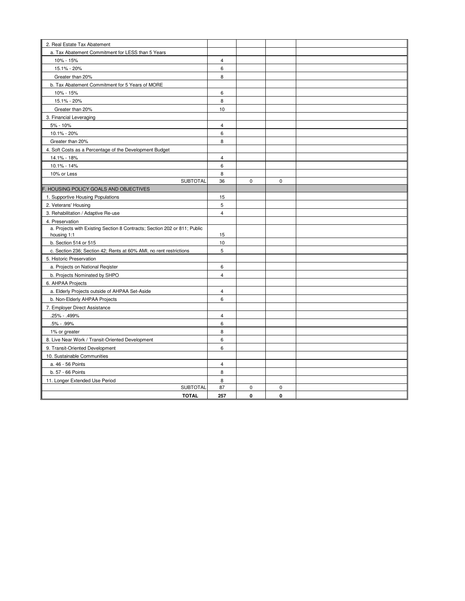| 2. Real Estate Tax Abatement                                              |                |             |             |  |
|---------------------------------------------------------------------------|----------------|-------------|-------------|--|
| a. Tax Abatement Commitment for LESS than 5 Years                         |                |             |             |  |
| 10% - 15%                                                                 | $\overline{4}$ |             |             |  |
| 15.1% - 20%                                                               | 6              |             |             |  |
| Greater than 20%                                                          | 8              |             |             |  |
| b. Tax Abatement Commitment for 5 Years of MORE                           |                |             |             |  |
| 10% - 15%                                                                 | 6              |             |             |  |
| 15.1% - 20%                                                               | 8              |             |             |  |
| Greater than 20%                                                          | 10             |             |             |  |
| 3. Financial Leveraging                                                   |                |             |             |  |
| 5% - 10%                                                                  | $\overline{4}$ |             |             |  |
| 10.1% - 20%                                                               | 6              |             |             |  |
| Greater than 20%                                                          | 8              |             |             |  |
| 4. Soft Costs as a Percentage of the Development Budget                   |                |             |             |  |
| 14.1% - 18%                                                               | $\overline{4}$ |             |             |  |
| 10.1% - 14%                                                               | 6              |             |             |  |
| 10% or Less                                                               | 8              |             |             |  |
| <b>SUBTOTAL</b>                                                           | 36             | $\mathbf 0$ | $\mathbf 0$ |  |
| F. HOUSING POLICY GOALS AND OBJECTIVES                                    |                |             |             |  |
| 1. Supportive Housing Populations                                         | 15             |             |             |  |
| 2. Veterans' Housing                                                      | 5              |             |             |  |
| 3. Rehabilitation / Adaptive Re-use                                       | $\overline{4}$ |             |             |  |
| 4. Preservation                                                           |                |             |             |  |
| a. Projects with Existing Section 8 Contracts; Section 202 or 811; Public |                |             |             |  |
| housing 1:1                                                               | 15             |             |             |  |
| b. Section 514 or 515                                                     | $10$           |             |             |  |
| c. Section 236; Section 42; Rents at 60% AMI, no rent restrictions        | 5              |             |             |  |
| 5. Historic Preservation                                                  |                |             |             |  |
| a. Projects on National Reqister                                          | 6              |             |             |  |
| b. Projects Nominated by SHPO                                             | $\overline{4}$ |             |             |  |
| 6. AHPAA Projects                                                         |                |             |             |  |
| a. Elderly Projects outside of AHPAA Set-Aside                            | $\overline{4}$ |             |             |  |
| b. Non-Elderly AHPAA Projects                                             | 6              |             |             |  |
| 7. Employer Direct Assistance                                             |                |             |             |  |
| .25% - .499%                                                              | $\overline{4}$ |             |             |  |
| .5% - .99%                                                                | 6              |             |             |  |
| 1% or greater                                                             | 8              |             |             |  |
| 8. Live Near Work / Transit-Oriented Development                          | 6              |             |             |  |
| 9. Transit-Oriented Development                                           | 6              |             |             |  |
| 10. Sustainable Communities                                               |                |             |             |  |
| a. 46 - 56 Points                                                         | 4              |             |             |  |
| b. 57 - 66 Points                                                         | 8              |             |             |  |
| 11. Longer Extended Use Period                                            | 8              |             |             |  |
| <b>SUBTOTAL</b>                                                           | 87             | 0           | 0           |  |
| <b>TOTAL</b>                                                              | 257            | 0           | 0           |  |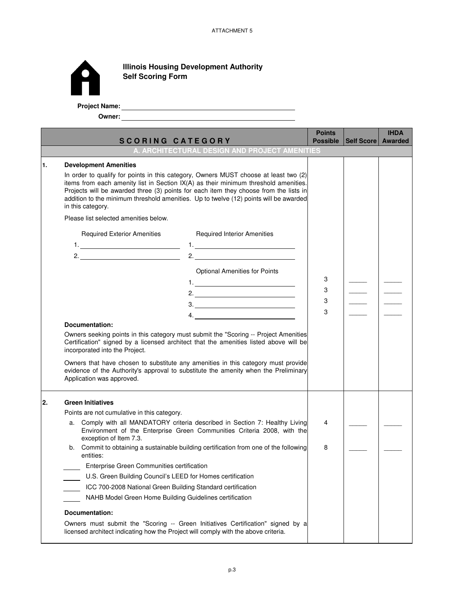

**lllinois Housing Development Authority Self Scoring Form**

**Project Name:**

**Owner:**

|    | <b>SCORING CATEGORY</b>                                                                                                                                                                                                              |                                                                                                                                                                                                                                                                                                                                                                                                                                                                                                                                                                                                                                                                                                                                                                                                     | <b>Points</b><br><b>Possible</b> | Self Score   Awarded | <b>IHDA</b> |
|----|--------------------------------------------------------------------------------------------------------------------------------------------------------------------------------------------------------------------------------------|-----------------------------------------------------------------------------------------------------------------------------------------------------------------------------------------------------------------------------------------------------------------------------------------------------------------------------------------------------------------------------------------------------------------------------------------------------------------------------------------------------------------------------------------------------------------------------------------------------------------------------------------------------------------------------------------------------------------------------------------------------------------------------------------------------|----------------------------------|----------------------|-------------|
|    |                                                                                                                                                                                                                                      | A. ARCHITECTURAL DESIGN AND PROJECT AMENITIES                                                                                                                                                                                                                                                                                                                                                                                                                                                                                                                                                                                                                                                                                                                                                       |                                  |                      |             |
| 1. | <b>Development Amenities</b><br>in this category.<br>Please list selected amenities below.<br><b>Required Exterior Amenities</b><br>1. <u>________________________________</u> _<br>Documentation:<br>incorporated into the Project. | In order to qualify for points in this category, Owners MUST choose at least two (2)<br>items from each amenity list in Section IX(A) as their minimum threshold amenities.<br>Projects will be awarded three (3) points for each item they choose from the lists in<br>addition to the minimum threshold amenities. Up to twelve (12) points will be awarded<br><b>Required Interior Amenities</b><br>1. <u>_____________________</u> _<br><b>Optional Amenities for Points</b><br>$\begin{array}{c}\n3.\n\end{array}$<br>4.<br>Owners seeking points in this category must submit the "Scoring -- Project Amenities<br>Certification" signed by a licensed architect that the amenities listed above will be<br>Owners that have chosen to substitute any amenities in this category must provide | 3<br>3<br>3<br>3                 |                      |             |
|    | Application was approved.                                                                                                                                                                                                            | evidence of the Authority's approval to substitute the amenity when the Preliminary                                                                                                                                                                                                                                                                                                                                                                                                                                                                                                                                                                                                                                                                                                                 |                                  |                      |             |
| 2. | <b>Green Initiatives</b><br>Points are not cumulative in this category.                                                                                                                                                              |                                                                                                                                                                                                                                                                                                                                                                                                                                                                                                                                                                                                                                                                                                                                                                                                     |                                  |                      |             |
|    | a.<br>exception of Item 7.3.                                                                                                                                                                                                         | Comply with all MANDATORY criteria described in Section 7: Healthy Living<br>Environment of the Enterprise Green Communities Criteria 2008, with the                                                                                                                                                                                                                                                                                                                                                                                                                                                                                                                                                                                                                                                | 4                                |                      |             |
|    | entities:                                                                                                                                                                                                                            | b. Commit to obtaining a sustainable building certification from one of the following                                                                                                                                                                                                                                                                                                                                                                                                                                                                                                                                                                                                                                                                                                               | 8                                |                      |             |
|    | Enterprise Green Communities certification                                                                                                                                                                                           |                                                                                                                                                                                                                                                                                                                                                                                                                                                                                                                                                                                                                                                                                                                                                                                                     |                                  |                      |             |
|    | U.S. Green Building Council's LEED for Homes certification                                                                                                                                                                           |                                                                                                                                                                                                                                                                                                                                                                                                                                                                                                                                                                                                                                                                                                                                                                                                     |                                  |                      |             |
|    | ICC 700-2008 National Green Building Standard certification                                                                                                                                                                          |                                                                                                                                                                                                                                                                                                                                                                                                                                                                                                                                                                                                                                                                                                                                                                                                     |                                  |                      |             |
|    | NAHB Model Green Home Building Guidelines certification                                                                                                                                                                              |                                                                                                                                                                                                                                                                                                                                                                                                                                                                                                                                                                                                                                                                                                                                                                                                     |                                  |                      |             |
|    | Documentation:                                                                                                                                                                                                                       |                                                                                                                                                                                                                                                                                                                                                                                                                                                                                                                                                                                                                                                                                                                                                                                                     |                                  |                      |             |
|    | licensed architect indicating how the Project will comply with the above criteria.                                                                                                                                                   | Owners must submit the "Scoring -- Green Initiatives Certification" signed by a                                                                                                                                                                                                                                                                                                                                                                                                                                                                                                                                                                                                                                                                                                                     |                                  |                      |             |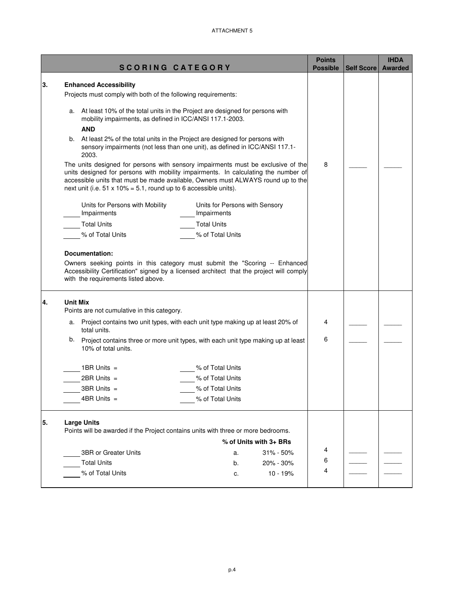|    | <b>SCORING CATEGORY</b>                                                                                                                                                                                                                                                                                                                 | <b>Points</b><br><b>Possible</b> | <b>Self Score</b> | <b>IHDA</b><br><b>Awarded</b> |
|----|-----------------------------------------------------------------------------------------------------------------------------------------------------------------------------------------------------------------------------------------------------------------------------------------------------------------------------------------|----------------------------------|-------------------|-------------------------------|
| 3. | <b>Enhanced Accessibility</b>                                                                                                                                                                                                                                                                                                           |                                  |                   |                               |
|    | Projects must comply with both of the following requirements:                                                                                                                                                                                                                                                                           |                                  |                   |                               |
|    | a. At least 10% of the total units in the Project are designed for persons with<br>mobility impairments, as defined in ICC/ANSI 117.1-2003.<br><b>AND</b>                                                                                                                                                                               |                                  |                   |                               |
|    | At least 2% of the total units in the Project are designed for persons with<br>b.<br>sensory impairments (not less than one unit), as defined in ICC/ANSI 117.1-<br>2003.                                                                                                                                                               |                                  |                   |                               |
|    | The units designed for persons with sensory impairments must be exclusive of the<br>units designed for persons with mobility impairments. In calculating the number of<br>accessible units that must be made available, Owners must ALWAYS round up to the<br>next unit (i.e. $51 \times 10\% = 5.1$ , round up to 6 accessible units). |                                  |                   |                               |
|    | Units for Persons with Mobility<br>Units for Persons with Sensory<br>Impairments<br>Impairments                                                                                                                                                                                                                                         |                                  |                   |                               |
|    | <b>Total Units</b><br><b>Total Units</b>                                                                                                                                                                                                                                                                                                |                                  |                   |                               |
|    | % of Total Units<br>% of Total Units                                                                                                                                                                                                                                                                                                    |                                  |                   |                               |
|    | Accessibility Certification" signed by a licensed architect that the project will comply<br>with the requirements listed above.                                                                                                                                                                                                         |                                  |                   |                               |
| 4. | <b>Unit Mix</b><br>Points are not cumulative in this category.                                                                                                                                                                                                                                                                          |                                  |                   |                               |
|    | Project contains two unit types, with each unit type making up at least 20% of<br>a.<br>total units.                                                                                                                                                                                                                                    | 4                                |                   |                               |
|    | b.<br>Project contains three or more unit types, with each unit type making up at least<br>10% of total units.                                                                                                                                                                                                                          | 6                                |                   |                               |
|    | 1BR Units $=$<br>% of Total Units                                                                                                                                                                                                                                                                                                       |                                  |                   |                               |
|    | $2BR$ Units =<br>% of Total Units                                                                                                                                                                                                                                                                                                       |                                  |                   |                               |
|    | $3BR$ Units $=$<br>% of Total Units                                                                                                                                                                                                                                                                                                     |                                  |                   |                               |
|    | $4BR$ Units $=$<br>% of Total Units                                                                                                                                                                                                                                                                                                     |                                  |                   |                               |
| 5. | <b>Large Units</b><br>Points will be awarded if the Project contains units with three or more bedrooms.<br>% of Units with 3+ BRs                                                                                                                                                                                                       |                                  |                   |                               |
|    | 3BR or Greater Units<br>$31\% - 50\%$<br>a.                                                                                                                                                                                                                                                                                             | 4                                |                   |                               |
|    | <b>Total Units</b><br>20% - 30%<br>b.                                                                                                                                                                                                                                                                                                   | 6                                |                   |                               |
|    | % of Total Units<br>$10 - 19%$<br>c.                                                                                                                                                                                                                                                                                                    | 4                                |                   |                               |
|    |                                                                                                                                                                                                                                                                                                                                         |                                  |                   |                               |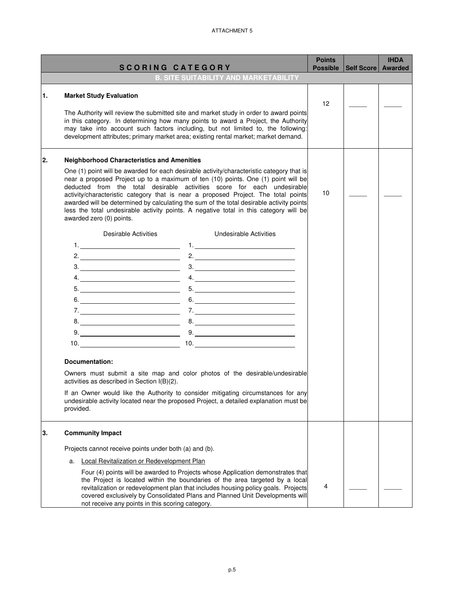|    | <b>SCORING CATEGORY</b>                                                                                                                                                                                                                                                                                                                                                                                                                                                                                                                                                                                                                                                                                                                                                                                                                                                                                                                                                                                                                                                                                                                                                                                                                                                                                                                                                                                                                                                                                    | <b>Points</b><br><b>Possible</b> | Self Score   Awarded | <b>IHDA</b> |
|----|------------------------------------------------------------------------------------------------------------------------------------------------------------------------------------------------------------------------------------------------------------------------------------------------------------------------------------------------------------------------------------------------------------------------------------------------------------------------------------------------------------------------------------------------------------------------------------------------------------------------------------------------------------------------------------------------------------------------------------------------------------------------------------------------------------------------------------------------------------------------------------------------------------------------------------------------------------------------------------------------------------------------------------------------------------------------------------------------------------------------------------------------------------------------------------------------------------------------------------------------------------------------------------------------------------------------------------------------------------------------------------------------------------------------------------------------------------------------------------------------------------|----------------------------------|----------------------|-------------|
|    | <b>B. SITE SUITABILITY AND MARKETABILITY</b>                                                                                                                                                                                                                                                                                                                                                                                                                                                                                                                                                                                                                                                                                                                                                                                                                                                                                                                                                                                                                                                                                                                                                                                                                                                                                                                                                                                                                                                               |                                  |                      |             |
| 1. | <b>Market Study Evaluation</b><br>The Authority will review the submitted site and market study in order to award points<br>in this category. In determining how many points to award a Project, the Authority<br>may take into account such factors including, but not limited to, the following:<br>development attributes; primary market area; existing rental market; market demand.                                                                                                                                                                                                                                                                                                                                                                                                                                                                                                                                                                                                                                                                                                                                                                                                                                                                                                                                                                                                                                                                                                                  | 12                               |                      |             |
| 2. | <b>Neighborhood Characteristics and Amenities</b><br>One (1) point will be awarded for each desirable activity/characteristic category that is<br>near a proposed Project up to a maximum of ten (10) points. One (1) point will be<br>deducted from the total desirable activities score for each undesirable<br>activity/characteristic category that is near a proposed Project. The total points<br>awarded will be determined by calculating the sum of the total desirable activity points<br>less the total undesirable activity points. A negative total in this category will be<br>awarded zero (0) points.                                                                                                                                                                                                                                                                                                                                                                                                                                                                                                                                                                                                                                                                                                                                                                                                                                                                                      | 10                               |                      |             |
|    | Desirable Activities<br>Undesirable Activities<br>2. $\qquad \qquad$<br>3.<br>4.<br>$\begin{tabular}{c} 5. & \begin{tabular}{@{}c@{}} \textbf{5.} & \textbf{6.} & \textbf{6.} \\ \textbf{6.} & \textbf{6.} & \textbf{6.} \\ \textbf{6.} & \textbf{6.} \\ \textbf{6.} & \textbf{6.} \\ \textbf{6.} & \textbf{6.} \\ \textbf{6.} & \textbf{6.} \\ \end{tabular} \end{tabular} \end{tabular} \begin{tabular}{c} \textbf{5.} & \textbf{6.} & \textbf{6.} \\ \textbf{6.} & \textbf{6.} \\ \textbf{6.} & \textbf{6.} \\ \text$<br>$\begin{array}{c c c c c} \hline \text{5.} & \text{${\color{blue}0}^{\phantom{\prime}}$} & \text{${\color{blue}0}$} \\\hline \end{array}$<br>$6. \underline{\hspace{2cm}}$<br>7.<br>$8. \begin{tabular}{ c c c c } \hline \rule{0.3cm}{.01cm} \rule{0.3cm}{.01cm} \rule{0.3cm}{.01cm} \rule{0.3cm}{.01cm} \rule{0.3cm}{.01cm} \rule{0.3cm}{.01cm} \rule{0.3cm}{.01cm} \rule{0.3cm}{.01cm} \rule{0.3cm}{.01cm} \rule{0.3cm}{.01cm} \rule{0.3cm}{.01cm} \rule{0.3cm}{.01cm} \rule{0.3cm}{.01cm} \rule{0.3cm}{.01cm} \rule{0.3cm}{.01cm} \rule{0$<br>8.<br>$9. \underline{\hspace{2.0cm}0. \underline{\hspace{2.0cm}}\hspace{2.0cm}}$<br>Documentation:<br>Owners must submit a site map and color photos of the desirable/undesirable<br>activities as described in Section I(B)(2).<br>If an Owner would like the Authority to consider mitigating circumstances for any<br>undesirable activity located near the proposed Project, a detailed explanation must be<br>provided. |                                  |                      |             |
| 3. | <b>Community Impact</b><br>Projects cannot receive points under both (a) and (b).<br>Local Revitalization or Redevelopment Plan<br>а.                                                                                                                                                                                                                                                                                                                                                                                                                                                                                                                                                                                                                                                                                                                                                                                                                                                                                                                                                                                                                                                                                                                                                                                                                                                                                                                                                                      |                                  |                      |             |
|    | Four (4) points will be awarded to Projects whose Application demonstrates that<br>the Project is located within the boundaries of the area targeted by a local<br>revitalization or redevelopment plan that includes housing policy goals. Projects<br>covered exclusively by Consolidated Plans and Planned Unit Developments will<br>not receive any points in this scoring category.                                                                                                                                                                                                                                                                                                                                                                                                                                                                                                                                                                                                                                                                                                                                                                                                                                                                                                                                                                                                                                                                                                                   | 4                                |                      |             |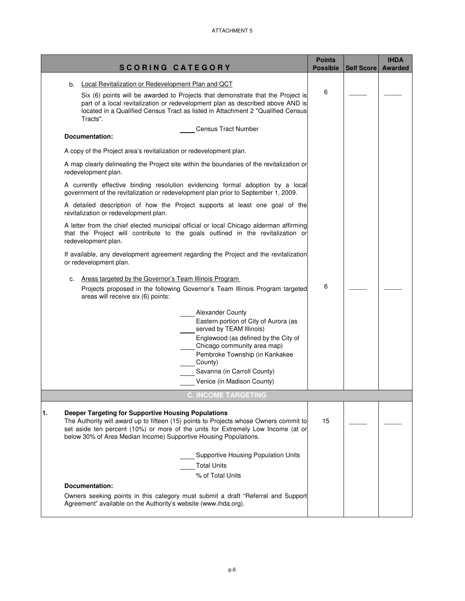|                                                                                                                                                                                                                                                                                                                              | <b>Points</b>   |                   | <b>IHDA</b>    |
|------------------------------------------------------------------------------------------------------------------------------------------------------------------------------------------------------------------------------------------------------------------------------------------------------------------------------|-----------------|-------------------|----------------|
| <b>SCORING CATEGORY</b>                                                                                                                                                                                                                                                                                                      | <b>Possible</b> | <b>Self Score</b> | <b>Awarded</b> |
| Local Revitalization or Redevelopment Plan and QCT<br>b.<br>Six (6) points will be awarded to Projects that demonstrate that the Project is<br>part of a local revitalization or redevelopment plan as described above AND is<br>located in a Qualified Census Tract as listed in Attachment 2 "Qualified Census<br>Tracts". | 6               |                   |                |
| <b>Census Tract Number</b><br>Documentation:                                                                                                                                                                                                                                                                                 |                 |                   |                |
| A copy of the Project area's revitalization or redevelopment plan.                                                                                                                                                                                                                                                           |                 |                   |                |
| A map clearly delineating the Project site within the boundaries of the revitalization or<br>redevelopment plan.                                                                                                                                                                                                             |                 |                   |                |
| A currently effective binding resolution evidencing formal adoption by a local<br>government of the revitalization or redevelopment plan prior to September 1, 2009.                                                                                                                                                         |                 |                   |                |
| A detailed description of how the Project supports at least one goal of the<br>revitalization or redevelopment plan.                                                                                                                                                                                                         |                 |                   |                |
| A letter from the chief elected municipal official or local Chicago alderman affirming<br>that the Project will contribute to the goals outlined in the revitalization or<br>redevelopment plan.                                                                                                                             |                 |                   |                |
| If available, any development agreement regarding the Project and the revitalization<br>or redevelopment plan.                                                                                                                                                                                                               |                 |                   |                |
| Areas targeted by the Governor's Team Illinois Program<br>с.<br>Projects proposed in the following Governor's Team Illinois Program targeted<br>areas will receive six (6) points:                                                                                                                                           | 6               |                   |                |
| <b>Alexander County</b><br>Eastern portion of City of Aurora (as<br>served by TEAM Illinois)<br>Englewood (as defined by the City of<br>Chicago community area map)<br>Pembroke Township (in Kankakee<br>County)<br>Savanna (in Carroll County)<br>Venice (in Madison County)                                                |                 |                   |                |
| <b>C. INCOME TARGETING</b>                                                                                                                                                                                                                                                                                                   |                 |                   |                |
| <b>Deeper Targeting for Supportive Housing Populations</b><br>1.<br>The Authority will award up to fifteen (15) points to Projects whose Owners commit to<br>set aside ten percent (10%) or more of the units for Extremely Low Income (at or<br>below 30% of Area Median Income) Supportive Housing Populations.            | 15              |                   |                |
| <b>Supportive Housing Population Units</b><br><b>Total Units</b>                                                                                                                                                                                                                                                             |                 |                   |                |
| % of Total Units<br>Documentation:                                                                                                                                                                                                                                                                                           |                 |                   |                |
| Owners seeking points in this category must submit a draft "Referral and Support<br>Agreement" available on the Authority's website (www.ihda.org).                                                                                                                                                                          |                 |                   |                |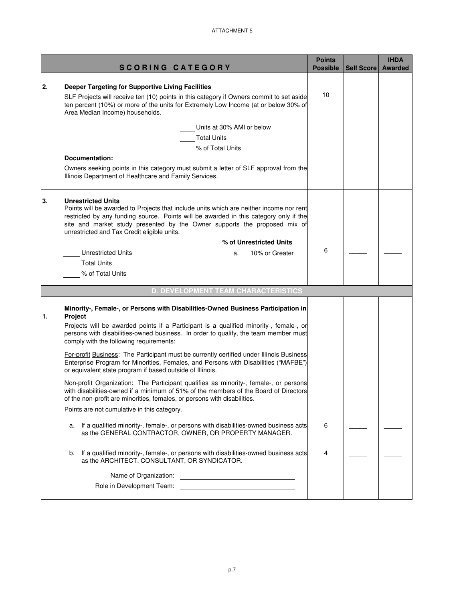|    |                                                                                                                                                                                                                                                                                                                                                                      |                 |                   | <b>IHDA</b>    |
|----|----------------------------------------------------------------------------------------------------------------------------------------------------------------------------------------------------------------------------------------------------------------------------------------------------------------------------------------------------------------------|-----------------|-------------------|----------------|
|    | <b>SCORING CATEGORY</b>                                                                                                                                                                                                                                                                                                                                              | <b>Possible</b> | <b>Self Score</b> | <b>Awarded</b> |
| 2. | Deeper Targeting for Supportive Living Facilities<br>SLF Projects will receive ten (10) points in this category if Owners commit to set aside<br>ten percent (10%) or more of the units for Extremely Low Income (at or below 30% of<br>Area Median Income) households.                                                                                              | 10              |                   |                |
|    | Units at 30% AMI or below<br><b>Total Units</b><br>% of Total Units<br>Documentation:                                                                                                                                                                                                                                                                                |                 |                   |                |
|    | Owners seeking points in this category must submit a letter of SLF approval from the<br>Illinois Department of Healthcare and Family Services.                                                                                                                                                                                                                       |                 |                   |                |
| 3. | <b>Unrestricted Units</b><br>Points will be awarded to Projects that include units which are neither income nor rent<br>restricted by any funding source. Points will be awarded in this category only if the<br>site and market study presented by the Owner supports the proposed mix of<br>unrestricted and Tax Credit eligible units.<br>% of Unrestricted Units |                 |                   |                |
|    | <b>Unrestricted Units</b><br>10% or Greater<br>a.<br><b>Total Units</b><br>% of Total Units                                                                                                                                                                                                                                                                          | 6               |                   |                |
|    | <b>D. DEVELOPMENT TEAM CHARACTERISTICS</b>                                                                                                                                                                                                                                                                                                                           |                 |                   |                |
| 1. | Minority-, Female-, or Persons with Disabilities-Owned Business Participation in<br>Project<br>Projects will be awarded points if a Participant is a qualified minority-, female-, or<br>persons with disabilities-owned business. In order to qualify, the team member must<br>comply with the following requirements:                                              |                 |                   |                |
|    | For-profit Business: The Participant must be currently certified under Illinois Business<br>Enterprise Program for Minorities, Females, and Persons with Disabilities ("MAFBE")<br>or equivalent state program if based outside of Illinois.                                                                                                                         |                 |                   |                |
|    | Non-profit Organization: The Participant qualifies as minority-, female-, or persons<br>with disabilities-owned if a minimum of 51% of the members of the Board of Directors<br>of the non-profit are minorities, females, or persons with disabilities.                                                                                                             |                 |                   |                |
|    | Points are not cumulative in this category.                                                                                                                                                                                                                                                                                                                          |                 |                   |                |
|    | If a qualified minority-, female-, or persons with disabilities-owned business acts<br>a.<br>as the GENERAL CONTRACTOR, OWNER, OR PROPERTY MANAGER.                                                                                                                                                                                                                  | 6               |                   |                |
|    | If a qualified minority-, female-, or persons with disabilities-owned business acts<br>b.<br>as the ARCHITECT, CONSULTANT, OR SYNDICATOR.                                                                                                                                                                                                                            | 4               |                   |                |
|    | Name of Organization:<br><u> 1980 - Andrea Albert III, martin amerikan ba</u>                                                                                                                                                                                                                                                                                        |                 |                   |                |
|    | Role in Development Team:                                                                                                                                                                                                                                                                                                                                            |                 |                   |                |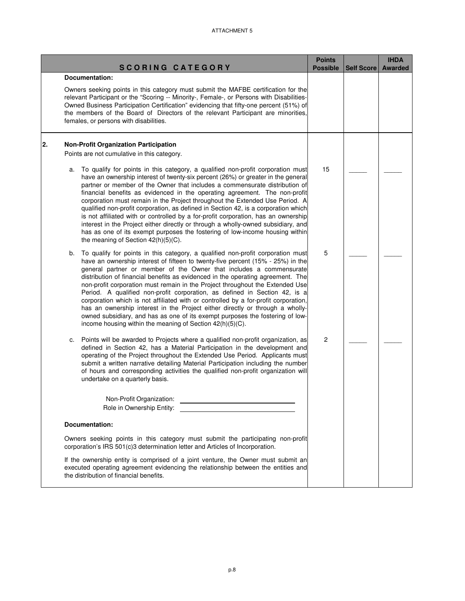|    | <b>SCORING CATEGORY</b>                                                                                                                                                                                                                                                                                                                                                                                                                                                                                                                                                                                                                                                                                                                                                                                                 | <b>Points</b><br><b>Possible</b> | Self Score | <b>IHDA</b><br><b>Awarded</b> |
|----|-------------------------------------------------------------------------------------------------------------------------------------------------------------------------------------------------------------------------------------------------------------------------------------------------------------------------------------------------------------------------------------------------------------------------------------------------------------------------------------------------------------------------------------------------------------------------------------------------------------------------------------------------------------------------------------------------------------------------------------------------------------------------------------------------------------------------|----------------------------------|------------|-------------------------------|
|    | <b>Documentation:</b>                                                                                                                                                                                                                                                                                                                                                                                                                                                                                                                                                                                                                                                                                                                                                                                                   |                                  |            |                               |
|    | Owners seeking points in this category must submit the MAFBE certification for the<br>relevant Participant or the "Scoring -- Minority-, Female-, or Persons with Disabilities-<br>Owned Business Participation Certification" evidencing that fifty-one percent (51%) of<br>the members of the Board of Directors of the relevant Participant are minorities,<br>females, or persons with disabilities.                                                                                                                                                                                                                                                                                                                                                                                                                |                                  |            |                               |
| 2. | <b>Non-Profit Organization Participation</b>                                                                                                                                                                                                                                                                                                                                                                                                                                                                                                                                                                                                                                                                                                                                                                            |                                  |            |                               |
|    | Points are not cumulative in this category.                                                                                                                                                                                                                                                                                                                                                                                                                                                                                                                                                                                                                                                                                                                                                                             |                                  |            |                               |
|    | To qualify for points in this category, a qualified non-profit corporation must<br>a.<br>have an ownership interest of twenty-six percent (26%) or greater in the general<br>partner or member of the Owner that includes a commensurate distribution of<br>financial benefits as evidenced in the operating agreement. The non-profit<br>corporation must remain in the Project throughout the Extended Use Period. A<br>qualified non-profit corporation, as defined in Section 42, is a corporation which<br>is not affiliated with or controlled by a for-profit corporation, has an ownership<br>interest in the Project either directly or through a wholly-owned subsidiary, and<br>has as one of its exempt purposes the fostering of low-income housing within<br>the meaning of Section 42(h)(5)(C).          | 15                               |            |                               |
|    | To qualify for points in this category, a qualified non-profit corporation must<br>b.<br>have an ownership interest of fifteen to twenty-five percent (15% - 25%) in the<br>general partner or member of the Owner that includes a commensurate<br>distribution of financial benefits as evidenced in the operating agreement. The<br>non-profit corporation must remain in the Project throughout the Extended Use<br>Period. A qualified non-profit corporation, as defined in Section 42, is a<br>corporation which is not affiliated with or controlled by a for-profit corporation,<br>has an ownership interest in the Project either directly or through a wholly-<br>owned subsidiary, and has as one of its exempt purposes the fostering of low-<br>income housing within the meaning of Section 42(h)(5)(C). | 5                                |            |                               |
|    | Points will be awarded to Projects where a qualified non-profit organization, as<br>c.<br>defined in Section 42, has a Material Participation in the development and<br>operating of the Project throughout the Extended Use Period. Applicants must<br>submit a written narrative detailing Material Participation including the number<br>of hours and corresponding activities the qualified non-profit organization will<br>undertake on a quarterly basis.<br>Non-Profit Organization:<br>Role in Ownership Entity:                                                                                                                                                                                                                                                                                                | $\overline{c}$                   |            |                               |
|    |                                                                                                                                                                                                                                                                                                                                                                                                                                                                                                                                                                                                                                                                                                                                                                                                                         |                                  |            |                               |
|    | Documentation:                                                                                                                                                                                                                                                                                                                                                                                                                                                                                                                                                                                                                                                                                                                                                                                                          |                                  |            |                               |
|    | Owners seeking points in this category must submit the participating non-profit<br>corporation's IRS 501(c)3 determination letter and Articles of Incorporation.                                                                                                                                                                                                                                                                                                                                                                                                                                                                                                                                                                                                                                                        |                                  |            |                               |
|    | If the ownership entity is comprised of a joint venture, the Owner must submit an<br>executed operating agreement evidencing the relationship between the entities and<br>the distribution of financial benefits.                                                                                                                                                                                                                                                                                                                                                                                                                                                                                                                                                                                                       |                                  |            |                               |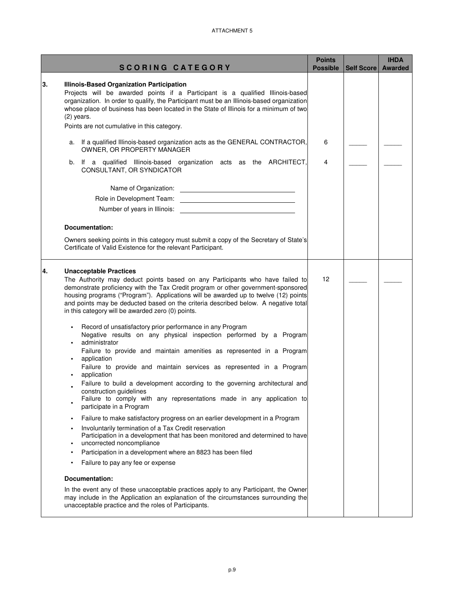|    | <b>SCORING CATEGORY</b>                                                                                                                                                                                                                                                                                                                                                                             | <b>Points</b><br><b>Possible</b> | Self Score | <b>IHDA</b><br><b>Awarded</b> |
|----|-----------------------------------------------------------------------------------------------------------------------------------------------------------------------------------------------------------------------------------------------------------------------------------------------------------------------------------------------------------------------------------------------------|----------------------------------|------------|-------------------------------|
|    |                                                                                                                                                                                                                                                                                                                                                                                                     |                                  |            |                               |
| 3. | Illinois-Based Organization Participation<br>Projects will be awarded points if a Participant is a qualified Illinois-based<br>organization. In order to qualify, the Participant must be an Illinois-based organization<br>whose place of business has been located in the State of Illinois for a minimum of two<br>$(2)$ years.                                                                  |                                  |            |                               |
|    | Points are not cumulative in this category.                                                                                                                                                                                                                                                                                                                                                         |                                  |            |                               |
| а. | If a qualified Illinois-based organization acts as the GENERAL CONTRACTOR,<br>OWNER, OR PROPERTY MANAGER                                                                                                                                                                                                                                                                                            | 6                                |            |                               |
| b. | If a qualified Illinois-based organization acts as the ARCHITECT,<br>CONSULTANT, OR SYNDICATOR                                                                                                                                                                                                                                                                                                      | 4                                |            |                               |
|    |                                                                                                                                                                                                                                                                                                                                                                                                     |                                  |            |                               |
|    |                                                                                                                                                                                                                                                                                                                                                                                                     |                                  |            |                               |
|    | Number of years in Illinois:<br><u> 1989 - Johann Barbara, martxa alemaniar a</u>                                                                                                                                                                                                                                                                                                                   |                                  |            |                               |
|    | Documentation:                                                                                                                                                                                                                                                                                                                                                                                      |                                  |            |                               |
|    | Owners seeking points in this category must submit a copy of the Secretary of State's<br>Certificate of Valid Existence for the relevant Participant.                                                                                                                                                                                                                                               |                                  |            |                               |
|    | The Authority may deduct points based on any Participants who have failed to<br>demonstrate proficiency with the Tax Credit program or other government-sponsored<br>housing programs ("Program"). Applications will be awarded up to twelve (12) points<br>and points may be deducted based on the criteria described below. A negative total<br>in this category will be awarded zero (0) points. | 12                               |            |                               |
|    | Record of unsatisfactory prior performance in any Program<br>Negative results on any physical inspection performed by a Program<br>administrator<br>Failure to provide and maintain amenities as represented in a Program                                                                                                                                                                           |                                  |            |                               |
|    | application<br>Failure to provide and maintain services as represented in a Program                                                                                                                                                                                                                                                                                                                 |                                  |            |                               |
|    | application<br>Failure to build a development according to the governing architectural and                                                                                                                                                                                                                                                                                                          |                                  |            |                               |
|    | construction guidelines<br>Failure to comply with any representations made in any application to                                                                                                                                                                                                                                                                                                    |                                  |            |                               |
|    | participate in a Program                                                                                                                                                                                                                                                                                                                                                                            |                                  |            |                               |
|    | Failure to make satisfactory progress on an earlier development in a Program                                                                                                                                                                                                                                                                                                                        |                                  |            |                               |
|    | Involuntarily termination of a Tax Credit reservation<br>Participation in a development that has been monitored and determined to have<br>uncorrected noncompliance                                                                                                                                                                                                                                 |                                  |            |                               |
|    | Participation in a development where an 8823 has been filed                                                                                                                                                                                                                                                                                                                                         |                                  |            |                               |
|    | Failure to pay any fee or expense                                                                                                                                                                                                                                                                                                                                                                   |                                  |            |                               |
|    | Documentation:                                                                                                                                                                                                                                                                                                                                                                                      |                                  |            |                               |
|    | In the event any of these unacceptable practices apply to any Participant, the Owner<br>may include in the Application an explanation of the circumstances surrounding the<br>unacceptable practice and the roles of Participants.                                                                                                                                                                  |                                  |            |                               |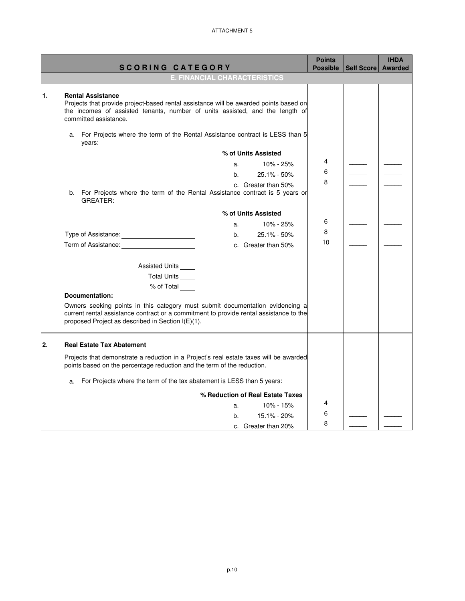|    |                                                                                                                                                                                                                              |    |                                  | <b>Points</b>   |            | <b>IHDA</b>    |
|----|------------------------------------------------------------------------------------------------------------------------------------------------------------------------------------------------------------------------------|----|----------------------------------|-----------------|------------|----------------|
|    | <b>SCORING CATEGORY</b><br>E. FINANCIAL CHARACTERISTICS                                                                                                                                                                      |    |                                  | <b>Possible</b> | Self Score | <b>Awarded</b> |
|    |                                                                                                                                                                                                                              |    |                                  |                 |            |                |
| 1. | <b>Rental Assistance</b><br>Projects that provide project-based rental assistance will be awarded points based on<br>the incomes of assisted tenants, number of units assisted, and the length of<br>committed assistance.   |    |                                  |                 |            |                |
|    | a. For Projects where the term of the Rental Assistance contract is LESS than 5<br>years:                                                                                                                                    |    |                                  |                 |            |                |
|    |                                                                                                                                                                                                                              |    | % of Units Assisted              |                 |            |                |
|    |                                                                                                                                                                                                                              | a. | 10% - 25%                        | 4               |            |                |
|    |                                                                                                                                                                                                                              | b. | 25.1% - 50%                      | 6               |            |                |
|    | b. For Projects where the term of the Rental Assistance contract is 5 years or<br><b>GREATER:</b>                                                                                                                            |    | c. Greater than 50%              | 8               |            |                |
|    |                                                                                                                                                                                                                              |    | % of Units Assisted              |                 |            |                |
|    |                                                                                                                                                                                                                              | a. | 10% - 25%                        | 6               |            |                |
|    | Type of Assistance: _______________________                                                                                                                                                                                  | b. | 25.1% - 50%                      | 8               |            |                |
|    | Term of Assistance:                                                                                                                                                                                                          |    | c. Greater than 50%              | 10              |            |                |
|    | Assisted Units                                                                                                                                                                                                               |    |                                  |                 |            |                |
|    | Total Units                                                                                                                                                                                                                  |    |                                  |                 |            |                |
|    | % of Total                                                                                                                                                                                                                   |    |                                  |                 |            |                |
|    | <b>Documentation:</b>                                                                                                                                                                                                        |    |                                  |                 |            |                |
|    | Owners seeking points in this category must submit documentation evidencing a<br>current rental assistance contract or a commitment to provide rental assistance to the<br>proposed Project as described in Section I(E)(1). |    |                                  |                 |            |                |
| 2. | <b>Real Estate Tax Abatement</b>                                                                                                                                                                                             |    |                                  |                 |            |                |
|    | Projects that demonstrate a reduction in a Project's real estate taxes will be awarded<br>points based on the percentage reduction and the term of the reduction.                                                            |    |                                  |                 |            |                |
|    | a. For Projects where the term of the tax abatement is LESS than 5 years:                                                                                                                                                    |    |                                  |                 |            |                |
|    |                                                                                                                                                                                                                              |    | % Reduction of Real Estate Taxes |                 |            |                |
|    |                                                                                                                                                                                                                              | a. | 10% - 15%                        | 4               |            |                |
|    |                                                                                                                                                                                                                              | b. | 15.1% - 20%                      | 6               |            |                |
|    |                                                                                                                                                                                                                              |    | c. Greater than 20%              | 8               |            |                |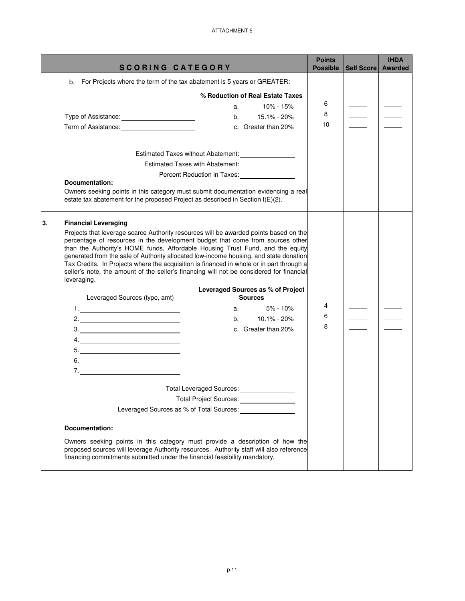|    | <b>SCORING CATEGORY</b>                                                                                                                                                                                                                                                                                                                                                                                                                                                                                                                                   | <b>Points</b><br><b>Possible</b> | Self Score | <b>IHDA</b><br><b>Awarded</b> |
|----|-----------------------------------------------------------------------------------------------------------------------------------------------------------------------------------------------------------------------------------------------------------------------------------------------------------------------------------------------------------------------------------------------------------------------------------------------------------------------------------------------------------------------------------------------------------|----------------------------------|------------|-------------------------------|
|    | For Projects where the term of the tax abatement is 5 years or GREATER:<br>b.                                                                                                                                                                                                                                                                                                                                                                                                                                                                             |                                  |            |                               |
|    | % Reduction of Real Estate Taxes                                                                                                                                                                                                                                                                                                                                                                                                                                                                                                                          |                                  |            |                               |
|    | $10\% - 15\%$<br>a.                                                                                                                                                                                                                                                                                                                                                                                                                                                                                                                                       | 6                                |            |                               |
|    | 15.1% - 20%<br>Type of Assistance: _______________________<br>b.                                                                                                                                                                                                                                                                                                                                                                                                                                                                                          | 8                                |            |                               |
|    | Term of Assistance: ________________________<br>c. Greater than 20%                                                                                                                                                                                                                                                                                                                                                                                                                                                                                       | 10                               |            |                               |
|    |                                                                                                                                                                                                                                                                                                                                                                                                                                                                                                                                                           |                                  |            |                               |
|    | Estimated Taxes without Abatement: __________________                                                                                                                                                                                                                                                                                                                                                                                                                                                                                                     |                                  |            |                               |
|    | Estimated Taxes with Abatement: ________________                                                                                                                                                                                                                                                                                                                                                                                                                                                                                                          |                                  |            |                               |
|    | Percent Reduction in Taxes:<br><u>[</u> [11] Percent Reduction in Taxes:<br>Documentation:                                                                                                                                                                                                                                                                                                                                                                                                                                                                |                                  |            |                               |
|    | Owners seeking points in this category must submit documentation evidencing a real                                                                                                                                                                                                                                                                                                                                                                                                                                                                        |                                  |            |                               |
|    | estate tax abatement for the proposed Project as described in Section I(E)(2).                                                                                                                                                                                                                                                                                                                                                                                                                                                                            |                                  |            |                               |
| 3. | <b>Financial Leveraging</b>                                                                                                                                                                                                                                                                                                                                                                                                                                                                                                                               |                                  |            |                               |
|    | Projects that leverage scarce Authority resources will be awarded points based on the<br>percentage of resources in the development budget that come from sources other<br>than the Authority's HOME funds, Affordable Housing Trust Fund, and the equity<br>generated from the sale of Authority allocated low-income housing, and state donation<br>Tax Credits. In Projects where the acquisition is financed in whole or in part through a<br>seller's note, the amount of the seller's financing will not be considered for financial<br>leveraging. |                                  |            |                               |
|    | Leveraged Sources as % of Project<br>Leveraged Sources (type, amt)<br><b>Sources</b>                                                                                                                                                                                                                                                                                                                                                                                                                                                                      |                                  |            |                               |
|    | $5% - 10%$<br>a.                                                                                                                                                                                                                                                                                                                                                                                                                                                                                                                                          | 4                                |            |                               |
|    | 10.1% - 20%<br>b.                                                                                                                                                                                                                                                                                                                                                                                                                                                                                                                                         | 6                                |            |                               |
|    | c. Greater than 20%<br>$\begin{array}{c c c c c} \hline \rule{0pt}{2ex} 3. & \rule{0pt}{2ex} & \rule{0pt}{2ex} & \rule{0pt}{2ex} & \rule{0pt}{2ex} & \rule{0pt}{2ex} & \rule{0pt}{2ex} & \rule{0pt}{2ex} & \rule{0pt}{2ex} & \rule{0pt}{2ex} & \rule{0pt}{2ex} & \rule{0pt}{2ex} & \rule{0pt}{2ex} & \rule{0pt}{2ex} & \rule{0pt}{2ex} & \rule{0pt}{2ex} & \rule{0pt}{2ex} & \rule{0pt}{2ex} & \rule{0pt}{2ex} & \rule{0pt}{2ex}$                                                                                                                         | 8                                |            |                               |
|    | 4.                                                                                                                                                                                                                                                                                                                                                                                                                                                                                                                                                        |                                  |            |                               |
|    |                                                                                                                                                                                                                                                                                                                                                                                                                                                                                                                                                           |                                  |            |                               |
|    | $6.$                                                                                                                                                                                                                                                                                                                                                                                                                                                                                                                                                      |                                  |            |                               |
|    | 7.                                                                                                                                                                                                                                                                                                                                                                                                                                                                                                                                                        |                                  |            |                               |
|    | <b>Total Leveraged Sources:</b>                                                                                                                                                                                                                                                                                                                                                                                                                                                                                                                           |                                  |            |                               |
|    | Total Project Sources: ________________                                                                                                                                                                                                                                                                                                                                                                                                                                                                                                                   |                                  |            |                               |
|    | Leveraged Sources as % of Total Sources:                                                                                                                                                                                                                                                                                                                                                                                                                                                                                                                  |                                  |            |                               |
|    | Documentation:                                                                                                                                                                                                                                                                                                                                                                                                                                                                                                                                            |                                  |            |                               |
|    | Owners seeking points in this category must provide a description of how the<br>proposed sources will leverage Authority resources. Authority staff will also reference<br>financing commitments submitted under the financial feasibility mandatory.                                                                                                                                                                                                                                                                                                     |                                  |            |                               |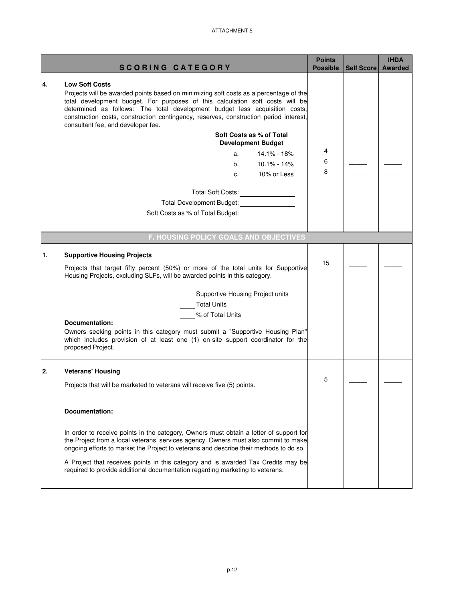|    |                                                                                                                                                                                                                                                                                                                                                                                                               | <b>Points</b>   |                   | <b>IHDA</b>    |
|----|---------------------------------------------------------------------------------------------------------------------------------------------------------------------------------------------------------------------------------------------------------------------------------------------------------------------------------------------------------------------------------------------------------------|-----------------|-------------------|----------------|
|    | <b>SCORING CATEGORY</b>                                                                                                                                                                                                                                                                                                                                                                                       | <b>Possible</b> | <b>Self Score</b> | <b>Awarded</b> |
| 4. | <b>Low Soft Costs</b><br>Projects will be awarded points based on minimizing soft costs as a percentage of the<br>total development budget. For purposes of this calculation soft costs will be<br>determined as follows: The total development budget less acquisition costs,<br>construction costs, construction contingency, reserves, construction period interest,<br>consultant fee, and developer fee. |                 |                   |                |
|    | Soft Costs as % of Total<br><b>Development Budget</b><br>14.1% - 18%<br>a.<br>b.<br>$10.1\% - 14\%$<br>10% or Less<br>C.                                                                                                                                                                                                                                                                                      | 4<br>6<br>8     |                   |                |
|    | Total Soft Costs: _________________<br>Total Development Budget: 1997<br>Soft Costs as % of Total Budget:                                                                                                                                                                                                                                                                                                     |                 |                   |                |
|    | F. HOUSING POLICY GOALS AND OBJECTIVES                                                                                                                                                                                                                                                                                                                                                                        |                 |                   |                |
| 1. | <b>Supportive Housing Projects</b>                                                                                                                                                                                                                                                                                                                                                                            | 15              |                   |                |
|    | Projects that target fifty percent (50%) or more of the total units for Supportive<br>Housing Projects, excluding SLFs, will be awarded points in this category.                                                                                                                                                                                                                                              |                 |                   |                |
|    | <b>Supportive Housing Project units</b><br><b>Total Units</b><br>% of Total Units<br><b>Documentation:</b><br>Owners seeking points in this category must submit a "Supportive Housing Plan"<br>which includes provision of at least one (1) on-site support coordinator for the<br>proposed Project.                                                                                                         |                 |                   |                |
| 2. | <b>Veterans' Housing</b>                                                                                                                                                                                                                                                                                                                                                                                      |                 |                   |                |
|    | Projects that will be marketed to veterans will receive five (5) points.                                                                                                                                                                                                                                                                                                                                      | 5               |                   |                |
|    | Documentation:                                                                                                                                                                                                                                                                                                                                                                                                |                 |                   |                |
|    | In order to receive points in the category, Owners must obtain a letter of support for<br>the Project from a local veterans' services agency. Owners must also commit to make<br>ongoing efforts to market the Project to veterans and describe their methods to do so.                                                                                                                                       |                 |                   |                |
|    | A Project that receives points in this category and is awarded Tax Credits may be<br>required to provide additional documentation regarding marketing to veterans.                                                                                                                                                                                                                                            |                 |                   |                |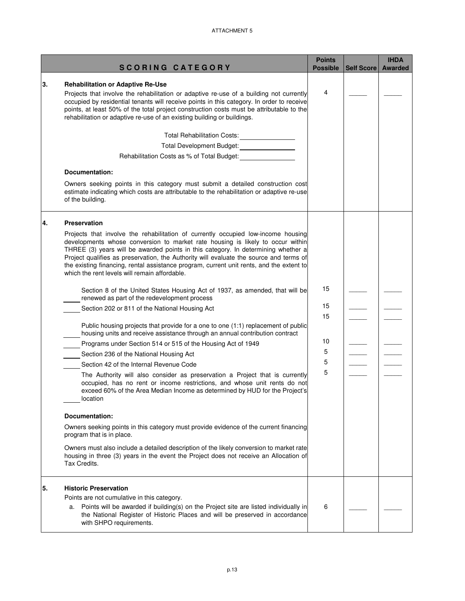|    | <b>SCORING CATEGORY</b>                                                                                                                                                                                                                                                                                                                                                                                                                                                                                                                                                                                                                                                                                                                                                                                                                                                                                                                                                                                                                                                                                                                                                                                                                                                                                                                                                                                                                                                                                                                                                                                                                        | <b>Points</b><br><b>Possible</b>    | Self Score | <b>IHDA</b><br><b>Awarded</b> |
|----|------------------------------------------------------------------------------------------------------------------------------------------------------------------------------------------------------------------------------------------------------------------------------------------------------------------------------------------------------------------------------------------------------------------------------------------------------------------------------------------------------------------------------------------------------------------------------------------------------------------------------------------------------------------------------------------------------------------------------------------------------------------------------------------------------------------------------------------------------------------------------------------------------------------------------------------------------------------------------------------------------------------------------------------------------------------------------------------------------------------------------------------------------------------------------------------------------------------------------------------------------------------------------------------------------------------------------------------------------------------------------------------------------------------------------------------------------------------------------------------------------------------------------------------------------------------------------------------------------------------------------------------------|-------------------------------------|------------|-------------------------------|
| 3. | <b>Rehabilitation or Adaptive Re-Use</b><br>Projects that involve the rehabilitation or adaptive re-use of a building not currently<br>occupied by residential tenants will receive points in this category. In order to receive<br>points, at least 50% of the total project construction costs must be attributable to the<br>rehabilitation or adaptive re-use of an existing building or buildings.<br>Total Rehabilitation Costs: ________________<br>Total Development Budget: _________________<br>Rehabilitation Costs as % of Total Budget:<br><u>Case of the Budget:</u><br>Documentation:<br>Owners seeking points in this category must submit a detailed construction cost                                                                                                                                                                                                                                                                                                                                                                                                                                                                                                                                                                                                                                                                                                                                                                                                                                                                                                                                                        | 4                                   |            |                               |
|    | estimate indicating which costs are attributable to the rehabilitation or adaptive re-use<br>of the building.                                                                                                                                                                                                                                                                                                                                                                                                                                                                                                                                                                                                                                                                                                                                                                                                                                                                                                                                                                                                                                                                                                                                                                                                                                                                                                                                                                                                                                                                                                                                  |                                     |            |                               |
| 4. | <b>Preservation</b><br>Projects that involve the rehabilitation of currently occupied low-income housing<br>developments whose conversion to market rate housing is likely to occur within<br>THREE (3) years will be awarded points in this category. In determining whether a<br>Project qualifies as preservation, the Authority will evaluate the source and terms of<br>the existing financing, rental assistance program, current unit rents, and the extent to<br>which the rent levels will remain affordable.<br>Section 8 of the United States Housing Act of 1937, as amended, that will be<br>renewed as part of the redevelopment process<br>Section 202 or 811 of the National Housing Act<br>Public housing projects that provide for a one to one (1:1) replacement of public<br>housing units and receive assistance through an annual contribution contract<br>Programs under Section 514 or 515 of the Housing Act of 1949<br>Section 236 of the National Housing Act<br>Section 42 of the Internal Revenue Code<br>The Authority will also consider as preservation a Project that is currently<br>occupied, has no rent or income restrictions, and whose unit rents do not<br>exceed 60% of the Area Median Income as determined by HUD for the Project's<br>location<br><b>Documentation:</b><br>Owners seeking points in this category must provide evidence of the current financing<br>program that is in place.<br>Owners must also include a detailed description of the likely conversion to market rate<br>housing in three (3) years in the event the Project does not receive an Allocation of<br>Tax Credits. | 15<br>15<br>15<br>10<br>5<br>5<br>5 |            |                               |
| 5. | <b>Historic Preservation</b><br>Points are not cumulative in this category.<br>a. Points will be awarded if building(s) on the Project site are listed individually in<br>the National Register of Historic Places and will be preserved in accordance<br>with SHPO requirements.                                                                                                                                                                                                                                                                                                                                                                                                                                                                                                                                                                                                                                                                                                                                                                                                                                                                                                                                                                                                                                                                                                                                                                                                                                                                                                                                                              | 6                                   |            |                               |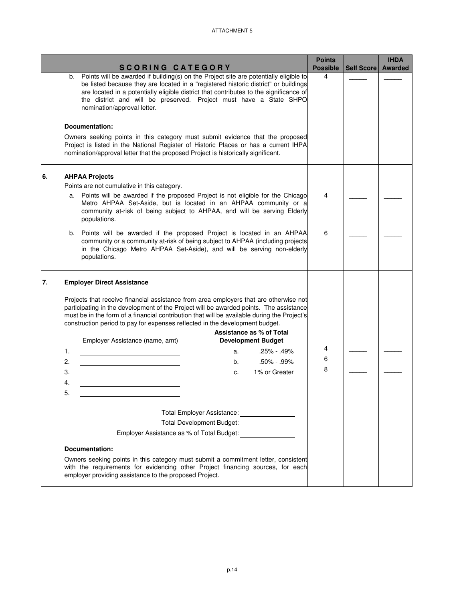|    |                                                                                                                                                                                                                                                                                                                                                                | <b>Points</b>                     |            | <b>IHDA</b>    |
|----|----------------------------------------------------------------------------------------------------------------------------------------------------------------------------------------------------------------------------------------------------------------------------------------------------------------------------------------------------------------|-----------------------------------|------------|----------------|
|    | <b>SCORING CATEGORY</b><br>Points will be awarded if building(s) on the Project site are potentially eligible to                                                                                                                                                                                                                                               | <b>Possible</b><br>$\overline{4}$ | Self Score | <b>Awarded</b> |
|    | b.<br>be listed because they are located in a "registered historic district" or buildings<br>are located in a potentially eligible district that contributes to the significance of<br>the district and will be preserved. Project must have a State SHPO<br>nomination/approval letter.                                                                       |                                   |            |                |
|    |                                                                                                                                                                                                                                                                                                                                                                |                                   |            |                |
|    | Documentation:                                                                                                                                                                                                                                                                                                                                                 |                                   |            |                |
|    | Owners seeking points in this category must submit evidence that the proposed<br>Project is listed in the National Register of Historic Places or has a current IHPA<br>nomination/approval letter that the proposed Project is historically significant.                                                                                                      |                                   |            |                |
| 6. | <b>AHPAA Projects</b>                                                                                                                                                                                                                                                                                                                                          |                                   |            |                |
|    | Points are not cumulative in this category.                                                                                                                                                                                                                                                                                                                    |                                   |            |                |
|    | Points will be awarded if the proposed Project is not eligible for the Chicago<br>а.<br>Metro AHPAA Set-Aside, but is located in an AHPAA community or a<br>community at-risk of being subject to AHPAA, and will be serving Elderly<br>populations.                                                                                                           | 4                                 |            |                |
|    | Points will be awarded if the proposed Project is located in an AHPAA<br>b.<br>community or a community at-risk of being subject to AHPAA (including projects<br>in the Chicago Metro AHPAA Set-Aside), and will be serving non-elderly<br>populations.                                                                                                        | 6                                 |            |                |
| 7. | <b>Employer Direct Assistance</b>                                                                                                                                                                                                                                                                                                                              |                                   |            |                |
|    | Projects that receive financial assistance from area employers that are otherwise not<br>participating in the development of the Project will be awarded points. The assistance<br>must be in the form of a financial contribution that will be available during the Project's<br>construction period to pay for expenses reflected in the development budget. |                                   |            |                |
|    | Assistance as % of Total                                                                                                                                                                                                                                                                                                                                       |                                   |            |                |
|    | Employer Assistance (name, amt)<br><b>Development Budget</b>                                                                                                                                                                                                                                                                                                   | 4                                 |            |                |
|    | 1.<br>.25% - .49%<br>а.                                                                                                                                                                                                                                                                                                                                        | 6                                 |            |                |
|    | 2.<br>$.50\% - .99\%$<br>b.<br><u> 1989 - Johann Barnett, fransk politiker (</u>                                                                                                                                                                                                                                                                               | 8                                 |            |                |
|    | 3.<br>1% or Greater<br>C.                                                                                                                                                                                                                                                                                                                                      |                                   |            |                |
|    | 4.                                                                                                                                                                                                                                                                                                                                                             |                                   |            |                |
|    | 5                                                                                                                                                                                                                                                                                                                                                              |                                   |            |                |
|    | Total Employer Assistance: ________________                                                                                                                                                                                                                                                                                                                    |                                   |            |                |
|    | Total Development Budget: _________________                                                                                                                                                                                                                                                                                                                    |                                   |            |                |
|    | Employer Assistance as % of Total Budget: <b>Employer Assistance</b> as % of Total Budget:                                                                                                                                                                                                                                                                     |                                   |            |                |
|    | <b>Documentation:</b>                                                                                                                                                                                                                                                                                                                                          |                                   |            |                |
|    | Owners seeking points in this category must submit a commitment letter, consistent<br>with the requirements for evidencing other Project financing sources, for each<br>employer providing assistance to the proposed Project.                                                                                                                                 |                                   |            |                |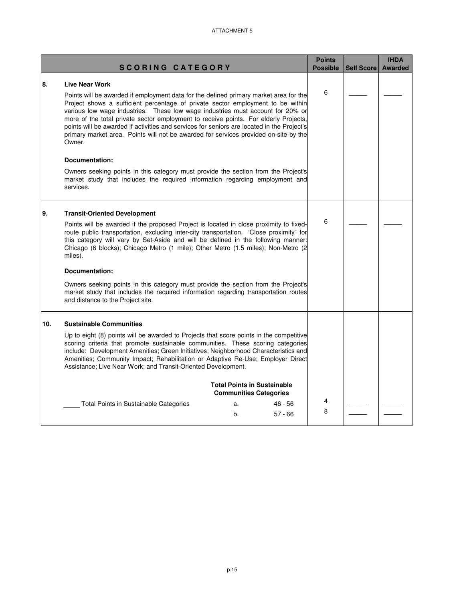| <b>SCORING CATEGORY</b> |                                                                                                                                                                                                                                                                                                                                                                                                                                                                                                                                                                                                                                                                                                                                                                                  | <b>Points</b><br><b>Possible</b> | Self Score | <b>IHDA</b><br>Awarded |  |
|-------------------------|----------------------------------------------------------------------------------------------------------------------------------------------------------------------------------------------------------------------------------------------------------------------------------------------------------------------------------------------------------------------------------------------------------------------------------------------------------------------------------------------------------------------------------------------------------------------------------------------------------------------------------------------------------------------------------------------------------------------------------------------------------------------------------|----------------------------------|------------|------------------------|--|
| 8.                      | <b>Live Near Work</b><br>Points will be awarded if employment data for the defined primary market area for the<br>Project shows a sufficient percentage of private sector employment to be within<br>various low wage industries. These low wage industries must account for 20% or<br>more of the total private sector employment to receive points. For elderly Projects,<br>points will be awarded if activities and services for seniors are located in the Project's<br>primary market area. Points will not be awarded for services provided on-site by the<br>Owner.<br>Documentation:<br>Owners seeking points in this category must provide the section from the Project's<br>market study that includes the required information regarding employment and<br>services. |                                  | 6          |                        |  |
| 9.                      | <b>Transit-Oriented Development</b><br>Points will be awarded if the proposed Project is located in close proximity to fixed-<br>route public transportation, excluding inter-city transportation. "Close proximity" for<br>this category will vary by Set-Aside and will be defined in the following manner:<br>Chicago (6 blocks); Chicago Metro (1 mile); Other Metro (1.5 miles); Non-Metro (2<br>miles).<br>Documentation:<br>Owners seeking points in this category must provide the section from the Project's<br>market study that includes the required information regarding transportation routes<br>and distance to the Project site.                                                                                                                                |                                  | 6          |                        |  |
| 10.                     | <b>Sustainable Communities</b><br>Up to eight (8) points will be awarded to Projects that score points in the competitive<br>scoring criteria that promote sustainable communities. These scoring categories<br>include: Development Amenities; Green Initiatives; Neighborhood Characteristics and<br>Amenities; Community Impact; Rehabilitation or Adaptive Re-Use; Employer Direct<br>Assistance; Live Near Work; and Transit-Oriented Development.<br><b>Total Points in Sustainable</b><br><b>Communities Categories</b><br>Total Points in Sustainable Categories<br>$46 - 56$<br>a.<br>$57 - 66$<br>b.                                                                                                                                                                   |                                  | 4<br>8     |                        |  |